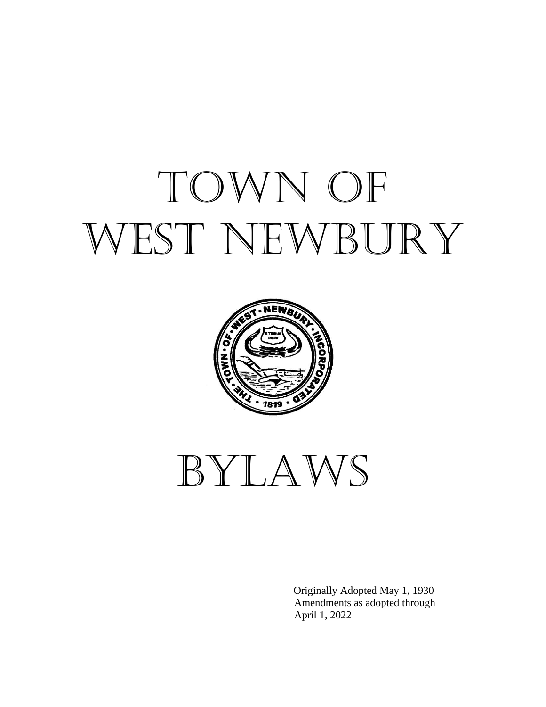# TOWN OF WEST NEWBURY



Bylaws

 Originally Adopted May 1, 1930 Amendments as adopted through April 1, 2022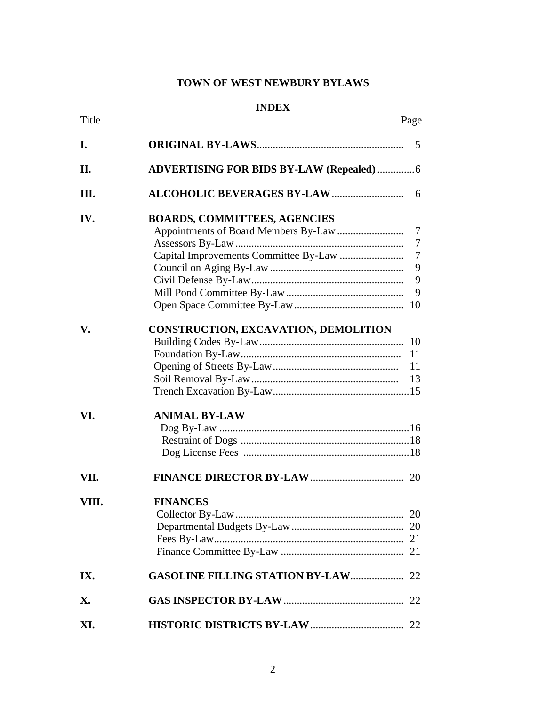# **TOWN OF WEST NEWBURY BYLAWS**

## **INDEX**

| Title |                                                  | Page |
|-------|--------------------------------------------------|------|
| I.    |                                                  |      |
| П.    | <b>ADVERTISING FOR BIDS BY-LAW (Repealed)  6</b> |      |
| Ш.    |                                                  | - 6  |
| IV.   | <b>BOARDS, COMMITTEES, AGENCIES</b>              |      |
|       |                                                  |      |
|       |                                                  |      |
|       |                                                  | 9    |
|       |                                                  | 9    |
|       |                                                  | 9    |
|       |                                                  |      |
| V.    | <b>CONSTRUCTION, EXCAVATION, DEMOLITION</b>      |      |
|       |                                                  |      |
|       |                                                  | 11   |
|       |                                                  | 11   |
|       |                                                  | 13   |
|       |                                                  |      |
| VI.   | <b>ANIMAL BY-LAW</b>                             |      |
|       |                                                  |      |
|       |                                                  |      |
|       |                                                  |      |
| VII.  |                                                  |      |
| VIII. | <b>FINANCES</b>                                  |      |
|       |                                                  | 20   |
|       |                                                  |      |
|       |                                                  |      |
|       |                                                  |      |
| IX.   | <b>GASOLINE FILLING STATION BY-LAW 22</b>        |      |
| X.    |                                                  |      |
| XI.   |                                                  |      |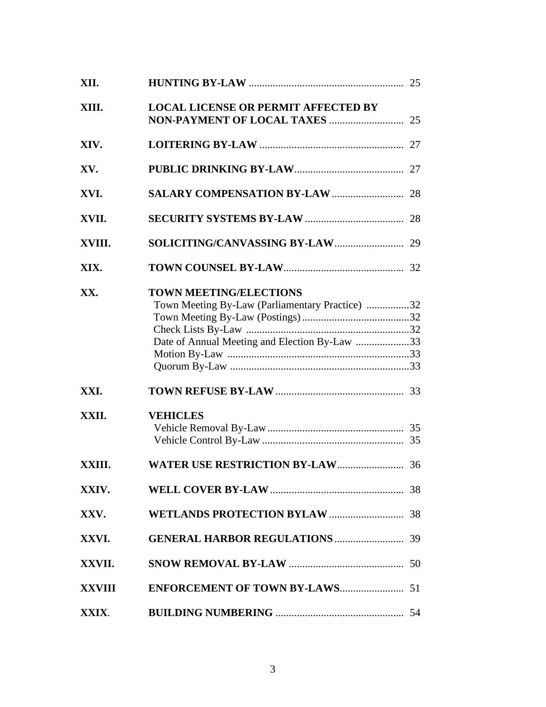| XII.   |                                                                                                                                   |  |
|--------|-----------------------------------------------------------------------------------------------------------------------------------|--|
| XIII.  | <b>LOCAL LICENSE OR PERMIT AFFECTED BY</b>                                                                                        |  |
| XIV.   |                                                                                                                                   |  |
| XV.    |                                                                                                                                   |  |
| XVI.   |                                                                                                                                   |  |
| XVII.  |                                                                                                                                   |  |
| XVIII. |                                                                                                                                   |  |
| XIX.   |                                                                                                                                   |  |
| XX.    | <b>TOWN MEETING/ELECTIONS</b><br>Town Meeting By-Law (Parliamentary Practice) 32<br>Date of Annual Meeting and Election By-Law 33 |  |
| XXI.   |                                                                                                                                   |  |
| XXII.  | <b>VEHICLES</b>                                                                                                                   |  |
| XXIII. |                                                                                                                                   |  |
| XXIV.  |                                                                                                                                   |  |
| XXV.   |                                                                                                                                   |  |
| XXVI.  |                                                                                                                                   |  |
| XXVII. |                                                                                                                                   |  |
|        |                                                                                                                                   |  |
| XXIX.  |                                                                                                                                   |  |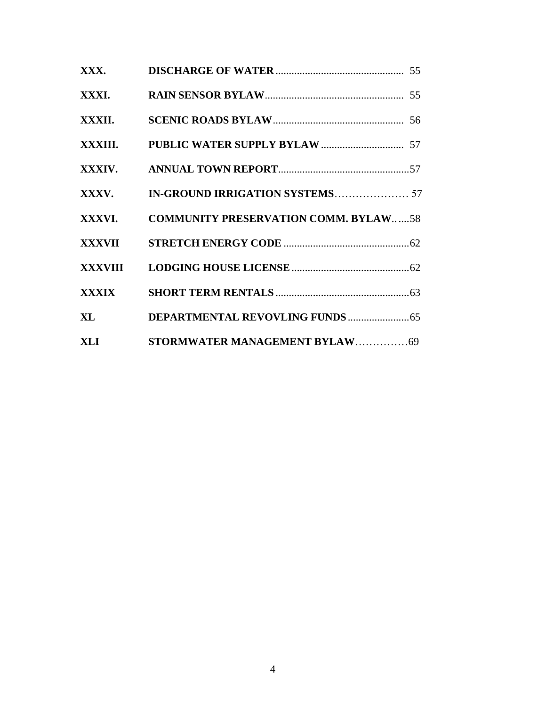| XXX.          |                                             |  |
|---------------|---------------------------------------------|--|
| XXXI.         |                                             |  |
| XXXII.        |                                             |  |
|               |                                             |  |
|               |                                             |  |
| XXXV.         |                                             |  |
| XXXVI.        | <b>COMMUNITY PRESERVATION COMM. BYLAW58</b> |  |
|               |                                             |  |
|               |                                             |  |
| <b>XXXIX</b>  |                                             |  |
| $\mathbf{XL}$ |                                             |  |
| XLI           | STORMWATER MANAGEMENT BYLAW69               |  |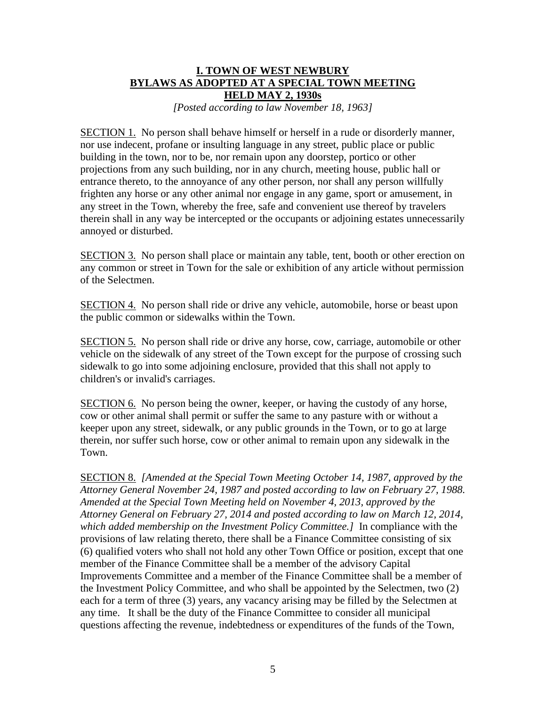## **I. TOWN OF WEST NEWBURY BYLAWS AS ADOPTED AT A SPECIAL TOWN MEETING HELD MAY 2, 1930s**

*[Posted according to law November 18, 1963]*

SECTION 1. No person shall behave himself or herself in a rude or disorderly manner, nor use indecent, profane or insulting language in any street, public place or public building in the town, nor to be, nor remain upon any doorstep, portico or other projections from any such building, nor in any church, meeting house, public hall or entrance thereto, to the annoyance of any other person, nor shall any person willfully frighten any horse or any other animal nor engage in any game, sport or amusement, in any street in the Town, whereby the free, safe and convenient use thereof by travelers therein shall in any way be intercepted or the occupants or adjoining estates unnecessarily annoyed or disturbed.

SECTION 3. No person shall place or maintain any table, tent, booth or other erection on any common or street in Town for the sale or exhibition of any article without permission of the Selectmen.

SECTION 4. No person shall ride or drive any vehicle, automobile, horse or beast upon the public common or sidewalks within the Town.

SECTION 5. No person shall ride or drive any horse, cow, carriage, automobile or other vehicle on the sidewalk of any street of the Town except for the purpose of crossing such sidewalk to go into some adjoining enclosure, provided that this shall not apply to children's or invalid's carriages.

SECTION 6. No person being the owner, keeper, or having the custody of any horse, cow or other animal shall permit or suffer the same to any pasture with or without a keeper upon any street, sidewalk, or any public grounds in the Town, or to go at large therein, nor suffer such horse, cow or other animal to remain upon any sidewalk in the Town.

SECTION 8. *[Amended at the Special Town Meeting October 14, 1987, approved by the Attorney General November 24, 1987 and posted according to law on February 27, 1988. Amended at the Special Town Meeting held on November 4, 2013, approved by the Attorney General on February 27, 2014 and posted according to law on March 12, 2014, which added membership on the Investment Policy Committee.]* In compliance with the provisions of law relating thereto, there shall be a Finance Committee consisting of six (6) qualified voters who shall not hold any other Town Office or position, except that one member of the Finance Committee shall be a member of the advisory Capital Improvements Committee and a member of the Finance Committee shall be a member of the Investment Policy Committee, and who shall be appointed by the Selectmen, two (2) each for a term of three (3) years, any vacancy arising may be filled by the Selectmen at any time. It shall be the duty of the Finance Committee to consider all municipal questions affecting the revenue, indebtedness or expenditures of the funds of the Town,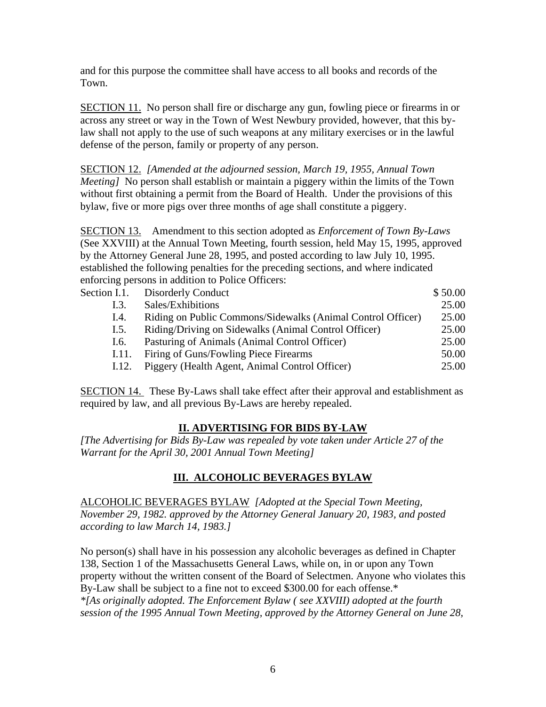and for this purpose the committee shall have access to all books and records of the Town.

SECTION 11. No person shall fire or discharge any gun, fowling piece or firearms in or across any street or way in the Town of West Newbury provided, however, that this bylaw shall not apply to the use of such weapons at any military exercises or in the lawful defense of the person, family or property of any person.

SECTION 12. *[Amended at the adjourned session, March 19, 1955, Annual Town Meeting]* No person shall establish or maintain a piggery within the limits of the Town without first obtaining a permit from the Board of Health. Under the provisions of this bylaw, five or more pigs over three months of age shall constitute a piggery.

SECTION 13. Amendment to this section adopted as *Enforcement of Town By-Laws*  (See XXVIII) at the Annual Town Meeting, fourth session, held May 15, 1995, approved by the Attorney General June 28, 1995, and posted according to law July 10, 1995. established the following penalties for the preceding sections, and where indicated enforcing persons in addition to Police Officers:

| Section I.1. | <b>Disorderly Conduct</b>                                   | \$50.00 |
|--------------|-------------------------------------------------------------|---------|
| I.3.         | Sales/Exhibitions                                           | 25.00   |
| I.4.         | Riding on Public Commons/Sidewalks (Animal Control Officer) | 25.00   |
| I.5.         | Riding/Driving on Sidewalks (Animal Control Officer)        | 25.00   |
| I.6.         | Pasturing of Animals (Animal Control Officer)               | 25.00   |
| 1.11.        | Firing of Guns/Fowling Piece Firearms                       | 50.00   |
| I.12.        | Piggery (Health Agent, Animal Control Officer)              | 25.00   |

SECTION 14. These By-Laws shall take effect after their approval and establishment as required by law, and all previous By-Laws are hereby repealed.

## **II. ADVERTISING FOR BIDS BY-LAW**

*[The Advertising for Bids By-Law was repealed by vote taken under Article 27 of the Warrant for the April 30, 2001 Annual Town Meeting]*

## **III. ALCOHOLIC BEVERAGES BYLAW**

ALCOHOLIC BEVERAGES BYLAW *[Adopted at the Special Town Meeting, November 29, 1982. approved by the Attorney General January 20, 1983, and posted according to law March 14, 1983.]*

No person(s) shall have in his possession any alcoholic beverages as defined in Chapter 138, Section 1 of the Massachusetts General Laws, while on, in or upon any Town property without the written consent of the Board of Selectmen. Anyone who violates this By-Law shall be subject to a fine not to exceed \$300.00 for each offense.\* *\*[As originally adopted. The Enforcement Bylaw ( see XXVIII) adopted at the fourth session of the 1995 Annual Town Meeting, approved by the Attorney General on June 28,*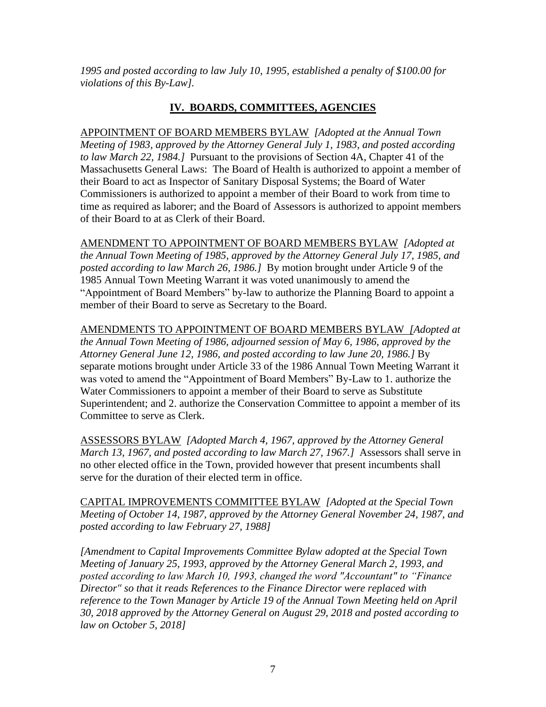*1995 and posted according to law July 10, 1995, established a penalty of \$100.00 for violations of this By-Law].*

## **IV. BOARDS, COMMITTEES, AGENCIES**

APPOINTMENT OF BOARD MEMBERS BYLAW *[Adopted at the Annual Town Meeting of 1983, approved by the Attorney General July 1, 1983, and posted according to law March 22, 1984.]* Pursuant to the provisions of Section 4A, Chapter 41 of the Massachusetts General Laws: The Board of Health is authorized to appoint a member of their Board to act as Inspector of Sanitary Disposal Systems; the Board of Water Commissioners is authorized to appoint a member of their Board to work from time to time as required as laborer; and the Board of Assessors is authorized to appoint members of their Board to at as Clerk of their Board.

AMENDMENT TO APPOINTMENT OF BOARD MEMBERS BYLAW *[Adopted at the Annual Town Meeting of 1985, approved by the Attorney General July 17, 1985, and posted according to law March 26, 1986.]* By motion brought under Article 9 of the 1985 Annual Town Meeting Warrant it was voted unanimously to amend the "Appointment of Board Members" by-law to authorize the Planning Board to appoint a member of their Board to serve as Secretary to the Board.

AMENDMENTS TO APPOINTMENT OF BOARD MEMBERS BYLAW *[Adopted at the Annual Town Meeting of 1986, adjourned session of May 6, 1986, approved by the Attorney General June 12, 1986, and posted according to law June 20, 1986.]* By separate motions brought under Article 33 of the 1986 Annual Town Meeting Warrant it was voted to amend the "Appointment of Board Members" By-Law to 1. authorize the Water Commissioners to appoint a member of their Board to serve as Substitute Superintendent; and 2. authorize the Conservation Committee to appoint a member of its Committee to serve as Clerk.

ASSESSORS BYLAW *[Adopted March 4, 1967, approved by the Attorney General March 13, 1967, and posted according to law March 27, 1967.]* Assessors shall serve in no other elected office in the Town, provided however that present incumbents shall serve for the duration of their elected term in office.

CAPITAL IMPROVEMENTS COMMITTEE BYLAW *[Adopted at the Special Town Meeting of October 14, 1987, approved by the Attorney General November 24, 1987, and posted according to law February 27, 1988]*

*[Amendment to Capital Improvements Committee Bylaw adopted at the Special Town Meeting of January 25, 1993, approved by the Attorney General March 2, 1993, and posted according to law March 10, 1993, changed the word "Accountant" to "Finance Director" so that it reads References to the Finance Director were replaced with reference to the Town Manager by Article 19 of the Annual Town Meeting held on April 30, 2018 approved by the Attorney General on August 29, 2018 and posted according to law on October 5, 2018]*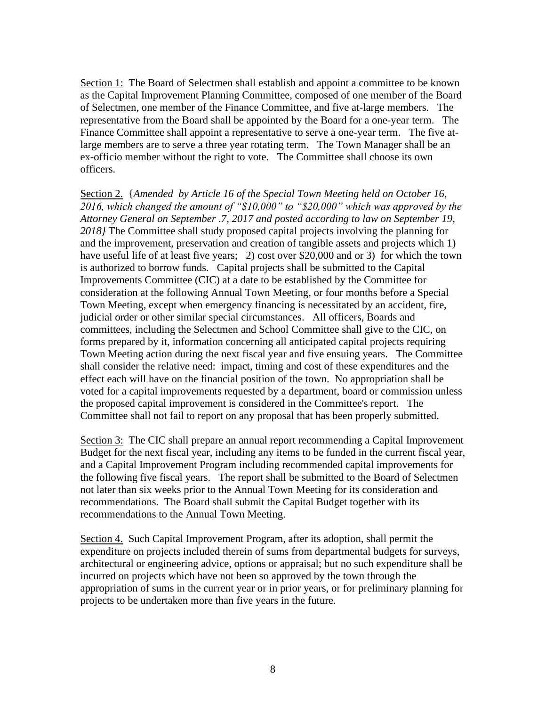Section 1: The Board of Selectmen shall establish and appoint a committee to be known as the Capital Improvement Planning Committee, composed of one member of the Board of Selectmen, one member of the Finance Committee, and five at-large members. The representative from the Board shall be appointed by the Board for a one-year term. The Finance Committee shall appoint a representative to serve a one-year term. The five atlarge members are to serve a three year rotating term. The Town Manager shall be an ex-officio member without the right to vote. The Committee shall choose its own officers.

Section 2. {*Amended by Article 16 of the Special Town Meeting held on October 16, 2016, which changed the amount of "\$10,000" to "\$20,000" which was approved by the Attorney General on September .7, 2017 and posted according to law on September 19, 2018}* The Committee shall study proposed capital projects involving the planning for and the improvement, preservation and creation of tangible assets and projects which 1) have useful life of at least five years; 2) cost over \$20,000 and or 3) for which the town is authorized to borrow funds. Capital projects shall be submitted to the Capital Improvements Committee (CIC) at a date to be established by the Committee for consideration at the following Annual Town Meeting, or four months before a Special Town Meeting, except when emergency financing is necessitated by an accident, fire, judicial order or other similar special circumstances. All officers, Boards and committees, including the Selectmen and School Committee shall give to the CIC, on forms prepared by it, information concerning all anticipated capital projects requiring Town Meeting action during the next fiscal year and five ensuing years. The Committee shall consider the relative need: impact, timing and cost of these expenditures and the effect each will have on the financial position of the town. No appropriation shall be voted for a capital improvements requested by a department, board or commission unless the proposed capital improvement is considered in the Committee's report. The Committee shall not fail to report on any proposal that has been properly submitted.

Section 3: The CIC shall prepare an annual report recommending a Capital Improvement Budget for the next fiscal year, including any items to be funded in the current fiscal year, and a Capital Improvement Program including recommended capital improvements for the following five fiscal years. The report shall be submitted to the Board of Selectmen not later than six weeks prior to the Annual Town Meeting for its consideration and recommendations. The Board shall submit the Capital Budget together with its recommendations to the Annual Town Meeting.

Section 4. Such Capital Improvement Program, after its adoption, shall permit the expenditure on projects included therein of sums from departmental budgets for surveys, architectural or engineering advice, options or appraisal; but no such expenditure shall be incurred on projects which have not been so approved by the town through the appropriation of sums in the current year or in prior years, or for preliminary planning for projects to be undertaken more than five years in the future.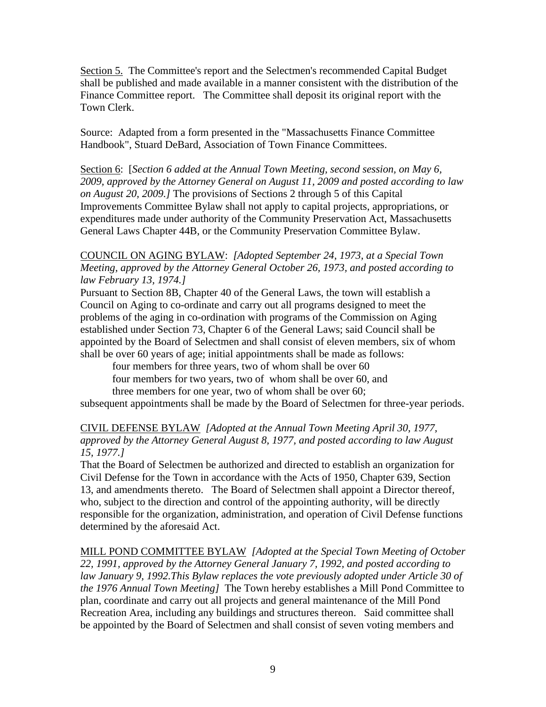Section 5. The Committee's report and the Selectmen's recommended Capital Budget shall be published and made available in a manner consistent with the distribution of the Finance Committee report. The Committee shall deposit its original report with the Town Clerk.

Source: Adapted from a form presented in the "Massachusetts Finance Committee Handbook", Stuard DeBard, Association of Town Finance Committees.

Section 6: [*Section 6 added at the Annual Town Meeting, second session, on May 6, 2009, approved by the Attorney General on August 11, 2009 and posted according to law on August 20, 2009.]* The provisions of Sections 2 through 5 of this Capital Improvements Committee Bylaw shall not apply to capital projects, appropriations, or expenditures made under authority of the Community Preservation Act, Massachusetts General Laws Chapter 44B, or the Community Preservation Committee Bylaw.

COUNCIL ON AGING BYLAW: *[Adopted September 24, 1973, at a Special Town Meeting, approved by the Attorney General October 26, 1973, and posted according to law February 13, 1974.]* 

Pursuant to Section 8B, Chapter 40 of the General Laws, the town will establish a Council on Aging to co-ordinate and carry out all programs designed to meet the problems of the aging in co-ordination with programs of the Commission on Aging established under Section 73, Chapter 6 of the General Laws; said Council shall be appointed by the Board of Selectmen and shall consist of eleven members, six of whom shall be over 60 years of age; initial appointments shall be made as follows:

four members for three years, two of whom shall be over 60

four members for two years, two of whom shall be over 60, and

three members for one year, two of whom shall be over 60;

subsequent appointments shall be made by the Board of Selectmen for three-year periods.

## CIVIL DEFENSE BYLAW *[Adopted at the Annual Town Meeting April 30, 1977, approved by the Attorney General August 8, 1977, and posted according to law August 15, 1977.]*

That the Board of Selectmen be authorized and directed to establish an organization for Civil Defense for the Town in accordance with the Acts of 1950, Chapter 639, Section 13, and amendments thereto. The Board of Selectmen shall appoint a Director thereof, who, subject to the direction and control of the appointing authority, will be directly responsible for the organization, administration, and operation of Civil Defense functions determined by the aforesaid Act.

MILL POND COMMITTEE BYLAW *[Adopted at the Special Town Meeting of October 22, 1991, approved by the Attorney General January 7, 1992, and posted according to law January 9, 1992.This Bylaw replaces the vote previously adopted under Article 30 of the 1976 Annual Town Meeting]* The Town hereby establishes a Mill Pond Committee to plan, coordinate and carry out all projects and general maintenance of the Mill Pond Recreation Area, including any buildings and structures thereon. Said committee shall be appointed by the Board of Selectmen and shall consist of seven voting members and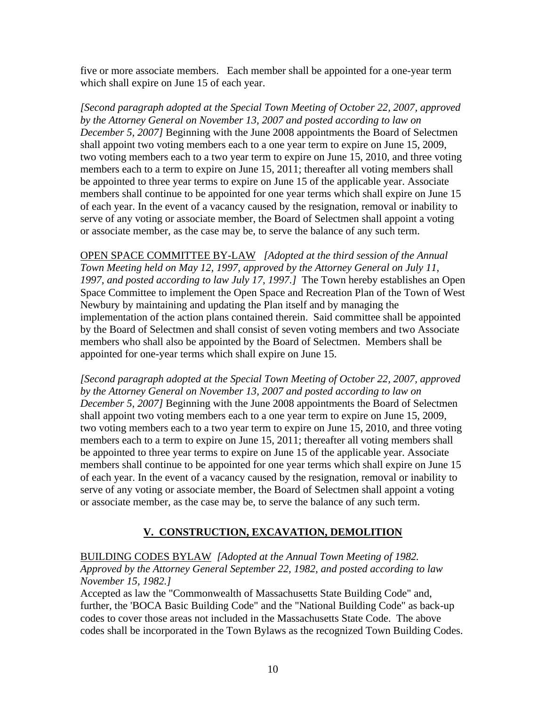five or more associate members. Each member shall be appointed for a one-year term which shall expire on June 15 of each year.

*[Second paragraph adopted at the Special Town Meeting of October 22, 2007, approved by the Attorney General on November 13, 2007 and posted according to law on December 5, 2007]* Beginning with the June 2008 appointments the Board of Selectmen shall appoint two voting members each to a one year term to expire on June 15, 2009, two voting members each to a two year term to expire on June 15, 2010, and three voting members each to a term to expire on June 15, 2011; thereafter all voting members shall be appointed to three year terms to expire on June 15 of the applicable year. Associate members shall continue to be appointed for one year terms which shall expire on June 15 of each year. In the event of a vacancy caused by the resignation, removal or inability to serve of any voting or associate member, the Board of Selectmen shall appoint a voting or associate member, as the case may be, to serve the balance of any such term.

OPEN SPACE COMMITTEE BY-LAW *[Adopted at the third session of the Annual Town Meeting held on May 12, 1997, approved by the Attorney General on July 11, 1997, and posted according to law July 17, 1997.]* The Town hereby establishes an Open Space Committee to implement the Open Space and Recreation Plan of the Town of West Newbury by maintaining and updating the Plan itself and by managing the implementation of the action plans contained therein. Said committee shall be appointed by the Board of Selectmen and shall consist of seven voting members and two Associate members who shall also be appointed by the Board of Selectmen. Members shall be appointed for one-year terms which shall expire on June 15.

*[Second paragraph adopted at the Special Town Meeting of October 22, 2007, approved by the Attorney General on November 13, 2007 and posted according to law on December 5, 2007]* Beginning with the June 2008 appointments the Board of Selectmen shall appoint two voting members each to a one year term to expire on June 15, 2009, two voting members each to a two year term to expire on June 15, 2010, and three voting members each to a term to expire on June 15, 2011; thereafter all voting members shall be appointed to three year terms to expire on June 15 of the applicable year. Associate members shall continue to be appointed for one year terms which shall expire on June 15 of each year. In the event of a vacancy caused by the resignation, removal or inability to serve of any voting or associate member, the Board of Selectmen shall appoint a voting or associate member, as the case may be, to serve the balance of any such term.

## **V. CONSTRUCTION, EXCAVATION, DEMOLITION**

#### BUILDING CODES BYLAW *[Adopted at the Annual Town Meeting of 1982. Approved by the Attorney General September 22, 1982, and posted according to law November 15, 1982.]*

Accepted as law the "Commonwealth of Massachusetts State Building Code" and, further, the 'BOCA Basic Building Code" and the "National Building Code" as back-up codes to cover those areas not included in the Massachusetts State Code. The above codes shall be incorporated in the Town Bylaws as the recognized Town Building Codes.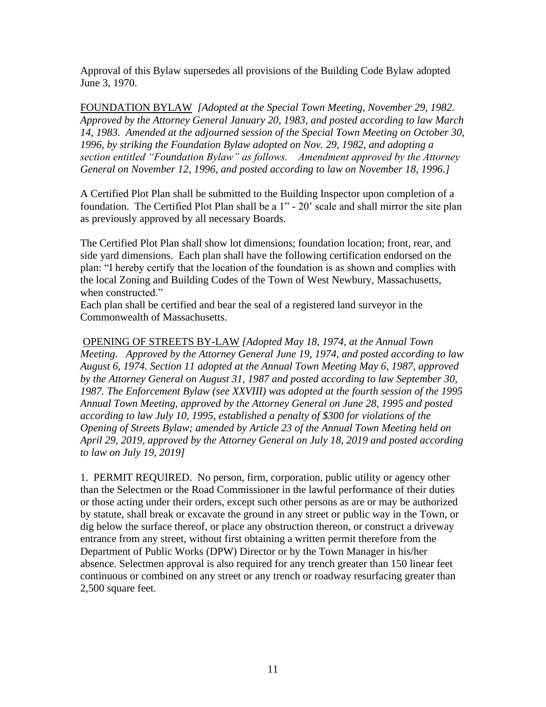Approval of this Bylaw supersedes all provisions of the Building Code Bylaw adopted June 3, 1970.

FOUNDATION BYLAW *[Adopted at the Special Town Meeting, November 29, 1982. Approved by the Attorney General January 20, 1983, and posted according to law March 14, 1983. Amended at the adjourned session of the Special Town Meeting on October 30, 1996, by striking the Foundation Bylaw adopted on Nov. 29, 1982, and adopting a section entitled "Foundation Bylaw" as follows. Amendment approved by the Attorney General on November 12, 1996, and posted according to law on November 18, 1996.]*

A Certified Plot Plan shall be submitted to the Building Inspector upon completion of a foundation. The Certified Plot Plan shall be a 1" - 20' scale and shall mirror the site plan as previously approved by all necessary Boards.

The Certified Plot Plan shall show lot dimensions; foundation location; front, rear, and side yard dimensions. Each plan shall have the following certification endorsed on the plan: "I hereby certify that the location of the foundation is as shown and complies with the local Zoning and Building Codes of the Town of West Newbury, Massachusetts, when constructed."

Each plan shall be certified and bear the seal of a registered land surveyor in the Commonwealth of Massachusetts.

OPENING OF STREETS BY-LAW *[Adopted May 18, 1974, at the Annual Town Meeting. Approved by the Attorney General June 19, 1974, and posted according to law August 6, 1974. Section 11 adopted at the Annual Town Meeting May 6, 1987, approved by the Attorney General on August 31, 1987 and posted according to law September 30, 1987. The Enforcement Bylaw (see XXVIII) was adopted at the fourth session of the 1995 Annual Town Meeting, approved by the Attorney General on June 28, 1995 and posted according to law July 10, 1995, established a penalty of \$300 for violations of the Opening of Streets Bylaw; amended by Article 23 of the Annual Town Meeting held on April 29, 2019, approved by the Attorney General on July 18, 2019 and posted according to law on July 19, 2019]*

1. PERMIT REQUIRED. No person, firm, corporation, public utility or agency other than the Selectmen or the Road Commissioner in the lawful performance of their duties or those acting under their orders, except such other persons as are or may be authorized by statute, shall break or excavate the ground in any street or public way in the Town, or dig below the surface thereof, or place any obstruction thereon, or construct a driveway entrance from any street, without first obtaining a written permit therefore from the Department of Public Works (DPW) Director or by the Town Manager in his/her absence. Selectmen approval is also required for any trench greater than 150 linear feet continuous or combined on any street or any trench or roadway resurfacing greater than 2,500 square feet.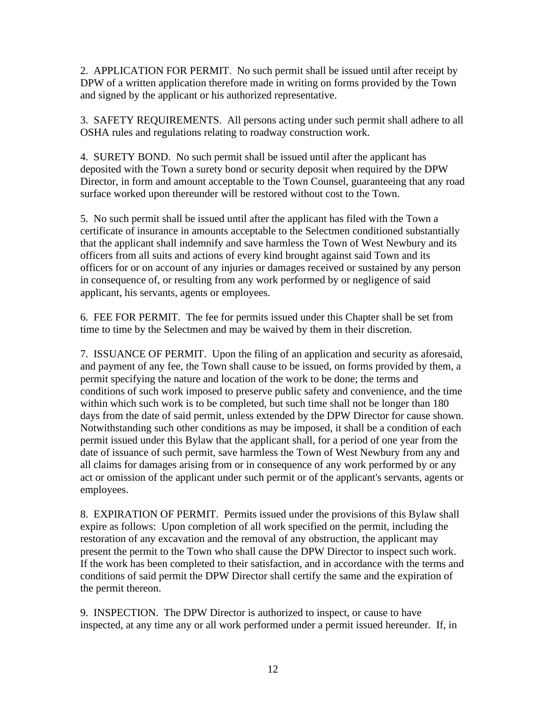2. APPLICATION FOR PERMIT. No such permit shall be issued until after receipt by DPW of a written application therefore made in writing on forms provided by the Town and signed by the applicant or his authorized representative.

3. SAFETY REQUIREMENTS. All persons acting under such permit shall adhere to all OSHA rules and regulations relating to roadway construction work.

4. SURETY BOND. No such permit shall be issued until after the applicant has deposited with the Town a surety bond or security deposit when required by the DPW Director, in form and amount acceptable to the Town Counsel, guaranteeing that any road surface worked upon thereunder will be restored without cost to the Town.

5. No such permit shall be issued until after the applicant has filed with the Town a certificate of insurance in amounts acceptable to the Selectmen conditioned substantially that the applicant shall indemnify and save harmless the Town of West Newbury and its officers from all suits and actions of every kind brought against said Town and its officers for or on account of any injuries or damages received or sustained by any person in consequence of, or resulting from any work performed by or negligence of said applicant, his servants, agents or employees.

6. FEE FOR PERMIT. The fee for permits issued under this Chapter shall be set from time to time by the Selectmen and may be waived by them in their discretion.

7. ISSUANCE OF PERMIT. Upon the filing of an application and security as aforesaid, and payment of any fee, the Town shall cause to be issued, on forms provided by them, a permit specifying the nature and location of the work to be done; the terms and conditions of such work imposed to preserve public safety and convenience, and the time within which such work is to be completed, but such time shall not be longer than 180 days from the date of said permit, unless extended by the DPW Director for cause shown. Notwithstanding such other conditions as may be imposed, it shall be a condition of each permit issued under this Bylaw that the applicant shall, for a period of one year from the date of issuance of such permit, save harmless the Town of West Newbury from any and all claims for damages arising from or in consequence of any work performed by or any act or omission of the applicant under such permit or of the applicant's servants, agents or employees.

8. EXPIRATION OF PERMIT. Permits issued under the provisions of this Bylaw shall expire as follows: Upon completion of all work specified on the permit, including the restoration of any excavation and the removal of any obstruction, the applicant may present the permit to the Town who shall cause the DPW Director to inspect such work. If the work has been completed to their satisfaction, and in accordance with the terms and conditions of said permit the DPW Director shall certify the same and the expiration of the permit thereon.

9. INSPECTION. The DPW Director is authorized to inspect, or cause to have inspected, at any time any or all work performed under a permit issued hereunder. If, in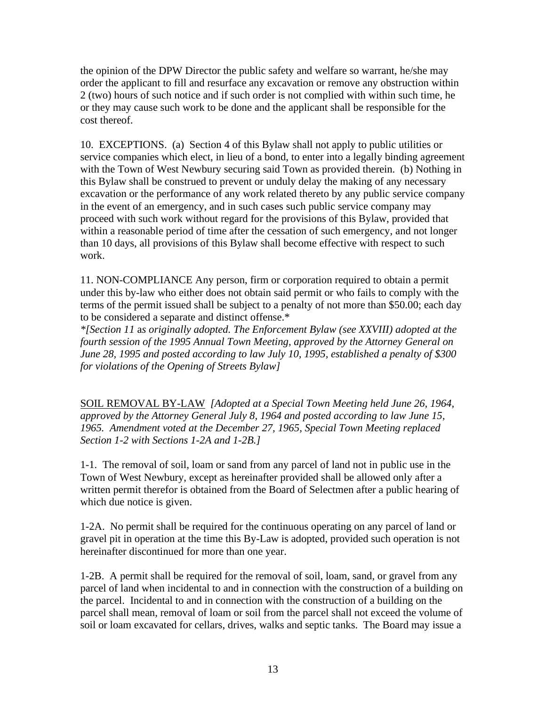the opinion of the DPW Director the public safety and welfare so warrant, he/she may order the applicant to fill and resurface any excavation or remove any obstruction within 2 (two) hours of such notice and if such order is not complied with within such time, he or they may cause such work to be done and the applicant shall be responsible for the cost thereof.

10. EXCEPTIONS. (a) Section 4 of this Bylaw shall not apply to public utilities or service companies which elect, in lieu of a bond, to enter into a legally binding agreement with the Town of West Newbury securing said Town as provided therein. (b) Nothing in this Bylaw shall be construed to prevent or unduly delay the making of any necessary excavation or the performance of any work related thereto by any public service company in the event of an emergency, and in such cases such public service company may proceed with such work without regard for the provisions of this Bylaw, provided that within a reasonable period of time after the cessation of such emergency, and not longer than 10 days, all provisions of this Bylaw shall become effective with respect to such work.

11. NON-COMPLIANCE Any person, firm or corporation required to obtain a permit under this by-law who either does not obtain said permit or who fails to comply with the terms of the permit issued shall be subject to a penalty of not more than \$50.00; each day to be considered a separate and distinct offense.\*

*\*[Section 11* a*s originally adopted. The Enforcement Bylaw (see XXVIII) adopted at the fourth session of the 1995 Annual Town Meeting, approved by the Attorney General on June 28, 1995 and posted according to law July 10, 1995, established a penalty of \$300 for violations of the Opening of Streets Bylaw]*

SOIL REMOVAL BY-LAW *[Adopted at a Special Town Meeting held June 26, 1964, approved by the Attorney General July 8, 1964 and posted according to law June 15, 1965. Amendment voted at the December 27, 1965, Special Town Meeting replaced Section 1-2 with Sections 1-2A and 1-2B.]*

1-1. The removal of soil, loam or sand from any parcel of land not in public use in the Town of West Newbury, except as hereinafter provided shall be allowed only after a written permit therefor is obtained from the Board of Selectmen after a public hearing of which due notice is given.

1-2A. No permit shall be required for the continuous operating on any parcel of land or gravel pit in operation at the time this By-Law is adopted, provided such operation is not hereinafter discontinued for more than one year.

1-2B. A permit shall be required for the removal of soil, loam, sand, or gravel from any parcel of land when incidental to and in connection with the construction of a building on the parcel. Incidental to and in connection with the construction of a building on the parcel shall mean, removal of loam or soil from the parcel shall not exceed the volume of soil or loam excavated for cellars, drives, walks and septic tanks. The Board may issue a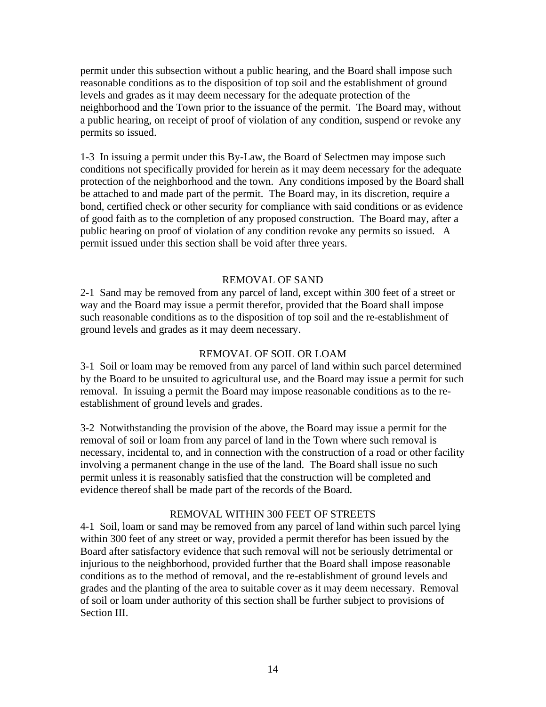permit under this subsection without a public hearing, and the Board shall impose such reasonable conditions as to the disposition of top soil and the establishment of ground levels and grades as it may deem necessary for the adequate protection of the neighborhood and the Town prior to the issuance of the permit. The Board may, without a public hearing, on receipt of proof of violation of any condition, suspend or revoke any permits so issued.

1-3 In issuing a permit under this By-Law, the Board of Selectmen may impose such conditions not specifically provided for herein as it may deem necessary for the adequate protection of the neighborhood and the town. Any conditions imposed by the Board shall be attached to and made part of the permit. The Board may, in its discretion, require a bond, certified check or other security for compliance with said conditions or as evidence of good faith as to the completion of any proposed construction. The Board may, after a public hearing on proof of violation of any condition revoke any permits so issued. A permit issued under this section shall be void after three years.

#### REMOVAL OF SAND

2-1 Sand may be removed from any parcel of land, except within 300 feet of a street or way and the Board may issue a permit therefor, provided that the Board shall impose such reasonable conditions as to the disposition of top soil and the re-establishment of ground levels and grades as it may deem necessary.

#### REMOVAL OF SOIL OR LOAM

3-1 Soil or loam may be removed from any parcel of land within such parcel determined by the Board to be unsuited to agricultural use, and the Board may issue a permit for such removal. In issuing a permit the Board may impose reasonable conditions as to the reestablishment of ground levels and grades.

3-2 Notwithstanding the provision of the above, the Board may issue a permit for the removal of soil or loam from any parcel of land in the Town where such removal is necessary, incidental to, and in connection with the construction of a road or other facility involving a permanent change in the use of the land. The Board shall issue no such permit unless it is reasonably satisfied that the construction will be completed and evidence thereof shall be made part of the records of the Board.

#### REMOVAL WITHIN 300 FEET OF STREETS

4-1 Soil, loam or sand may be removed from any parcel of land within such parcel lying within 300 feet of any street or way, provided a permit therefor has been issued by the Board after satisfactory evidence that such removal will not be seriously detrimental or injurious to the neighborhood, provided further that the Board shall impose reasonable conditions as to the method of removal, and the re-establishment of ground levels and grades and the planting of the area to suitable cover as it may deem necessary. Removal of soil or loam under authority of this section shall be further subject to provisions of Section III.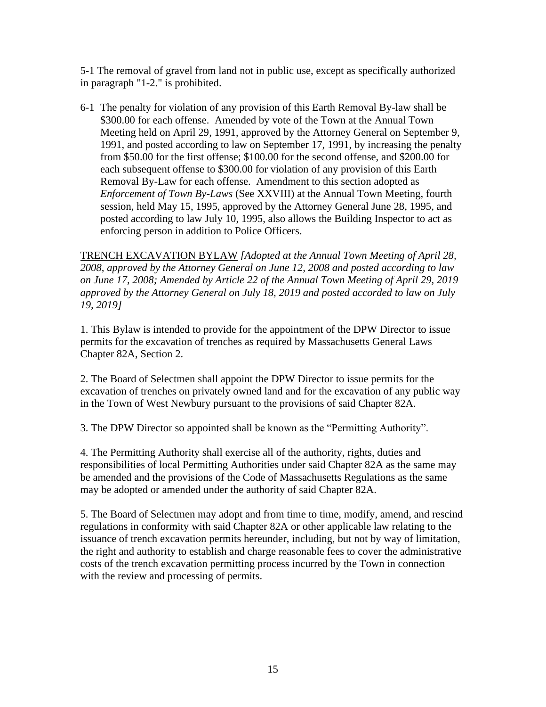5-1 The removal of gravel from land not in public use, except as specifically authorized in paragraph "1-2." is prohibited.

6-1 The penalty for violation of any provision of this Earth Removal By-law shall be \$300.00 for each offense. Amended by vote of the Town at the Annual Town Meeting held on April 29, 1991, approved by the Attorney General on September 9, 1991, and posted according to law on September 17, 1991, by increasing the penalty from \$50.00 for the first offense; \$100.00 for the second offense, and \$200.00 for each subsequent offense to \$300.00 for violation of any provision of this Earth Removal By-Law for each offense. Amendment to this section adopted as *Enforcement of Town By-Laws* (See XXVIII) at the Annual Town Meeting, fourth session, held May 15, 1995, approved by the Attorney General June 28, 1995, and posted according to law July 10, 1995, also allows the Building Inspector to act as enforcing person in addition to Police Officers.

TRENCH EXCAVATION BYLAW *[Adopted at the Annual Town Meeting of April 28, 2008, approved by the Attorney General on June 12, 2008 and posted according to law on June 17, 2008; Amended by Article 22 of the Annual Town Meeting of April 29, 2019 approved by the Attorney General on July 18, 2019 and posted accorded to law on July 19, 2019]*

1. This Bylaw is intended to provide for the appointment of the DPW Director to issue permits for the excavation of trenches as required by Massachusetts General Laws Chapter 82A, Section 2.

2. The Board of Selectmen shall appoint the DPW Director to issue permits for the excavation of trenches on privately owned land and for the excavation of any public way in the Town of West Newbury pursuant to the provisions of said Chapter 82A.

3. The DPW Director so appointed shall be known as the "Permitting Authority".

4. The Permitting Authority shall exercise all of the authority, rights, duties and responsibilities of local Permitting Authorities under said Chapter 82A as the same may be amended and the provisions of the Code of Massachusetts Regulations as the same may be adopted or amended under the authority of said Chapter 82A.

5. The Board of Selectmen may adopt and from time to time, modify, amend, and rescind regulations in conformity with said Chapter 82A or other applicable law relating to the issuance of trench excavation permits hereunder, including, but not by way of limitation, the right and authority to establish and charge reasonable fees to cover the administrative costs of the trench excavation permitting process incurred by the Town in connection with the review and processing of permits.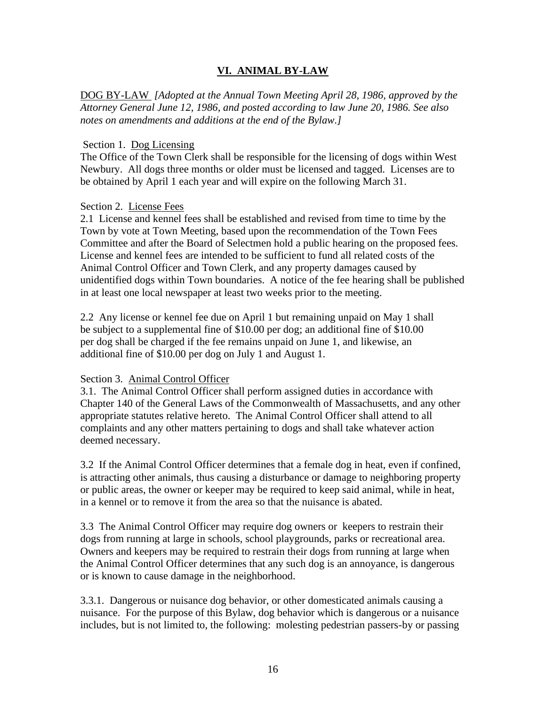## **VI. ANIMAL BY-LAW**

DOG BY-LAW *[Adopted at the Annual Town Meeting April 28, 1986, approved by the Attorney General June 12, 1986, and posted according to law June 20, 1986. See also notes on amendments and additions at the end of the Bylaw.]*

#### Section 1. Dog Licensing

The Office of the Town Clerk shall be responsible for the licensing of dogs within West Newbury. All dogs three months or older must be licensed and tagged. Licenses are to be obtained by April 1 each year and will expire on the following March 31.

#### Section 2. License Fees

2.1 License and kennel fees shall be established and revised from time to time by the Town by vote at Town Meeting, based upon the recommendation of the Town Fees Committee and after the Board of Selectmen hold a public hearing on the proposed fees. License and kennel fees are intended to be sufficient to fund all related costs of the Animal Control Officer and Town Clerk, and any property damages caused by unidentified dogs within Town boundaries. A notice of the fee hearing shall be published in at least one local newspaper at least two weeks prior to the meeting.

2.2 Any license or kennel fee due on April 1 but remaining unpaid on May 1 shall be subject to a supplemental fine of \$10.00 per dog; an additional fine of \$10.00 per dog shall be charged if the fee remains unpaid on June 1, and likewise, an additional fine of \$10.00 per dog on July 1 and August 1.

#### Section 3. Animal Control Officer

3.1. The Animal Control Officer shall perform assigned duties in accordance with Chapter 140 of the General Laws of the Commonwealth of Massachusetts, and any other appropriate statutes relative hereto. The Animal Control Officer shall attend to all complaints and any other matters pertaining to dogs and shall take whatever action deemed necessary.

3.2 If the Animal Control Officer determines that a female dog in heat, even if confined, is attracting other animals, thus causing a disturbance or damage to neighboring property or public areas, the owner or keeper may be required to keep said animal, while in heat, in a kennel or to remove it from the area so that the nuisance is abated.

3.3 The Animal Control Officer may require dog owners or keepers to restrain their dogs from running at large in schools, school playgrounds, parks or recreational area. Owners and keepers may be required to restrain their dogs from running at large when the Animal Control Officer determines that any such dog is an annoyance, is dangerous or is known to cause damage in the neighborhood.

3.3.1. Dangerous or nuisance dog behavior, or other domesticated animals causing a nuisance. For the purpose of this Bylaw, dog behavior which is dangerous or a nuisance includes, but is not limited to, the following: molesting pedestrian passers-by or passing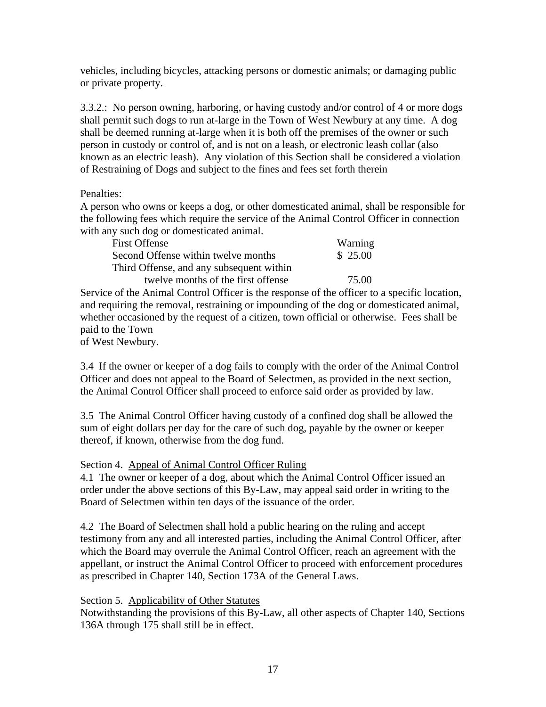vehicles, including bicycles, attacking persons or domestic animals; or damaging public or private property.

3.3.2.: No person owning, harboring, or having custody and/or control of 4 or more dogs shall permit such dogs to run at-large in the Town of West Newbury at any time. A dog shall be deemed running at-large when it is both off the premises of the owner or such person in custody or control of, and is not on a leash, or electronic leash collar (also known as an electric leash). Any violation of this Section shall be considered a violation of Restraining of Dogs and subject to the fines and fees set forth therein

Penalties:

A person who owns or keeps a dog, or other domesticated animal, shall be responsible for the following fees which require the service of the Animal Control Officer in connection with any such dog or domesticated animal.

| <b>First Offense</b>                     | Warning  |
|------------------------------------------|----------|
| Second Offense within twelve months      | \$ 25.00 |
| Third Offense, and any subsequent within |          |
| twelve months of the first offense       | 75.00    |

Service of the Animal Control Officer is the response of the officer to a specific location, and requiring the removal, restraining or impounding of the dog or domesticated animal, whether occasioned by the request of a citizen, town official or otherwise. Fees shall be paid to the Town

of West Newbury.

3.4 If the owner or keeper of a dog fails to comply with the order of the Animal Control Officer and does not appeal to the Board of Selectmen, as provided in the next section, the Animal Control Officer shall proceed to enforce said order as provided by law.

3.5 The Animal Control Officer having custody of a confined dog shall be allowed the sum of eight dollars per day for the care of such dog, payable by the owner or keeper thereof, if known, otherwise from the dog fund.

Section 4. Appeal of Animal Control Officer Ruling

4.1 The owner or keeper of a dog, about which the Animal Control Officer issued an order under the above sections of this By-Law, may appeal said order in writing to the Board of Selectmen within ten days of the issuance of the order.

4.2 The Board of Selectmen shall hold a public hearing on the ruling and accept testimony from any and all interested parties, including the Animal Control Officer, after which the Board may overrule the Animal Control Officer, reach an agreement with the appellant, or instruct the Animal Control Officer to proceed with enforcement procedures as prescribed in Chapter 140, Section 173A of the General Laws.

## Section 5. Applicability of Other Statutes

Notwithstanding the provisions of this By-Law, all other aspects of Chapter 140, Sections 136A through 175 shall still be in effect.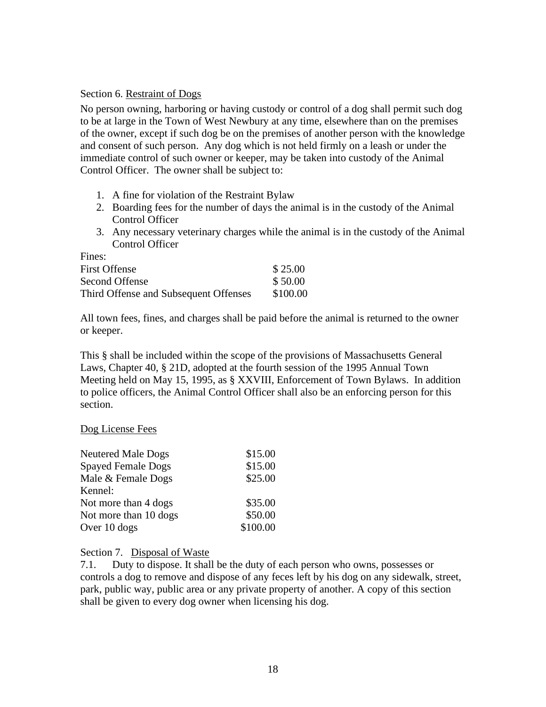#### Section 6. Restraint of Dogs

No person owning, harboring or having custody or control of a dog shall permit such dog to be at large in the Town of West Newbury at any time, elsewhere than on the premises of the owner, except if such dog be on the premises of another person with the knowledge and consent of such person. Any dog which is not held firmly on a leash or under the immediate control of such owner or keeper, may be taken into custody of the Animal Control Officer. The owner shall be subject to:

- 1. A fine for violation of the Restraint Bylaw
- 2. Boarding fees for the number of days the animal is in the custody of the Animal Control Officer
- 3. Any necessary veterinary charges while the animal is in the custody of the Animal Control Officer

| Fines:                                |          |
|---------------------------------------|----------|
| <b>First Offense</b>                  | \$25.00  |
| Second Offense                        | \$50.00  |
| Third Offense and Subsequent Offenses | \$100.00 |

All town fees, fines, and charges shall be paid before the animal is returned to the owner or keeper.

This § shall be included within the scope of the provisions of Massachusetts General Laws, Chapter 40, § 21D, adopted at the fourth session of the 1995 Annual Town Meeting held on May 15, 1995, as § XXVIII, Enforcement of Town Bylaws. In addition to police officers, the Animal Control Officer shall also be an enforcing person for this section.

#### Dog License Fees

| <b>Neutered Male Dogs</b> | \$15.00  |
|---------------------------|----------|
| <b>Spayed Female Dogs</b> | \$15.00  |
| Male & Female Dogs        | \$25.00  |
| Kennel:                   |          |
| Not more than 4 dogs      | \$35.00  |
| Not more than 10 dogs     | \$50.00  |
| Over 10 dogs              | \$100.00 |

#### Section 7. Disposal of Waste

7.1. Duty to dispose. It shall be the duty of each person who owns, possesses or controls a dog to remove and dispose of any feces left by his dog on any sidewalk, street, park, public way, public area or any private property of another. A copy of this section shall be given to every dog owner when licensing his dog.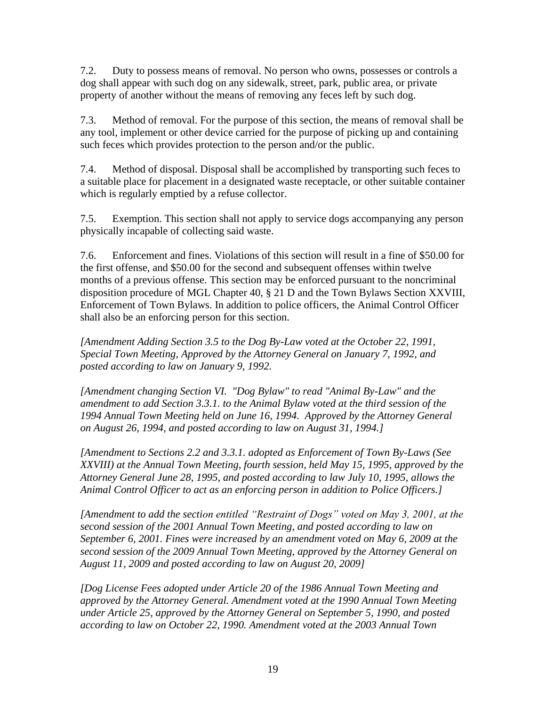7.2. Duty to possess means of removal. No person who owns, possesses or controls a dog shall appear with such dog on any sidewalk, street, park, public area, or private property of another without the means of removing any feces left by such dog.

7.3. Method of removal. For the purpose of this section, the means of removal shall be any tool, implement or other device carried for the purpose of picking up and containing such feces which provides protection to the person and/or the public.

7.4. Method of disposal. Disposal shall be accomplished by transporting such feces to a suitable place for placement in a designated waste receptacle, or other suitable container which is regularly emptied by a refuse collector.

7.5. Exemption. This section shall not apply to service dogs accompanying any person physically incapable of collecting said waste.

7.6. Enforcement and fines. Violations of this section will result in a fine of \$50.00 for the first offense, and \$50.00 for the second and subsequent offenses within twelve months of a previous offense. This section may be enforced pursuant to the noncriminal disposition procedure of MGL Chapter 40, § 21 D and the Town Bylaws Section XXVIII, Enforcement of Town Bylaws. In addition to police officers, the Animal Control Officer shall also be an enforcing person for this section.

*[Amendment Adding Section 3.5 to the Dog By-Law voted at the October 22, 1991, Special Town Meeting, Approved by the Attorney General on January 7, 1992, and posted according to law on January 9, 1992.*

*[Amendment changing Section VI. "Dog Bylaw" to read "Animal By-Law" and the amendment to add Section 3.3.1. to the Animal Bylaw voted at the third session of the 1994 Annual Town Meeting held on June 16, 1994. Approved by the Attorney General on August 26, 1994, and posted according to law on August 31, 1994.]*

*[Amendment to Sections 2.2 and 3.3.1. adopted as Enforcement of Town By-Laws (See XXVIII) at the Annual Town Meeting, fourth session, held May 15, 1995, approved by the Attorney General June 28, 1995, and posted according to law July 10, 1995, allows the Animal Control Officer to act as an enforcing person in addition to Police Officers.]*

*[Amendment to add the section entitled "Restraint of Dogs" voted on May 3, 2001, at the second session of the 2001 Annual Town Meeting, and posted according to law on September 6, 2001. Fines were increased by an amendment voted on May 6, 2009 at the second session of the 2009 Annual Town Meeting, approved by the Attorney General on August 11, 2009 and posted according to law on August 20, 2009]*

*[Dog License Fees adopted under Article 20 of the 1986 Annual Town Meeting and approved by the Attorney General. Amendment voted at the 1990 Annual Town Meeting under Article 25, approved by the Attorney General on September 5, 1990, and posted according to law on October 22, 1990. Amendment voted at the 2003 Annual Town*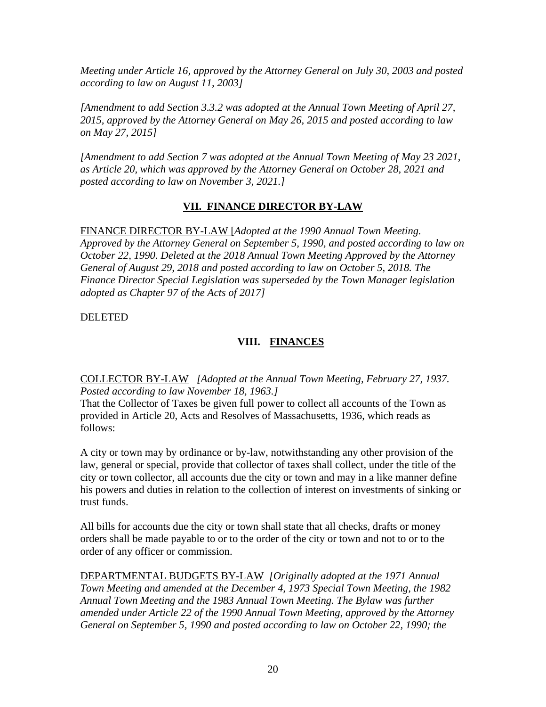*Meeting under Article 16, approved by the Attorney General on July 30, 2003 and posted according to law on August 11, 2003]*

*[Amendment to add Section 3.3.2 was adopted at the Annual Town Meeting of April 27, 2015, approved by the Attorney General on May 26, 2015 and posted according to law on May 27, 2015]*

*[Amendment to add Section 7 was adopted at the Annual Town Meeting of May 23 2021, as Article 20, which was approved by the Attorney General on October 28, 2021 and posted according to law on November 3, 2021.]*

## **VII. FINANCE DIRECTOR BY-LAW**

FINANCE DIRECTOR BY-LAW [*Adopted at the 1990 Annual Town Meeting. Approved by the Attorney General on September 5, 1990, and posted according to law on October 22, 1990. Deleted at the 2018 Annual Town Meeting Approved by the Attorney General of August 29, 2018 and posted according to law on October 5, 2018. The Finance Director Special Legislation was superseded by the Town Manager legislation adopted as Chapter 97 of the Acts of 2017]*

## DELETED

## **VIII. FINANCES**

COLLECTOR BY-LAW *[Adopted at the Annual Town Meeting, February 27, 1937. Posted according to law November 18, 1963.]*

That the Collector of Taxes be given full power to collect all accounts of the Town as provided in Article 20, Acts and Resolves of Massachusetts, 1936, which reads as follows:

A city or town may by ordinance or by-law, notwithstanding any other provision of the law, general or special, provide that collector of taxes shall collect, under the title of the city or town collector, all accounts due the city or town and may in a like manner define his powers and duties in relation to the collection of interest on investments of sinking or trust funds.

All bills for accounts due the city or town shall state that all checks, drafts or money orders shall be made payable to or to the order of the city or town and not to or to the order of any officer or commission.

DEPARTMENTAL BUDGETS BY-LAW *[Originally adopted at the 1971 Annual Town Meeting and amended at the December 4, 1973 Special Town Meeting, the 1982 Annual Town Meeting and the 1983 Annual Town Meeting. The Bylaw was further amended under Article 22 of the 1990 Annual Town Meeting, approved by the Attorney General on September 5, 1990 and posted according to law on October 22, 1990; the*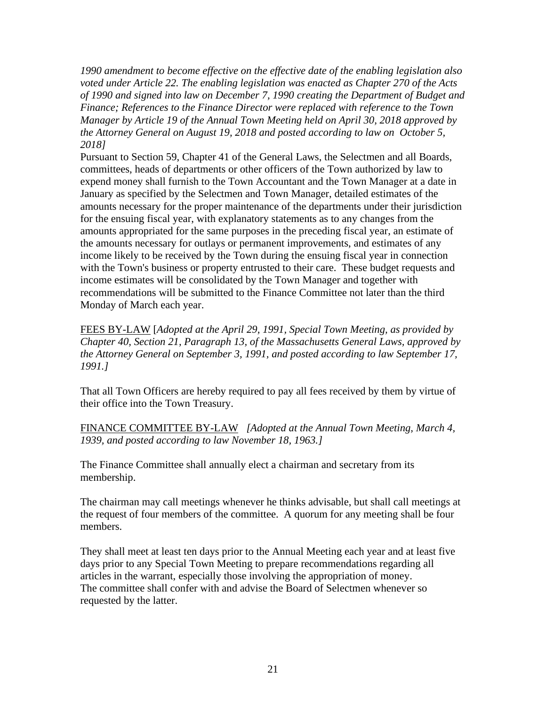*1990 amendment to become effective on the effective date of the enabling legislation also voted under Article 22. The enabling legislation was enacted as Chapter 270 of the Acts of 1990 and signed into law on December 7, 1990 creating the Department of Budget and Finance; References to the Finance Director were replaced with reference to the Town Manager by Article 19 of the Annual Town Meeting held on April 30, 2018 approved by the Attorney General on August 19, 2018 and posted according to law on October 5, 2018]*

Pursuant to Section 59, Chapter 41 of the General Laws, the Selectmen and all Boards, committees, heads of departments or other officers of the Town authorized by law to expend money shall furnish to the Town Accountant and the Town Manager at a date in January as specified by the Selectmen and Town Manager, detailed estimates of the amounts necessary for the proper maintenance of the departments under their jurisdiction for the ensuing fiscal year, with explanatory statements as to any changes from the amounts appropriated for the same purposes in the preceding fiscal year, an estimate of the amounts necessary for outlays or permanent improvements, and estimates of any income likely to be received by the Town during the ensuing fiscal year in connection with the Town's business or property entrusted to their care. These budget requests and income estimates will be consolidated by the Town Manager and together with recommendations will be submitted to the Finance Committee not later than the third Monday of March each year.

FEES BY-LAW [*Adopted at the April 29, 1991, Special Town Meeting, as provided by Chapter 40, Section 21, Paragraph 13, of the Massachusetts General Laws, approved by the Attorney General on September 3, 1991, and posted according to law September 17, 1991.]*

That all Town Officers are hereby required to pay all fees received by them by virtue of their office into the Town Treasury.

FINANCE COMMITTEE BY-LAW *[Adopted at the Annual Town Meeting, March 4, 1939, and posted according to law November 18, 1963.]*

The Finance Committee shall annually elect a chairman and secretary from its membership.

The chairman may call meetings whenever he thinks advisable, but shall call meetings at the request of four members of the committee. A quorum for any meeting shall be four members.

They shall meet at least ten days prior to the Annual Meeting each year and at least five days prior to any Special Town Meeting to prepare recommendations regarding all articles in the warrant, especially those involving the appropriation of money. The committee shall confer with and advise the Board of Selectmen whenever so requested by the latter.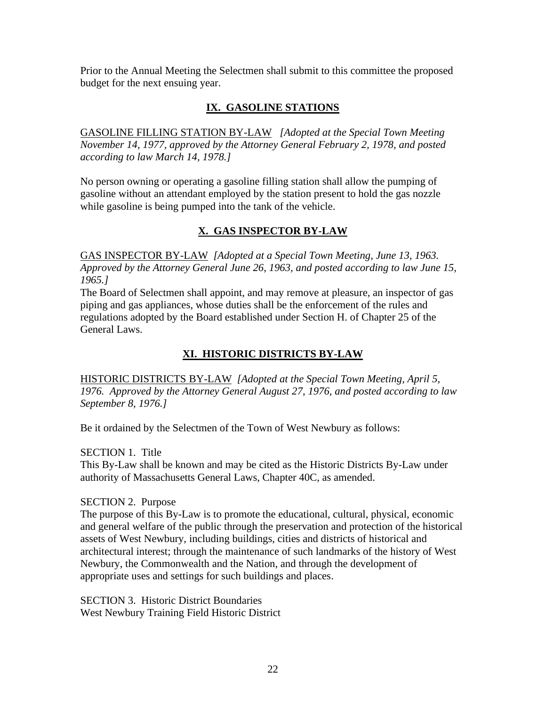Prior to the Annual Meeting the Selectmen shall submit to this committee the proposed budget for the next ensuing year.

# **IX. GASOLINE STATIONS**

GASOLINE FILLING STATION BY-LAW *[Adopted at the Special Town Meeting November 14, 1977, approved by the Attorney General February 2, 1978, and posted according to law March 14, 1978.]*

No person owning or operating a gasoline filling station shall allow the pumping of gasoline without an attendant employed by the station present to hold the gas nozzle while gasoline is being pumped into the tank of the vehicle.

## **X. GAS INSPECTOR BY-LAW**

GAS INSPECTOR BY-LAW *[Adopted at a Special Town Meeting, June 13, 1963. Approved by the Attorney General June 26, 1963, and posted according to law June 15, 1965.]*

The Board of Selectmen shall appoint, and may remove at pleasure, an inspector of gas piping and gas appliances, whose duties shall be the enforcement of the rules and regulations adopted by the Board established under Section H. of Chapter 25 of the General Laws.

## **XI. HISTORIC DISTRICTS BY-LAW**

HISTORIC DISTRICTS BY-LAW *[Adopted at the Special Town Meeting, April 5, 1976. Approved by the Attorney General August 27, 1976, and posted according to law September 8, 1976.]*

Be it ordained by the Selectmen of the Town of West Newbury as follows:

SECTION 1. Title

This By-Law shall be known and may be cited as the Historic Districts By-Law under authority of Massachusetts General Laws, Chapter 40C, as amended.

#### SECTION 2. Purpose

The purpose of this By-Law is to promote the educational, cultural, physical, economic and general welfare of the public through the preservation and protection of the historical assets of West Newbury, including buildings, cities and districts of historical and architectural interest; through the maintenance of such landmarks of the history of West Newbury, the Commonwealth and the Nation, and through the development of appropriate uses and settings for such buildings and places.

SECTION 3. Historic District Boundaries West Newbury Training Field Historic District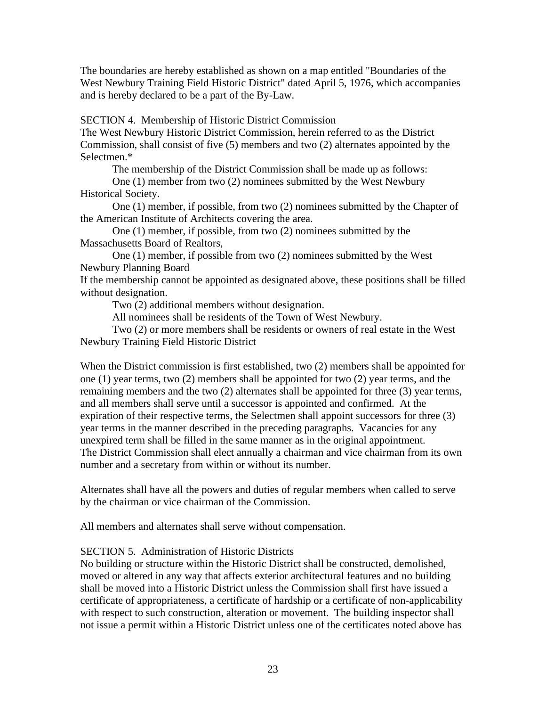The boundaries are hereby established as shown on a map entitled "Boundaries of the West Newbury Training Field Historic District" dated April 5, 1976, which accompanies and is hereby declared to be a part of the By-Law.

SECTION 4. Membership of Historic District Commission

The West Newbury Historic District Commission, herein referred to as the District Commission, shall consist of five (5) members and two (2) alternates appointed by the Selectmen.\*

The membership of the District Commission shall be made up as follows:

One (1) member from two (2) nominees submitted by the West Newbury Historical Society.

One (1) member, if possible, from two (2) nominees submitted by the Chapter of the American Institute of Architects covering the area.

One (1) member, if possible, from two (2) nominees submitted by the Massachusetts Board of Realtors,

One (1) member, if possible from two (2) nominees submitted by the West Newbury Planning Board

If the membership cannot be appointed as designated above, these positions shall be filled without designation.

Two (2) additional members without designation.

All nominees shall be residents of the Town of West Newbury.

Two (2) or more members shall be residents or owners of real estate in the West Newbury Training Field Historic District

When the District commission is first established, two (2) members shall be appointed for one (1) year terms, two (2) members shall be appointed for two (2) year terms, and the remaining members and the two (2) alternates shall be appointed for three (3) year terms, and all members shall serve until a successor is appointed and confirmed. At the expiration of their respective terms, the Selectmen shall appoint successors for three (3) year terms in the manner described in the preceding paragraphs. Vacancies for any unexpired term shall be filled in the same manner as in the original appointment. The District Commission shall elect annually a chairman and vice chairman from its own number and a secretary from within or without its number.

Alternates shall have all the powers and duties of regular members when called to serve by the chairman or vice chairman of the Commission.

All members and alternates shall serve without compensation.

#### SECTION 5. Administration of Historic Districts

No building or structure within the Historic District shall be constructed, demolished, moved or altered in any way that affects exterior architectural features and no building shall be moved into a Historic District unless the Commission shall first have issued a certificate of appropriateness, a certificate of hardship or a certificate of non-applicability with respect to such construction, alteration or movement. The building inspector shall not issue a permit within a Historic District unless one of the certificates noted above has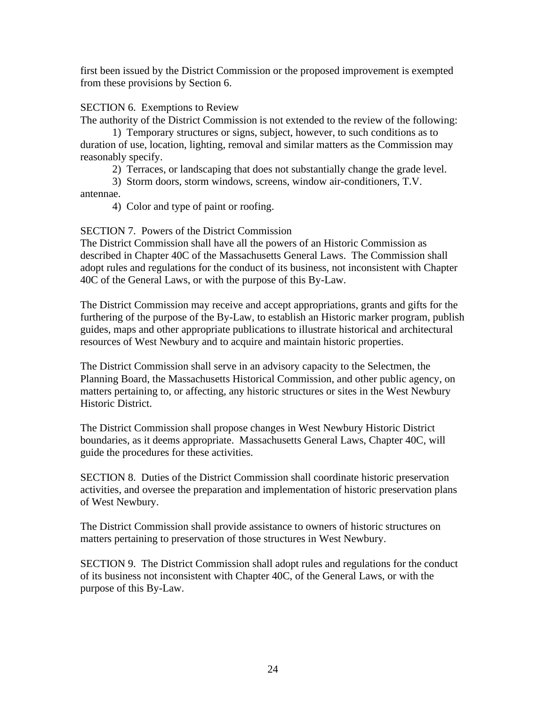first been issued by the District Commission or the proposed improvement is exempted from these provisions by Section 6.

#### SECTION 6. Exemptions to Review

The authority of the District Commission is not extended to the review of the following:

1) Temporary structures or signs, subject, however, to such conditions as to duration of use, location, lighting, removal and similar matters as the Commission may reasonably specify.

2) Terraces, or landscaping that does not substantially change the grade level.

3) Storm doors, storm windows, screens, window air-conditioners, T.V. antennae.

4) Color and type of paint or roofing.

#### SECTION 7. Powers of the District Commission

The District Commission shall have all the powers of an Historic Commission as described in Chapter 40C of the Massachusetts General Laws. The Commission shall adopt rules and regulations for the conduct of its business, not inconsistent with Chapter 40C of the General Laws, or with the purpose of this By-Law.

The District Commission may receive and accept appropriations, grants and gifts for the furthering of the purpose of the By-Law, to establish an Historic marker program, publish guides, maps and other appropriate publications to illustrate historical and architectural resources of West Newbury and to acquire and maintain historic properties.

The District Commission shall serve in an advisory capacity to the Selectmen, the Planning Board, the Massachusetts Historical Commission, and other public agency, on matters pertaining to, or affecting, any historic structures or sites in the West Newbury Historic District.

The District Commission shall propose changes in West Newbury Historic District boundaries, as it deems appropriate. Massachusetts General Laws, Chapter 40C, will guide the procedures for these activities.

SECTION 8. Duties of the District Commission shall coordinate historic preservation activities, and oversee the preparation and implementation of historic preservation plans of West Newbury.

The District Commission shall provide assistance to owners of historic structures on matters pertaining to preservation of those structures in West Newbury.

SECTION 9. The District Commission shall adopt rules and regulations for the conduct of its business not inconsistent with Chapter 40C, of the General Laws, or with the purpose of this By-Law.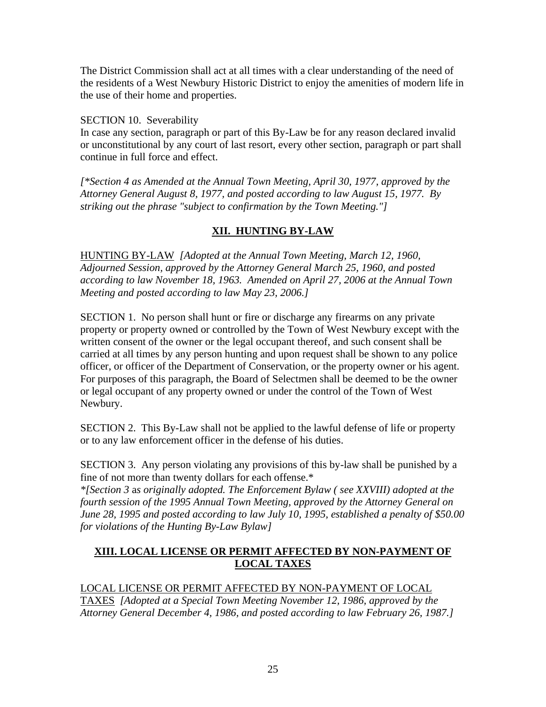The District Commission shall act at all times with a clear understanding of the need of the residents of a West Newbury Historic District to enjoy the amenities of modern life in the use of their home and properties.

#### SECTION 10. Severability

In case any section, paragraph or part of this By-Law be for any reason declared invalid or unconstitutional by any court of last resort, every other section, paragraph or part shall continue in full force and effect.

*[\*Section 4 as Amended at the Annual Town Meeting, April 30, 1977, approved by the Attorney General August 8, 1977, and posted according to law August 15, 1977. By striking out the phrase "subject to confirmation by the Town Meeting."]*

## **XII. HUNTING BY-LAW**

HUNTING BY-LAW *[Adopted at the Annual Town Meeting, March 12, 1960, Adjourned Session, approved by the Attorney General March 25, 1960, and posted according to law November 18, 1963. Amended on April 27, 2006 at the Annual Town Meeting and posted according to law May 23, 2006.]*

SECTION 1. No person shall hunt or fire or discharge any firearms on any private property or property owned or controlled by the Town of West Newbury except with the written consent of the owner or the legal occupant thereof, and such consent shall be carried at all times by any person hunting and upon request shall be shown to any police officer, or officer of the Department of Conservation, or the property owner or his agent. For purposes of this paragraph, the Board of Selectmen shall be deemed to be the owner or legal occupant of any property owned or under the control of the Town of West Newbury.

SECTION 2. This By-Law shall not be applied to the lawful defense of life or property or to any law enforcement officer in the defense of his duties.

SECTION 3. Any person violating any provisions of this by-law shall be punished by a fine of not more than twenty dollars for each offense.\*

*\*[Section 3* a*s originally adopted. The Enforcement Bylaw ( see XXVIII) adopted at the fourth session of the 1995 Annual Town Meeting, approved by the Attorney General on June 28, 1995 and posted according to law July 10, 1995, established a penalty of \$50.00 for violations of the Hunting By-Law Bylaw]*

## **XIII. LOCAL LICENSE OR PERMIT AFFECTED BY NON-PAYMENT OF LOCAL TAXES**

LOCAL LICENSE OR PERMIT AFFECTED BY NON-PAYMENT OF LOCAL TAXES *[Adopted at a Special Town Meeting November 12, 1986, approved by the Attorney General December 4, 1986, and posted according to law February 26, 1987.]*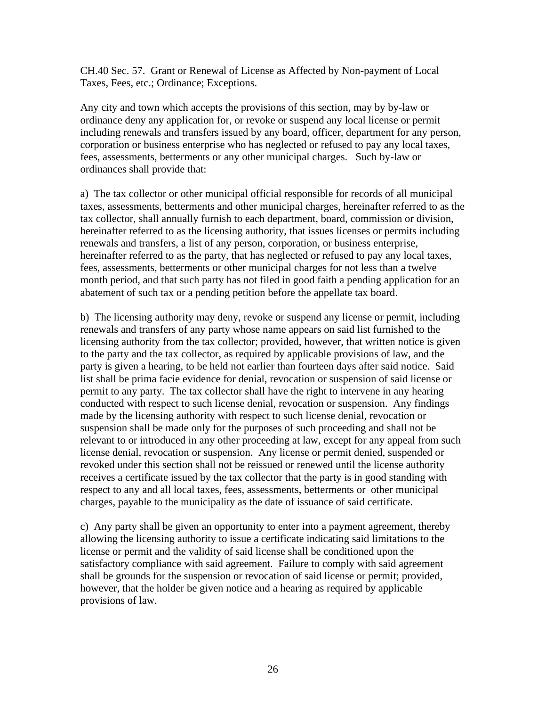CH.40 Sec. 57. Grant or Renewal of License as Affected by Non-payment of Local Taxes, Fees, etc.; Ordinance; Exceptions.

Any city and town which accepts the provisions of this section, may by by-law or ordinance deny any application for, or revoke or suspend any local license or permit including renewals and transfers issued by any board, officer, department for any person, corporation or business enterprise who has neglected or refused to pay any local taxes, fees, assessments, betterments or any other municipal charges. Such by-law or ordinances shall provide that:

a) The tax collector or other municipal official responsible for records of all municipal taxes, assessments, betterments and other municipal charges, hereinafter referred to as the tax collector, shall annually furnish to each department, board, commission or division, hereinafter referred to as the licensing authority, that issues licenses or permits including renewals and transfers, a list of any person, corporation, or business enterprise, hereinafter referred to as the party, that has neglected or refused to pay any local taxes, fees, assessments, betterments or other municipal charges for not less than a twelve month period, and that such party has not filed in good faith a pending application for an abatement of such tax or a pending petition before the appellate tax board.

b) The licensing authority may deny, revoke or suspend any license or permit, including renewals and transfers of any party whose name appears on said list furnished to the licensing authority from the tax collector; provided, however, that written notice is given to the party and the tax collector, as required by applicable provisions of law, and the party is given a hearing, to be held not earlier than fourteen days after said notice. Said list shall be prima facie evidence for denial, revocation or suspension of said license or permit to any party. The tax collector shall have the right to intervene in any hearing conducted with respect to such license denial, revocation or suspension. Any findings made by the licensing authority with respect to such license denial, revocation or suspension shall be made only for the purposes of such proceeding and shall not be relevant to or introduced in any other proceeding at law, except for any appeal from such license denial, revocation or suspension. Any license or permit denied, suspended or revoked under this section shall not be reissued or renewed until the license authority receives a certificate issued by the tax collector that the party is in good standing with respect to any and all local taxes, fees, assessments, betterments or other municipal charges, payable to the municipality as the date of issuance of said certificate.

c) Any party shall be given an opportunity to enter into a payment agreement, thereby allowing the licensing authority to issue a certificate indicating said limitations to the license or permit and the validity of said license shall be conditioned upon the satisfactory compliance with said agreement. Failure to comply with said agreement shall be grounds for the suspension or revocation of said license or permit; provided, however, that the holder be given notice and a hearing as required by applicable provisions of law.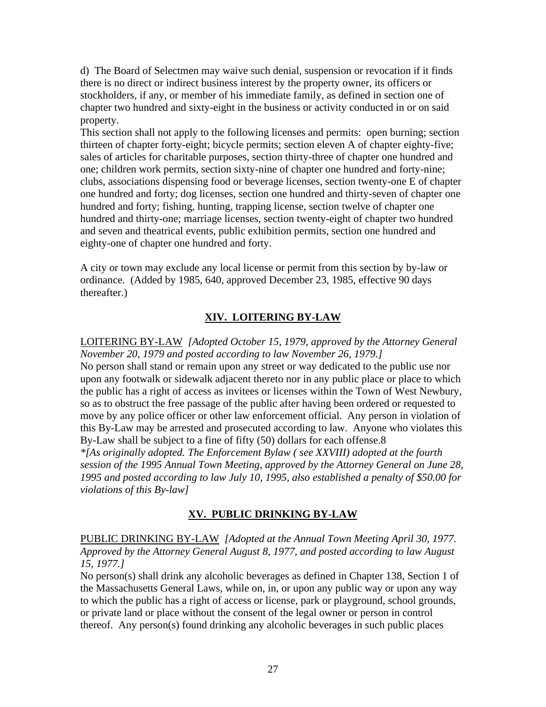d) The Board of Selectmen may waive such denial, suspension or revocation if it finds there is no direct or indirect business interest by the property owner, its officers or stockholders, if any, or member of his immediate family, as defined in section one of chapter two hundred and sixty-eight in the business or activity conducted in or on said property.

This section shall not apply to the following licenses and permits: open burning; section thirteen of chapter forty-eight; bicycle permits; section eleven A of chapter eighty-five; sales of articles for charitable purposes, section thirty-three of chapter one hundred and one; children work permits, section sixty-nine of chapter one hundred and forty-nine; clubs, associations dispensing food or beverage licenses, section twenty-one E of chapter one hundred and forty; dog licenses, section one hundred and thirty-seven of chapter one hundred and forty; fishing, hunting, trapping license, section twelve of chapter one hundred and thirty-one; marriage licenses, section twenty-eight of chapter two hundred and seven and theatrical events, public exhibition permits, section one hundred and eighty-one of chapter one hundred and forty.

A city or town may exclude any local license or permit from this section by by-law or ordinance. (Added by 1985, 640, approved December 23, 1985, effective 90 days thereafter.)

## **XIV. LOITERING BY-LAW**

LOITERING BY-LAW *[Adopted October 15, 1979, approved by the Attorney General November 20, 1979 and posted according to law November 26, 1979.]* No person shall stand or remain upon any street or way dedicated to the public use nor upon any footwalk or sidewalk adjacent thereto nor in any public place or place to which the public has a right of access as invitees or licenses within the Town of West Newbury, so as to obstruct the free passage of the public after having been ordered or requested to move by any police officer or other law enforcement official. Any person in violation of this By-Law may be arrested and prosecuted according to law. Anyone who violates this By-Law shall be subject to a fine of fifty (50) dollars for each offense.8 *\*[As originally adopted. The Enforcement Bylaw ( see XXVIII) adopted at the fourth session of the 1995 Annual Town Meeting, approved by the Attorney General on June 28, 1995 and posted according to law July 10, 1995, also established a penalty of \$50.00 for violations of this By-law]*

## **XV. PUBLIC DRINKING BY-LAW**

PUBLIC DRINKING BY-LAW *[Adopted at the Annual Town Meeting April 30, 1977. Approved by the Attorney General August 8, 1977, and posted according to law August 15, 1977.]*

No person(s) shall drink any alcoholic beverages as defined in Chapter 138, Section 1 of the Massachusetts General Laws, while on, in, or upon any public way or upon any way to which the public has a right of access or license, park or playground, school grounds, or private land or place without the consent of the legal owner or person in control thereof. Any person(s) found drinking any alcoholic beverages in such public places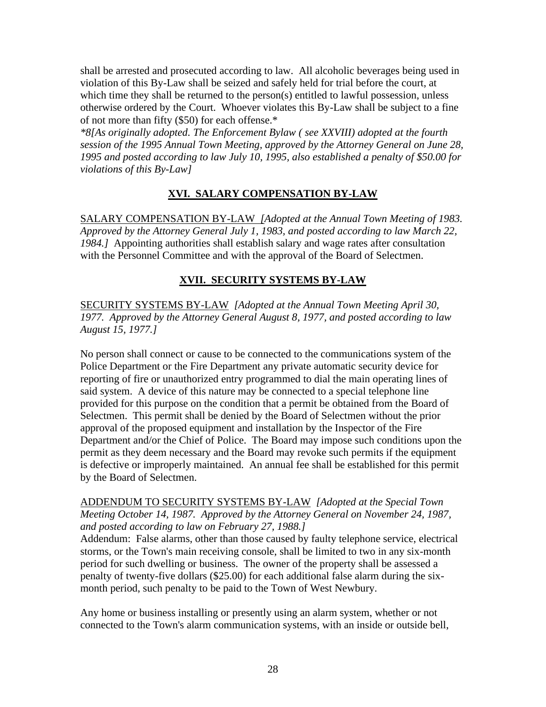shall be arrested and prosecuted according to law. All alcoholic beverages being used in violation of this By-Law shall be seized and safely held for trial before the court, at which time they shall be returned to the person(s) entitled to lawful possession, unless otherwise ordered by the Court. Whoever violates this By-Law shall be subject to a fine of not more than fifty (\$50) for each offense.\*

*\*8[As originally adopted. The Enforcement Bylaw ( see XXVIII) adopted at the fourth session of the 1995 Annual Town Meeting, approved by the Attorney General on June 28, 1995 and posted according to law July 10, 1995, also established a penalty of \$50.00 for violations of this By-Law]*

## **XVI. SALARY COMPENSATION BY-LAW**

SALARY COMPENSATION BY-LAW *[Adopted at the Annual Town Meeting of 1983. Approved by the Attorney General July 1, 1983, and posted according to law March 22, 1984.]* Appointing authorities shall establish salary and wage rates after consultation with the Personnel Committee and with the approval of the Board of Selectmen.

## **XVII. SECURITY SYSTEMS BY-LAW**

SECURITY SYSTEMS BY-LAW *[Adopted at the Annual Town Meeting April 30, 1977. Approved by the Attorney General August 8, 1977, and posted according to law August 15, 1977.]*

No person shall connect or cause to be connected to the communications system of the Police Department or the Fire Department any private automatic security device for reporting of fire or unauthorized entry programmed to dial the main operating lines of said system. A device of this nature may be connected to a special telephone line provided for this purpose on the condition that a permit be obtained from the Board of Selectmen. This permit shall be denied by the Board of Selectmen without the prior approval of the proposed equipment and installation by the Inspector of the Fire Department and/or the Chief of Police. The Board may impose such conditions upon the permit as they deem necessary and the Board may revoke such permits if the equipment is defective or improperly maintained. An annual fee shall be established for this permit by the Board of Selectmen.

ADDENDUM TO SECURITY SYSTEMS BY-LAW *[Adopted at the Special Town Meeting October 14, 1987. Approved by the Attorney General on November 24, 1987, and posted according to law on February 27, 1988.]*

Addendum: False alarms, other than those caused by faulty telephone service, electrical storms, or the Town's main receiving console, shall be limited to two in any six-month period for such dwelling or business. The owner of the property shall be assessed a penalty of twenty-five dollars (\$25.00) for each additional false alarm during the sixmonth period, such penalty to be paid to the Town of West Newbury.

Any home or business installing or presently using an alarm system, whether or not connected to the Town's alarm communication systems, with an inside or outside bell,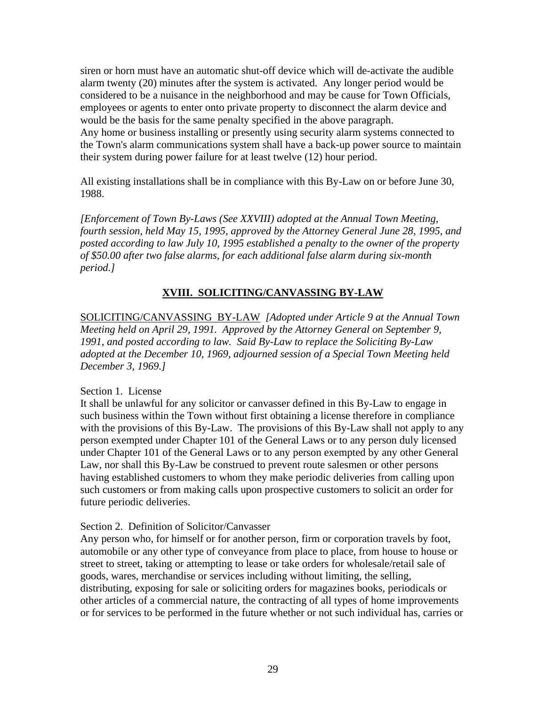siren or horn must have an automatic shut-off device which will de-activate the audible alarm twenty (20) minutes after the system is activated. Any longer period would be considered to be a nuisance in the neighborhood and may be cause for Town Officials, employees or agents to enter onto private property to disconnect the alarm device and would be the basis for the same penalty specified in the above paragraph. Any home or business installing or presently using security alarm systems connected to the Town's alarm communications system shall have a back-up power source to maintain their system during power failure for at least twelve (12) hour period.

All existing installations shall be in compliance with this By-Law on or before June 30, 1988.

*[Enforcement of Town By-Laws (See XXVIII) adopted at the Annual Town Meeting, fourth session, held May 15, 1995, approved by the Attorney General June 28, 1995, and posted according to law July 10, 1995 established a penalty to the owner of the property of \$50.00 after two false alarms, for each additional false alarm during six-month period.]*

## **XVIII. SOLICITING/CANVASSING BY-LAW**

SOLICITING/CANVASSING BY-LAW *[Adopted under Article 9 at the Annual Town Meeting held on April 29, 1991. Approved by the Attorney General on September 9, 1991, and posted according to law. Said By-Law to replace the Soliciting By-Law adopted at the December 10, 1969, adjourned session of a Special Town Meeting held December 3, 1969.]*

#### Section 1. License

It shall be unlawful for any solicitor or canvasser defined in this By-Law to engage in such business within the Town without first obtaining a license therefore in compliance with the provisions of this By-Law. The provisions of this By-Law shall not apply to any person exempted under Chapter 101 of the General Laws or to any person duly licensed under Chapter 101 of the General Laws or to any person exempted by any other General Law, nor shall this By-Law be construed to prevent route salesmen or other persons having established customers to whom they make periodic deliveries from calling upon such customers or from making calls upon prospective customers to solicit an order for future periodic deliveries.

#### Section 2. Definition of Solicitor/Canvasser

Any person who, for himself or for another person, firm or corporation travels by foot, automobile or any other type of conveyance from place to place, from house to house or street to street, taking or attempting to lease or take orders for wholesale/retail sale of goods, wares, merchandise or services including without limiting, the selling, distributing, exposing for sale or soliciting orders for magazines books, periodicals or other articles of a commercial nature, the contracting of all types of home improvements or for services to be performed in the future whether or not such individual has, carries or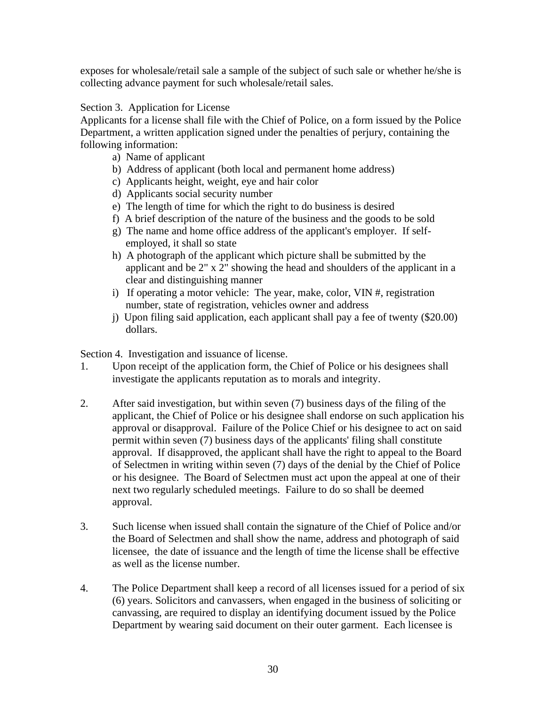exposes for wholesale/retail sale a sample of the subject of such sale or whether he/she is collecting advance payment for such wholesale/retail sales.

Section 3. Application for License

Applicants for a license shall file with the Chief of Police, on a form issued by the Police Department, a written application signed under the penalties of perjury, containing the following information:

- a) Name of applicant
- b) Address of applicant (both local and permanent home address)
- c) Applicants height, weight, eye and hair color
- d) Applicants social security number
- e) The length of time for which the right to do business is desired
- f) A brief description of the nature of the business and the goods to be sold
- g) The name and home office address of the applicant's employer. If self employed, it shall so state
- h) A photograph of the applicant which picture shall be submitted by the applicant and be 2" x 2" showing the head and shoulders of the applicant in a clear and distinguishing manner
- i) If operating a motor vehicle: The year, make, color, VIN #, registration number, state of registration, vehicles owner and address
- j) Upon filing said application, each applicant shall pay a fee of twenty (\$20.00) dollars.

Section 4. Investigation and issuance of license.

- 1. Upon receipt of the application form, the Chief of Police or his designees shall investigate the applicants reputation as to morals and integrity.
- 2. After said investigation, but within seven (7) business days of the filing of the applicant, the Chief of Police or his designee shall endorse on such application his approval or disapproval. Failure of the Police Chief or his designee to act on said permit within seven (7) business days of the applicants' filing shall constitute approval. If disapproved, the applicant shall have the right to appeal to the Board of Selectmen in writing within seven (7) days of the denial by the Chief of Police or his designee. The Board of Selectmen must act upon the appeal at one of their next two regularly scheduled meetings. Failure to do so shall be deemed approval.
- 3. Such license when issued shall contain the signature of the Chief of Police and/or the Board of Selectmen and shall show the name, address and photograph of said licensee, the date of issuance and the length of time the license shall be effective as well as the license number.
- 4. The Police Department shall keep a record of all licenses issued for a period of six (6) years. Solicitors and canvassers, when engaged in the business of soliciting or canvassing, are required to display an identifying document issued by the Police Department by wearing said document on their outer garment. Each licensee is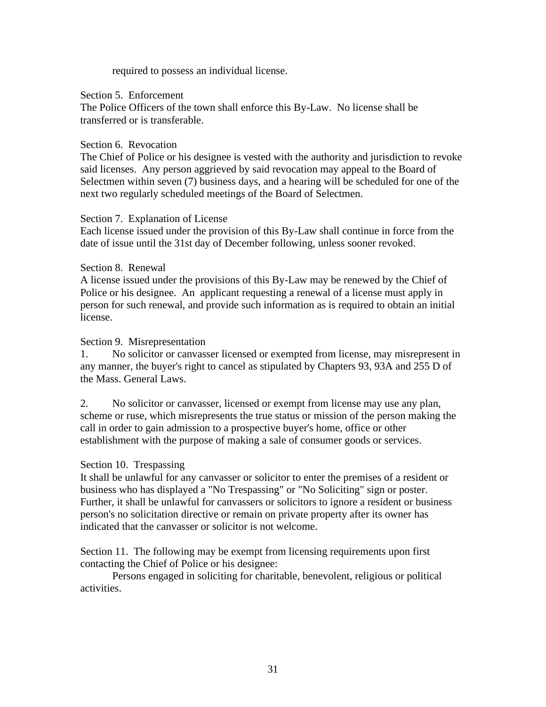required to possess an individual license.

Section 5. Enforcement

The Police Officers of the town shall enforce this By-Law. No license shall be transferred or is transferable.

#### Section 6. Revocation

The Chief of Police or his designee is vested with the authority and jurisdiction to revoke said licenses. Any person aggrieved by said revocation may appeal to the Board of Selectmen within seven (7) business days, and a hearing will be scheduled for one of the next two regularly scheduled meetings of the Board of Selectmen.

#### Section 7. Explanation of License

Each license issued under the provision of this By-Law shall continue in force from the date of issue until the 31st day of December following, unless sooner revoked.

#### Section 8. Renewal

A license issued under the provisions of this By-Law may be renewed by the Chief of Police or his designee. An applicant requesting a renewal of a license must apply in person for such renewal, and provide such information as is required to obtain an initial license.

#### Section 9. Misrepresentation

1. No solicitor or canvasser licensed or exempted from license, may misrepresent in any manner, the buyer's right to cancel as stipulated by Chapters 93, 93A and 255 D of the Mass. General Laws.

2. No solicitor or canvasser, licensed or exempt from license may use any plan, scheme or ruse, which misrepresents the true status or mission of the person making the call in order to gain admission to a prospective buyer's home, office or other establishment with the purpose of making a sale of consumer goods or services.

#### Section 10. Trespassing

It shall be unlawful for any canvasser or solicitor to enter the premises of a resident or business who has displayed a "No Trespassing" or "No Soliciting" sign or poster. Further, it shall be unlawful for canvassers or solicitors to ignore a resident or business person's no solicitation directive or remain on private property after its owner has indicated that the canvasser or solicitor is not welcome.

Section 11. The following may be exempt from licensing requirements upon first contacting the Chief of Police or his designee:

Persons engaged in soliciting for charitable, benevolent, religious or political activities.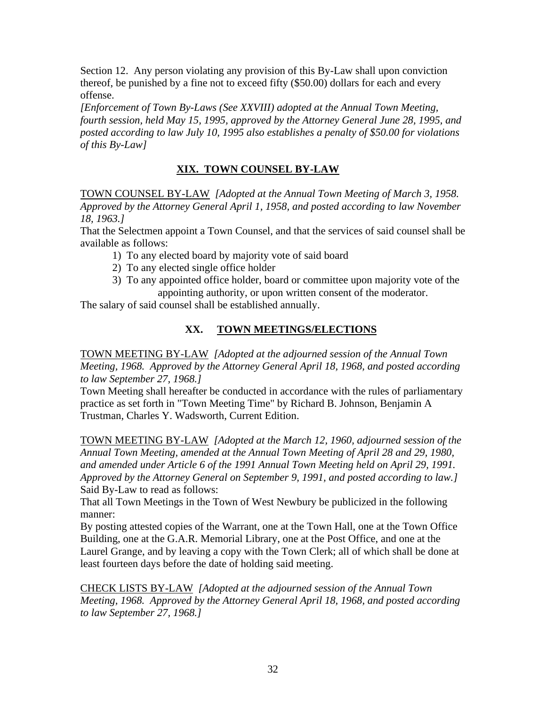Section 12. Any person violating any provision of this By-Law shall upon conviction thereof, be punished by a fine not to exceed fifty (\$50.00) dollars for each and every offense.

*[Enforcement of Town By-Laws (See XXVIII) adopted at the Annual Town Meeting, fourth session, held May 15, 1995, approved by the Attorney General June 28, 1995, and posted according to law July 10, 1995 also establishes a penalty of \$50.00 for violations of this By-Law]*

# **XIX. TOWN COUNSEL BY-LAW**

TOWN COUNSEL BY-LAW *[Adopted at the Annual Town Meeting of March 3, 1958. Approved by the Attorney General April 1, 1958, and posted according to law November 18, 1963.]*

That the Selectmen appoint a Town Counsel, and that the services of said counsel shall be available as follows:

- 1) To any elected board by majority vote of said board
- 2) To any elected single office holder
- 3) To any appointed office holder, board or committee upon majority vote of the appointing authority, or upon written consent of the moderator.

The salary of said counsel shall be established annually.

## **XX. TOWN MEETINGS/ELECTIONS**

TOWN MEETING BY-LAW *[Adopted at the adjourned session of the Annual Town Meeting, 1968. Approved by the Attorney General April 18, 1968, and posted according to law September 27, 1968.]*

Town Meeting shall hereafter be conducted in accordance with the rules of parliamentary practice as set forth in "Town Meeting Time" by Richard B. Johnson, Benjamin A Trustman, Charles Y. Wadsworth, Current Edition.

TOWN MEETING BY-LAW *[Adopted at the March 12, 1960, adjourned session of the Annual Town Meeting, amended at the Annual Town Meeting of April 28 and 29, 1980,*  and amended under Article 6 of the 1991 Annual Town Meeting held on April 29, 1991. *Approved by the Attorney General on September 9, 1991, and posted according to law.]* Said By-Law to read as follows:

That all Town Meetings in the Town of West Newbury be publicized in the following manner:

By posting attested copies of the Warrant, one at the Town Hall, one at the Town Office Building, one at the G.A.R. Memorial Library, one at the Post Office, and one at the Laurel Grange, and by leaving a copy with the Town Clerk; all of which shall be done at least fourteen days before the date of holding said meeting.

CHECK LISTS BY-LAW *[Adopted at the adjourned session of the Annual Town Meeting, 1968. Approved by the Attorney General April 18, 1968, and posted according to law September 27, 1968.]*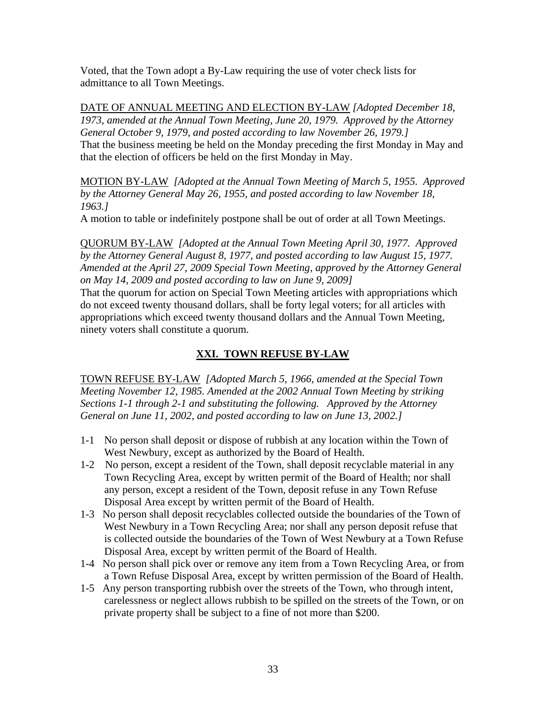Voted, that the Town adopt a By-Law requiring the use of voter check lists for admittance to all Town Meetings.

DATE OF ANNUAL MEETING AND ELECTION BY-LAW *[Adopted December 18, 1973, amended at the Annual Town Meeting, June 20, 1979. Approved by the Attorney General October 9, 1979, and posted according to law November 26, 1979.]* That the business meeting be held on the Monday preceding the first Monday in May and that the election of officers be held on the first Monday in May.

MOTION BY-LAW *[Adopted at the Annual Town Meeting of March 5, 1955. Approved by the Attorney General May 26, 1955, and posted according to law November 18, 1963.]*

A motion to table or indefinitely postpone shall be out of order at all Town Meetings.

QUORUM BY-LAW *[Adopted at the Annual Town Meeting April 30, 1977. Approved by the Attorney General August 8, 1977, and posted according to law August 15, 1977. Amended at the April 27, 2009 Special Town Meeting, approved by the Attorney General on May 14, 2009 and posted according to law on June 9, 2009]*

That the quorum for action on Special Town Meeting articles with appropriations which do not exceed twenty thousand dollars, shall be forty legal voters; for all articles with appropriations which exceed twenty thousand dollars and the Annual Town Meeting, ninety voters shall constitute a quorum.

# **XXI. TOWN REFUSE BY-LAW**

TOWN REFUSE BY-LAW *[Adopted March 5, 1966, amended at the Special Town Meeting November 12, 1985. Amended at the 2002 Annual Town Meeting by striking Sections 1-1 through 2-1 and substituting the following. Approved by the Attorney General on June 11, 2002, and posted according to law on June 13, 2002.]*

- 1-1 No person shall deposit or dispose of rubbish at any location within the Town of West Newbury, except as authorized by the Board of Health.
- 1-2 No person, except a resident of the Town, shall deposit recyclable material in any Town Recycling Area, except by written permit of the Board of Health; nor shall any person, except a resident of the Town, deposit refuse in any Town Refuse Disposal Area except by written permit of the Board of Health.
- 1-3 No person shall deposit recyclables collected outside the boundaries of the Town of West Newbury in a Town Recycling Area; nor shall any person deposit refuse that is collected outside the boundaries of the Town of West Newbury at a Town Refuse Disposal Area, except by written permit of the Board of Health.
- 1-4 No person shall pick over or remove any item from a Town Recycling Area, or from a Town Refuse Disposal Area, except by written permission of the Board of Health.
- 1-5 Any person transporting rubbish over the streets of the Town, who through intent, carelessness or neglect allows rubbish to be spilled on the streets of the Town, or on private property shall be subject to a fine of not more than \$200.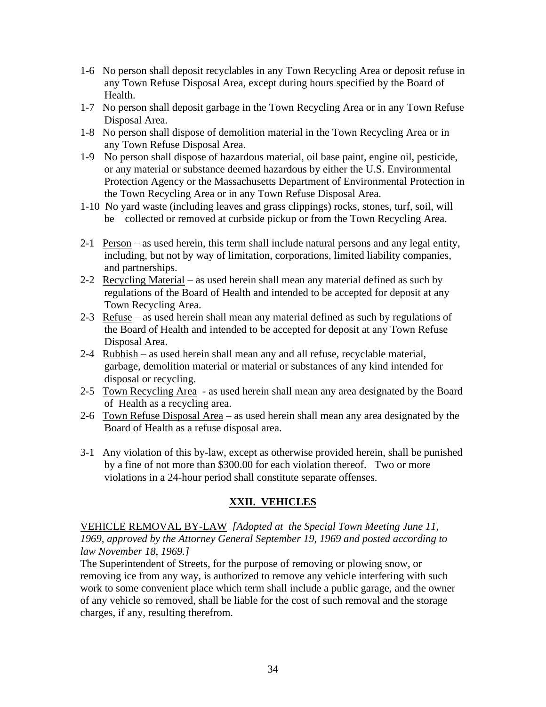- 1-6 No person shall deposit recyclables in any Town Recycling Area or deposit refuse in any Town Refuse Disposal Area, except during hours specified by the Board of Health.
- 1-7 No person shall deposit garbage in the Town Recycling Area or in any Town Refuse Disposal Area.
- 1-8 No person shall dispose of demolition material in the Town Recycling Area or in any Town Refuse Disposal Area.
- 1-9 No person shall dispose of hazardous material, oil base paint, engine oil, pesticide, or any material or substance deemed hazardous by either the U.S. Environmental Protection Agency or the Massachusetts Department of Environmental Protection in the Town Recycling Area or in any Town Refuse Disposal Area.
- 1-10 No yard waste (including leaves and grass clippings) rocks, stones, turf, soil, will be collected or removed at curbside pickup or from the Town Recycling Area.
- 2-1 Person as used herein, this term shall include natural persons and any legal entity, including, but not by way of limitation, corporations, limited liability companies, and partnerships.
- 2-2 Recycling Material as used herein shall mean any material defined as such by regulations of the Board of Health and intended to be accepted for deposit at any Town Recycling Area.
- 2-3 Refuse as used herein shall mean any material defined as such by regulations of the Board of Health and intended to be accepted for deposit at any Town Refuse Disposal Area.
- 2-4 Rubbish as used herein shall mean any and all refuse, recyclable material, garbage, demolition material or material or substances of any kind intended for disposal or recycling.
- 2-5 Town Recycling Area as used herein shall mean any area designated by the Board of Health as a recycling area.
- 2-6 Town Refuse Disposal Area as used herein shall mean any area designated by the Board of Health as a refuse disposal area.
- 3-1 Any violation of this by-law, except as otherwise provided herein, shall be punished by a fine of not more than \$300.00 for each violation thereof. Two or more violations in a 24-hour period shall constitute separate offenses.

## **XXII. VEHICLES**

VEHICLE REMOVAL BY-LAW *[Adopted at the Special Town Meeting June 11, 1969, approved by the Attorney General September 19, 1969 and posted according to law November 18, 1969.]*

The Superintendent of Streets, for the purpose of removing or plowing snow, or removing ice from any way, is authorized to remove any vehicle interfering with such work to some convenient place which term shall include a public garage, and the owner of any vehicle so removed, shall be liable for the cost of such removal and the storage charges, if any, resulting therefrom.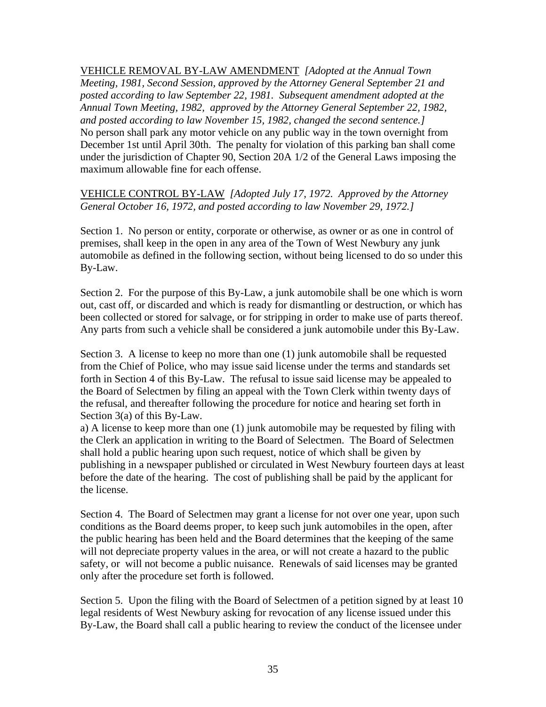VEHICLE REMOVAL BY-LAW AMENDMENT *[Adopted at the Annual Town Meeting, 1981, Second Session, approved by the Attorney General September 21 and posted according to law September 22, 1981. Subsequent amendment adopted at the Annual Town Meeting, 1982, approved by the Attorney General September 22, 1982, and posted according to law November 15, 1982, changed the second sentence.]* No person shall park any motor vehicle on any public way in the town overnight from December 1st until April 30th. The penalty for violation of this parking ban shall come under the jurisdiction of Chapter 90, Section 20A 1/2 of the General Laws imposing the maximum allowable fine for each offense.

VEHICLE CONTROL BY-LAW *[Adopted July 17, 1972. Approved by the Attorney General October 16, 1972, and posted according to law November 29, 1972.]*

Section 1. No person or entity, corporate or otherwise, as owner or as one in control of premises, shall keep in the open in any area of the Town of West Newbury any junk automobile as defined in the following section, without being licensed to do so under this By-Law.

Section 2. For the purpose of this By-Law, a junk automobile shall be one which is worn out, cast off, or discarded and which is ready for dismantling or destruction, or which has been collected or stored for salvage, or for stripping in order to make use of parts thereof. Any parts from such a vehicle shall be considered a junk automobile under this By-Law.

Section 3. A license to keep no more than one (1) junk automobile shall be requested from the Chief of Police, who may issue said license under the terms and standards set forth in Section 4 of this By-Law. The refusal to issue said license may be appealed to the Board of Selectmen by filing an appeal with the Town Clerk within twenty days of the refusal, and thereafter following the procedure for notice and hearing set forth in Section 3(a) of this By-Law.

a) A license to keep more than one (1) junk automobile may be requested by filing with the Clerk an application in writing to the Board of Selectmen. The Board of Selectmen shall hold a public hearing upon such request, notice of which shall be given by publishing in a newspaper published or circulated in West Newbury fourteen days at least before the date of the hearing. The cost of publishing shall be paid by the applicant for the license.

Section 4. The Board of Selectmen may grant a license for not over one year, upon such conditions as the Board deems proper, to keep such junk automobiles in the open, after the public hearing has been held and the Board determines that the keeping of the same will not depreciate property values in the area, or will not create a hazard to the public safety, or will not become a public nuisance. Renewals of said licenses may be granted only after the procedure set forth is followed.

Section 5. Upon the filing with the Board of Selectmen of a petition signed by at least 10 legal residents of West Newbury asking for revocation of any license issued under this By-Law, the Board shall call a public hearing to review the conduct of the licensee under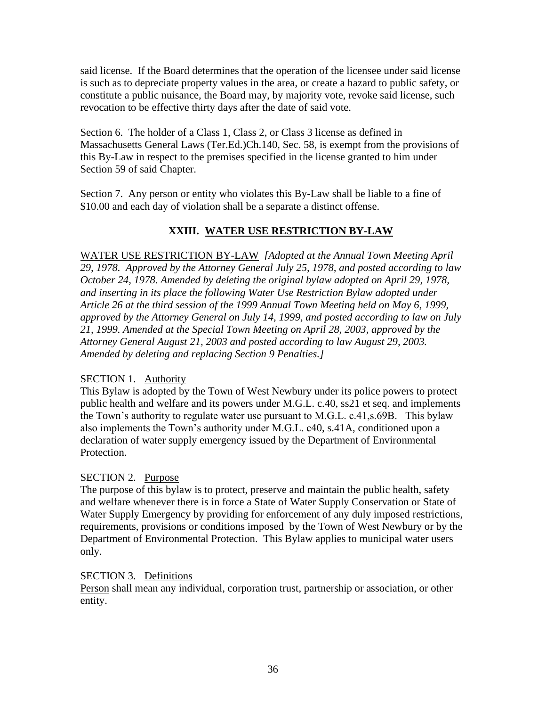said license. If the Board determines that the operation of the licensee under said license is such as to depreciate property values in the area, or create a hazard to public safety, or constitute a public nuisance, the Board may, by majority vote, revoke said license, such revocation to be effective thirty days after the date of said vote.

Section 6. The holder of a Class 1, Class 2, or Class 3 license as defined in Massachusetts General Laws (Ter.Ed.)Ch.140, Sec. 58, is exempt from the provisions of this By-Law in respect to the premises specified in the license granted to him under Section 59 of said Chapter.

Section 7. Any person or entity who violates this By-Law shall be liable to a fine of \$10.00 and each day of violation shall be a separate a distinct offense.

# **XXIII. WATER USE RESTRICTION BY-LAW**

WATER USE RESTRICTION BY-LAW *[Adopted at the Annual Town Meeting April 29, 1978. Approved by the Attorney General July 25, 1978, and posted according to law October 24, 1978. Amended by deleting the original bylaw adopted on April 29, 1978, and inserting in its place the following Water Use Restriction Bylaw adopted under Article 26 at the third session of the 1999 Annual Town Meeting held on May 6, 1999, approved by the Attorney General on July 14, 1999, and posted according to law on July 21, 1999. Amended at the Special Town Meeting on April 28, 2003, approved by the Attorney General August 21, 2003 and posted according to law August 29, 2003. Amended by deleting and replacing Section 9 Penalties.]*

## SECTION 1. Authority

This Bylaw is adopted by the Town of West Newbury under its police powers to protect public health and welfare and its powers under M.G.L. c.40, ss21 et seq. and implements the Town's authority to regulate water use pursuant to M.G.L. c.41,s.69B. This bylaw also implements the Town's authority under M.G.L. c40, s.41A, conditioned upon a declaration of water supply emergency issued by the Department of Environmental Protection.

## SECTION 2. Purpose

The purpose of this bylaw is to protect, preserve and maintain the public health, safety and welfare whenever there is in force a State of Water Supply Conservation or State of Water Supply Emergency by providing for enforcement of any duly imposed restrictions, requirements, provisions or conditions imposed by the Town of West Newbury or by the Department of Environmental Protection. This Bylaw applies to municipal water users only.

SECTION 3. Definitions

Person shall mean any individual, corporation trust, partnership or association, or other entity.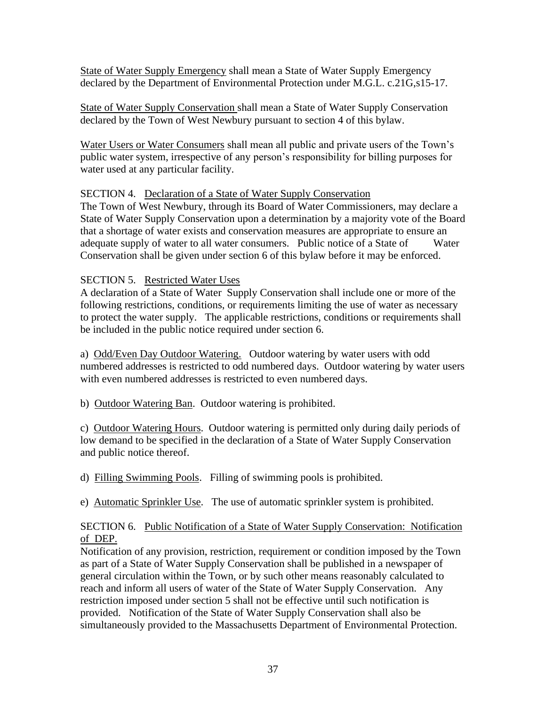State of Water Supply Emergency shall mean a State of Water Supply Emergency declared by the Department of Environmental Protection under M.G.L. c.21G,s15-17.

State of Water Supply Conservation shall mean a State of Water Supply Conservation declared by the Town of West Newbury pursuant to section 4 of this bylaw.

Water Users or Water Consumers shall mean all public and private users of the Town's public water system, irrespective of any person's responsibility for billing purposes for water used at any particular facility.

# SECTION 4. Declaration of a State of Water Supply Conservation

The Town of West Newbury, through its Board of Water Commissioners, may declare a State of Water Supply Conservation upon a determination by a majority vote of the Board that a shortage of water exists and conservation measures are appropriate to ensure an adequate supply of water to all water consumers. Public notice of a State of Water Conservation shall be given under section 6 of this bylaw before it may be enforced.

## SECTION 5. Restricted Water Uses

A declaration of a State of Water Supply Conservation shall include one or more of the following restrictions, conditions, or requirements limiting the use of water as necessary to protect the water supply. The applicable restrictions, conditions or requirements shall be included in the public notice required under section 6.

a) Odd/Even Day Outdoor Watering. Outdoor watering by water users with odd numbered addresses is restricted to odd numbered days. Outdoor watering by water users with even numbered addresses is restricted to even numbered days.

b) Outdoor Watering Ban. Outdoor watering is prohibited.

c) Outdoor Watering Hours. Outdoor watering is permitted only during daily periods of low demand to be specified in the declaration of a State of Water Supply Conservation and public notice thereof.

d) Filling Swimming Pools. Filling of swimming pools is prohibited.

e) Automatic Sprinkler Use. The use of automatic sprinkler system is prohibited.

## SECTION 6. Public Notification of a State of Water Supply Conservation: Notification of DEP.

Notification of any provision, restriction, requirement or condition imposed by the Town as part of a State of Water Supply Conservation shall be published in a newspaper of general circulation within the Town, or by such other means reasonably calculated to reach and inform all users of water of the State of Water Supply Conservation. Any restriction imposed under section 5 shall not be effective until such notification is provided. Notification of the State of Water Supply Conservation shall also be simultaneously provided to the Massachusetts Department of Environmental Protection.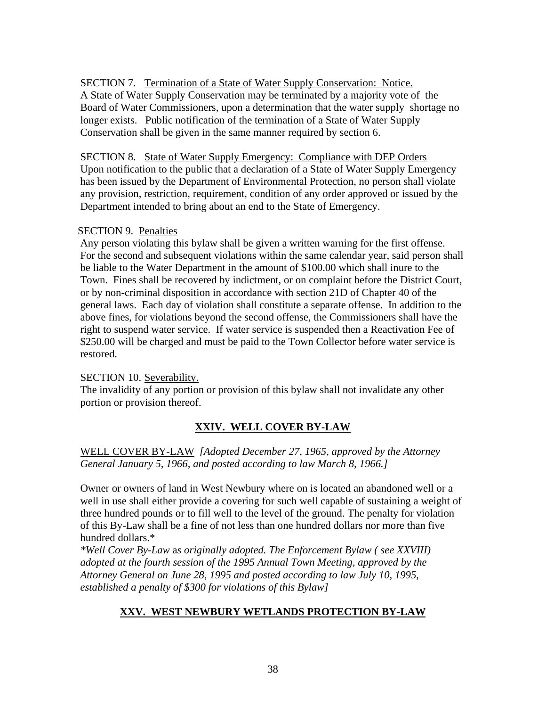# SECTION 7. Termination of a State of Water Supply Conservation: Notice.

A State of Water Supply Conservation may be terminated by a majority vote of the Board of Water Commissioners, upon a determination that the water supply shortage no longer exists. Public notification of the termination of a State of Water Supply Conservation shall be given in the same manner required by section 6.

## SECTION 8. State of Water Supply Emergency: Compliance with DEP Orders

Upon notification to the public that a declaration of a State of Water Supply Emergency has been issued by the Department of Environmental Protection, no person shall violate any provision, restriction, requirement, condition of any order approved or issued by the Department intended to bring about an end to the State of Emergency.

## SECTION 9. Penalties

Any person violating this bylaw shall be given a written warning for the first offense. For the second and subsequent violations within the same calendar year, said person shall be liable to the Water Department in the amount of \$100.00 which shall inure to the Town. Fines shall be recovered by indictment, or on complaint before the District Court, or by non-criminal disposition in accordance with section 21D of Chapter 40 of the general laws. Each day of violation shall constitute a separate offense. In addition to the above fines, for violations beyond the second offense, the Commissioners shall have the right to suspend water service. If water service is suspended then a Reactivation Fee of \$250.00 will be charged and must be paid to the Town Collector before water service is restored.

# SECTION 10. Severability.

The invalidity of any portion or provision of this bylaw shall not invalidate any other portion or provision thereof.

# **XXIV. WELL COVER BY-LAW**

WELL COVER BY-LAW *[Adopted December 27, 1965, approved by the Attorney General January 5, 1966, and posted according to law March 8, 1966.]*

Owner or owners of land in West Newbury where on is located an abandoned well or a well in use shall either provide a covering for such well capable of sustaining a weight of three hundred pounds or to fill well to the level of the ground. The penalty for violation of this By-Law shall be a fine of not less than one hundred dollars nor more than five hundred dollars.\*

*\*Well Cover By-Law* a*s originally adopted. The Enforcement Bylaw ( see XXVIII) adopted at the fourth session of the 1995 Annual Town Meeting, approved by the Attorney General on June 28, 1995 and posted according to law July 10, 1995, established a penalty of \$300 for violations of this Bylaw]*

# **XXV. WEST NEWBURY WETLANDS PROTECTION BY-LAW**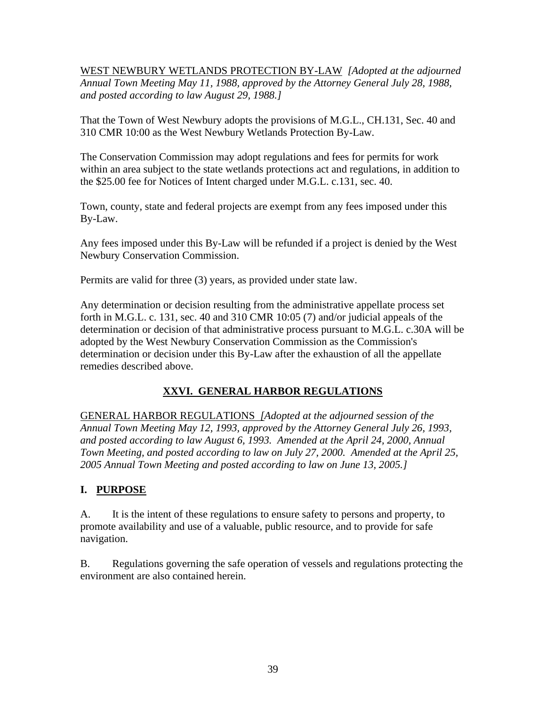WEST NEWBURY WETLANDS PROTECTION BY-LAW *[Adopted at the adjourned Annual Town Meeting May 11, 1988, approved by the Attorney General July 28, 1988, and posted according to law August 29, 1988.]*

That the Town of West Newbury adopts the provisions of M.G.L., CH.131, Sec. 40 and 310 CMR 10:00 as the West Newbury Wetlands Protection By-Law.

The Conservation Commission may adopt regulations and fees for permits for work within an area subject to the state wetlands protections act and regulations, in addition to the \$25.00 fee for Notices of Intent charged under M.G.L. c.131, sec. 40.

Town, county, state and federal projects are exempt from any fees imposed under this By-Law.

Any fees imposed under this By-Law will be refunded if a project is denied by the West Newbury Conservation Commission.

Permits are valid for three (3) years, as provided under state law.

Any determination or decision resulting from the administrative appellate process set forth in M.G.L. c. 131, sec. 40 and 310 CMR 10:05 (7) and/or judicial appeals of the determination or decision of that administrative process pursuant to M.G.L. c.30A will be adopted by the West Newbury Conservation Commission as the Commission's determination or decision under this By-Law after the exhaustion of all the appellate remedies described above.

# **XXVI. GENERAL HARBOR REGULATIONS**

GENERAL HARBOR REGULATIONS *[Adopted at the adjourned session of the Annual Town Meeting May 12, 1993, approved by the Attorney General July 26, 1993, and posted according to law August 6, 1993. Amended at the April 24, 2000, Annual Town Meeting, and posted according to law on July 27, 2000. Amended at the April 25, 2005 Annual Town Meeting and posted according to law on June 13, 2005.]*

# **I. PURPOSE**

A. It is the intent of these regulations to ensure safety to persons and property, to promote availability and use of a valuable, public resource, and to provide for safe navigation.

B. Regulations governing the safe operation of vessels and regulations protecting the environment are also contained herein.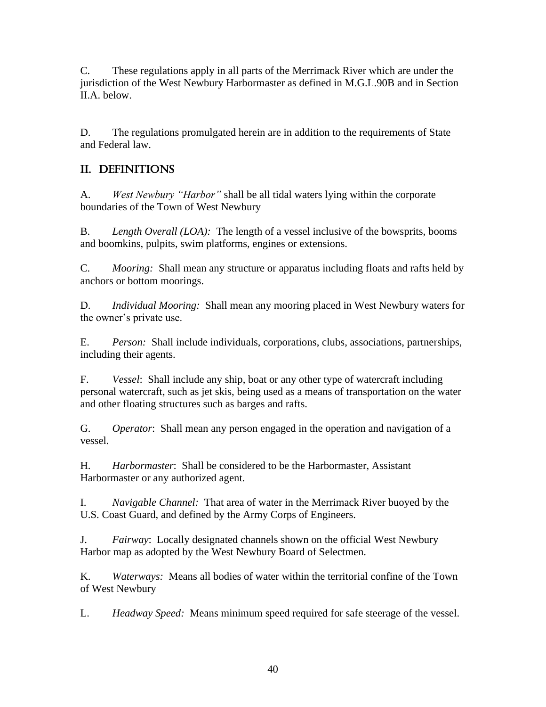C. These regulations apply in all parts of the Merrimack River which are under the jurisdiction of the West Newbury Harbormaster as defined in M.G.L.90B and in Section II.A. below.

D. The regulations promulgated herein are in addition to the requirements of State and Federal law.

# II. DEFINITIONS

A. *West Newbury "Harbor"* shall be all tidal waters lying within the corporate boundaries of the Town of West Newbury

B. *Length Overall (LOA):* The length of a vessel inclusive of the bowsprits, booms and boomkins, pulpits, swim platforms, engines or extensions.

C. *Mooring:* Shall mean any structure or apparatus including floats and rafts held by anchors or bottom moorings.

D. *Individual Mooring:* Shall mean any mooring placed in West Newbury waters for the owner's private use.

E. *Person:* Shall include individuals, corporations, clubs, associations, partnerships, including their agents.

F. *Vessel*: Shall include any ship, boat or any other type of watercraft including personal watercraft, such as jet skis, being used as a means of transportation on the water and other floating structures such as barges and rafts.

G. *Operator*: Shall mean any person engaged in the operation and navigation of a vessel.

H. *Harbormaster*: Shall be considered to be the Harbormaster, Assistant Harbormaster or any authorized agent.

I. *Navigable Channel:* That area of water in the Merrimack River buoyed by the U.S. Coast Guard, and defined by the Army Corps of Engineers.

J. *Fairway*: Locally designated channels shown on the official West Newbury Harbor map as adopted by the West Newbury Board of Selectmen.

K. *Waterways:* Means all bodies of water within the territorial confine of the Town of West Newbury

L. *Headway Speed:* Means minimum speed required for safe steerage of the vessel.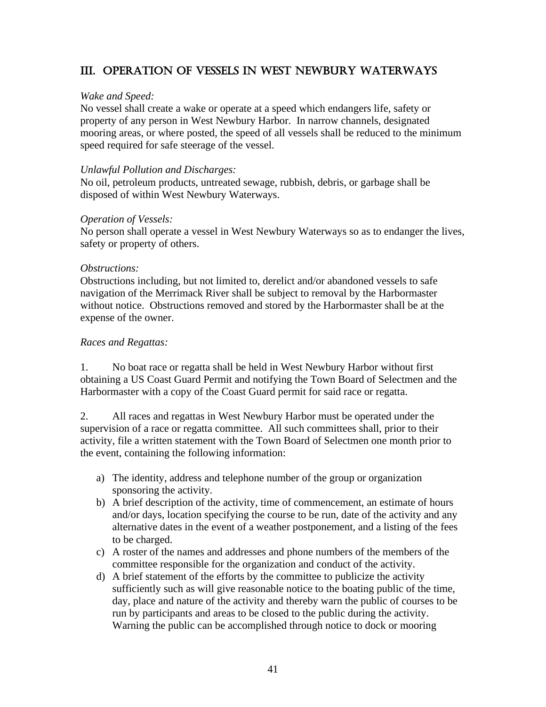# III. OPERATION OF VESSELS IN WEST NEWBURY WATERWAYS

## *Wake and Speed:*

No vessel shall create a wake or operate at a speed which endangers life, safety or property of any person in West Newbury Harbor. In narrow channels, designated mooring areas, or where posted, the speed of all vessels shall be reduced to the minimum speed required for safe steerage of the vessel.

## *Unlawful Pollution and Discharges:*

No oil, petroleum products, untreated sewage, rubbish, debris, or garbage shall be disposed of within West Newbury Waterways.

## *Operation of Vessels:*

No person shall operate a vessel in West Newbury Waterways so as to endanger the lives, safety or property of others.

## *Obstructions:*

Obstructions including, but not limited to, derelict and/or abandoned vessels to safe navigation of the Merrimack River shall be subject to removal by the Harbormaster without notice. Obstructions removed and stored by the Harbormaster shall be at the expense of the owner.

## *Races and Regattas:*

1. No boat race or regatta shall be held in West Newbury Harbor without first obtaining a US Coast Guard Permit and notifying the Town Board of Selectmen and the Harbormaster with a copy of the Coast Guard permit for said race or regatta.

2. All races and regattas in West Newbury Harbor must be operated under the supervision of a race or regatta committee. All such committees shall, prior to their activity, file a written statement with the Town Board of Selectmen one month prior to the event, containing the following information:

- a) The identity, address and telephone number of the group or organization sponsoring the activity.
- b) A brief description of the activity, time of commencement, an estimate of hours and/or days, location specifying the course to be run, date of the activity and any alternative dates in the event of a weather postponement, and a listing of the fees to be charged.
- c) A roster of the names and addresses and phone numbers of the members of the committee responsible for the organization and conduct of the activity.
- d) A brief statement of the efforts by the committee to publicize the activity sufficiently such as will give reasonable notice to the boating public of the time, day, place and nature of the activity and thereby warn the public of courses to be run by participants and areas to be closed to the public during the activity. Warning the public can be accomplished through notice to dock or mooring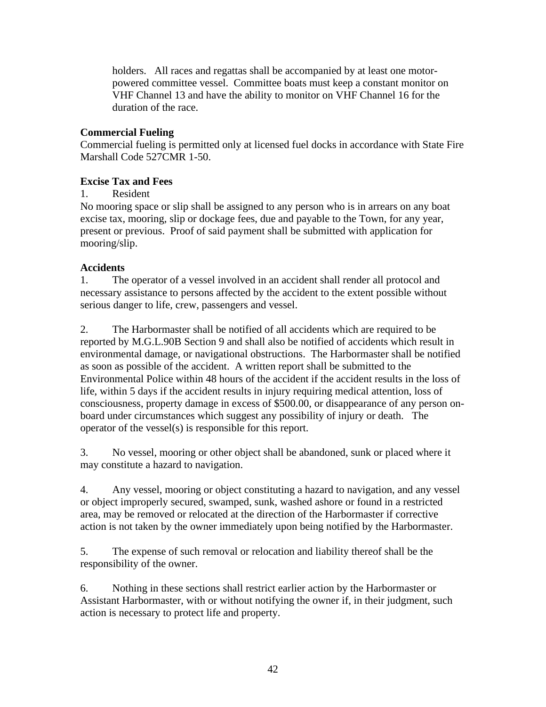holders. All races and regattas shall be accompanied by at least one motorpowered committee vessel. Committee boats must keep a constant monitor on VHF Channel 13 and have the ability to monitor on VHF Channel 16 for the duration of the race.

# **Commercial Fueling**

Commercial fueling is permitted only at licensed fuel docks in accordance with State Fire Marshall Code 527CMR 1-50.

## **Excise Tax and Fees**

## 1. Resident

No mooring space or slip shall be assigned to any person who is in arrears on any boat excise tax, mooring, slip or dockage fees, due and payable to the Town, for any year, present or previous. Proof of said payment shall be submitted with application for mooring/slip.

# **Accidents**

1. The operator of a vessel involved in an accident shall render all protocol and necessary assistance to persons affected by the accident to the extent possible without serious danger to life, crew, passengers and vessel.

2. The Harbormaster shall be notified of all accidents which are required to be reported by M.G.L.90B Section 9 and shall also be notified of accidents which result in environmental damage, or navigational obstructions. The Harbormaster shall be notified as soon as possible of the accident. A written report shall be submitted to the Environmental Police within 48 hours of the accident if the accident results in the loss of life, within 5 days if the accident results in injury requiring medical attention, loss of consciousness, property damage in excess of \$500.00, or disappearance of any person onboard under circumstances which suggest any possibility of injury or death. The operator of the vessel(s) is responsible for this report.

3. No vessel, mooring or other object shall be abandoned, sunk or placed where it may constitute a hazard to navigation.

4. Any vessel, mooring or object constituting a hazard to navigation, and any vessel or object improperly secured, swamped, sunk, washed ashore or found in a restricted area, may be removed or relocated at the direction of the Harbormaster if corrective action is not taken by the owner immediately upon being notified by the Harbormaster.

5. The expense of such removal or relocation and liability thereof shall be the responsibility of the owner.

6. Nothing in these sections shall restrict earlier action by the Harbormaster or Assistant Harbormaster, with or without notifying the owner if, in their judgment, such action is necessary to protect life and property.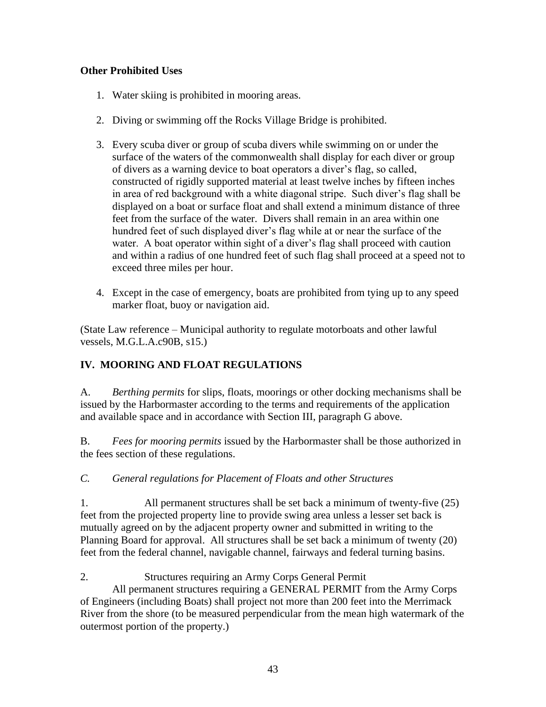# **Other Prohibited Uses**

- 1. Water skiing is prohibited in mooring areas.
- 2. Diving or swimming off the Rocks Village Bridge is prohibited.
- 3. Every scuba diver or group of scuba divers while swimming on or under the surface of the waters of the commonwealth shall display for each diver or group of divers as a warning device to boat operators a diver's flag, so called, constructed of rigidly supported material at least twelve inches by fifteen inches in area of red background with a white diagonal stripe. Such diver's flag shall be displayed on a boat or surface float and shall extend a minimum distance of three feet from the surface of the water. Divers shall remain in an area within one hundred feet of such displayed diver's flag while at or near the surface of the water. A boat operator within sight of a diver's flag shall proceed with caution and within a radius of one hundred feet of such flag shall proceed at a speed not to exceed three miles per hour.
- 4. Except in the case of emergency, boats are prohibited from tying up to any speed marker float, buoy or navigation aid.

(State Law reference – Municipal authority to regulate motorboats and other lawful vessels, M.G.L.A.c90B, s15.)

# **IV. MOORING AND FLOAT REGULATIONS**

A. *Berthing permits* for slips, floats, moorings or other docking mechanisms shall be issued by the Harbormaster according to the terms and requirements of the application and available space and in accordance with Section III, paragraph G above.

B. *Fees for mooring permits* issued by the Harbormaster shall be those authorized in the fees section of these regulations.

*C. General regulations for Placement of Floats and other Structures*

1. All permanent structures shall be set back a minimum of twenty-five (25) feet from the projected property line to provide swing area unless a lesser set back is mutually agreed on by the adjacent property owner and submitted in writing to the Planning Board for approval. All structures shall be set back a minimum of twenty (20) feet from the federal channel, navigable channel, fairways and federal turning basins.

# 2. Structures requiring an Army Corps General Permit

All permanent structures requiring a GENERAL PERMIT from the Army Corps of Engineers (including Boats) shall project not more than 200 feet into the Merrimack River from the shore (to be measured perpendicular from the mean high watermark of the outermost portion of the property.)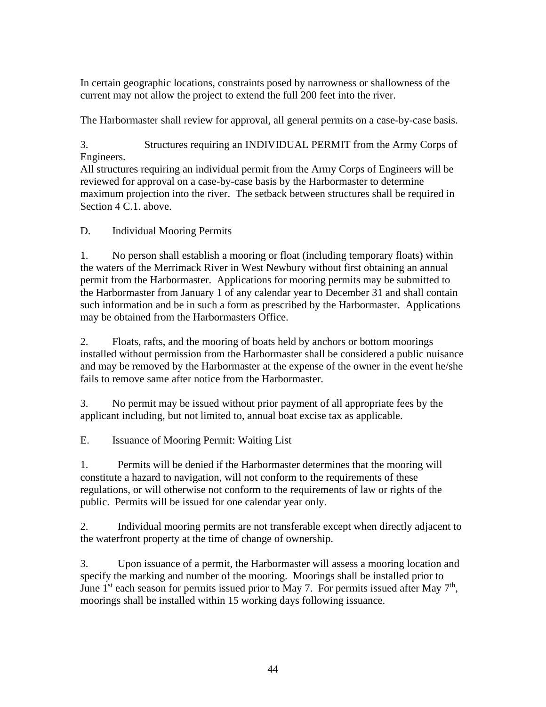In certain geographic locations, constraints posed by narrowness or shallowness of the current may not allow the project to extend the full 200 feet into the river.

The Harbormaster shall review for approval, all general permits on a case-by-case basis.

3. Structures requiring an INDIVIDUAL PERMIT from the Army Corps of Engineers.

All structures requiring an individual permit from the Army Corps of Engineers will be reviewed for approval on a case-by-case basis by the Harbormaster to determine maximum projection into the river. The setback between structures shall be required in Section 4 C.1. above.

D. Individual Mooring Permits

1. No person shall establish a mooring or float (including temporary floats) within the waters of the Merrimack River in West Newbury without first obtaining an annual permit from the Harbormaster. Applications for mooring permits may be submitted to the Harbormaster from January 1 of any calendar year to December 31 and shall contain such information and be in such a form as prescribed by the Harbormaster. Applications may be obtained from the Harbormasters Office.

2. Floats, rafts, and the mooring of boats held by anchors or bottom moorings installed without permission from the Harbormaster shall be considered a public nuisance and may be removed by the Harbormaster at the expense of the owner in the event he/she fails to remove same after notice from the Harbormaster.

3. No permit may be issued without prior payment of all appropriate fees by the applicant including, but not limited to, annual boat excise tax as applicable.

E. Issuance of Mooring Permit: Waiting List

1. Permits will be denied if the Harbormaster determines that the mooring will constitute a hazard to navigation, will not conform to the requirements of these regulations, or will otherwise not conform to the requirements of law or rights of the public. Permits will be issued for one calendar year only.

2. Individual mooring permits are not transferable except when directly adjacent to the waterfront property at the time of change of ownership.

3. Upon issuance of a permit, the Harbormaster will assess a mooring location and specify the marking and number of the mooring. Moorings shall be installed prior to June  $1<sup>st</sup>$  each season for permits issued prior to May 7. For permits issued after May  $7<sup>th</sup>$ , moorings shall be installed within 15 working days following issuance.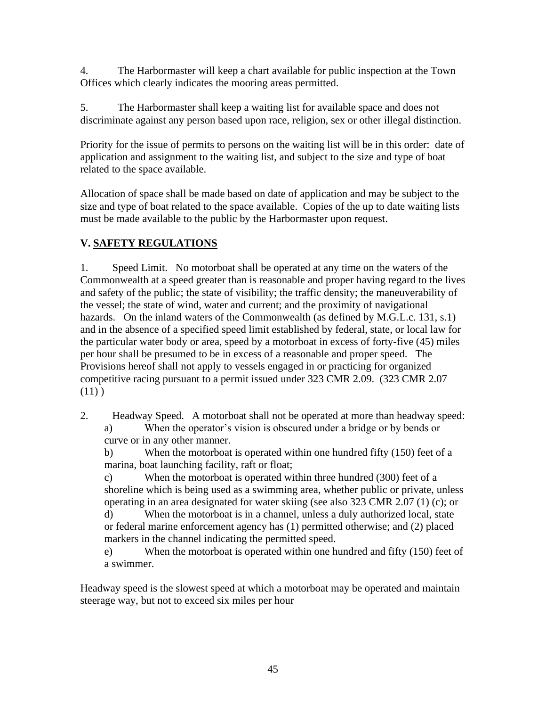4. The Harbormaster will keep a chart available for public inspection at the Town Offices which clearly indicates the mooring areas permitted.

5. The Harbormaster shall keep a waiting list for available space and does not discriminate against any person based upon race, religion, sex or other illegal distinction.

Priority for the issue of permits to persons on the waiting list will be in this order: date of application and assignment to the waiting list, and subject to the size and type of boat related to the space available.

Allocation of space shall be made based on date of application and may be subject to the size and type of boat related to the space available. Copies of the up to date waiting lists must be made available to the public by the Harbormaster upon request.

# **V. SAFETY REGULATIONS**

1. Speed Limit. No motorboat shall be operated at any time on the waters of the Commonwealth at a speed greater than is reasonable and proper having regard to the lives and safety of the public; the state of visibility; the traffic density; the maneuverability of the vessel; the state of wind, water and current; and the proximity of navigational hazards. On the inland waters of the Commonwealth (as defined by M.G.L.c. 131, s.1) and in the absence of a specified speed limit established by federal, state, or local law for the particular water body or area, speed by a motorboat in excess of forty-five (45) miles per hour shall be presumed to be in excess of a reasonable and proper speed. The Provisions hereof shall not apply to vessels engaged in or practicing for organized competitive racing pursuant to a permit issued under 323 CMR 2.09. (323 CMR 2.07  $(11)$ 

2. Headway Speed. A motorboat shall not be operated at more than headway speed: a) When the operator's vision is obscured under a bridge or by bends or curve or in any other manner.

b) When the motorboat is operated within one hundred fifty (150) feet of a marina, boat launching facility, raft or float;

c) When the motorboat is operated within three hundred (300) feet of a shoreline which is being used as a swimming area, whether public or private, unless operating in an area designated for water skiing (see also 323 CMR 2.07 (1) (c); or

d) When the motorboat is in a channel, unless a duly authorized local, state or federal marine enforcement agency has (1) permitted otherwise; and (2) placed markers in the channel indicating the permitted speed.

e) When the motorboat is operated within one hundred and fifty (150) feet of a swimmer.

Headway speed is the slowest speed at which a motorboat may be operated and maintain steerage way, but not to exceed six miles per hour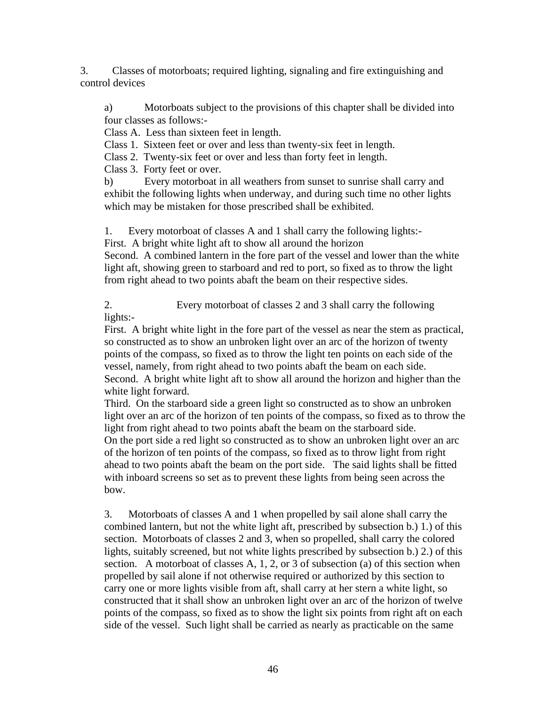3. Classes of motorboats; required lighting, signaling and fire extinguishing and control devices

a) Motorboats subject to the provisions of this chapter shall be divided into four classes as follows:-

Class A. Less than sixteen feet in length.

Class 1. Sixteen feet or over and less than twenty-six feet in length.

Class 2. Twenty-six feet or over and less than forty feet in length.

Class 3. Forty feet or over.

b) Every motorboat in all weathers from sunset to sunrise shall carry and exhibit the following lights when underway, and during such time no other lights which may be mistaken for those prescribed shall be exhibited.

1. Every motorboat of classes A and 1 shall carry the following lights:-

First. A bright white light aft to show all around the horizon

Second. A combined lantern in the fore part of the vessel and lower than the white light aft, showing green to starboard and red to port, so fixed as to throw the light from right ahead to two points abaft the beam on their respective sides.

2. Every motorboat of classes 2 and 3 shall carry the following lights:-

First. A bright white light in the fore part of the vessel as near the stem as practical, so constructed as to show an unbroken light over an arc of the horizon of twenty points of the compass, so fixed as to throw the light ten points on each side of the vessel, namely, from right ahead to two points abaft the beam on each side. Second. A bright white light aft to show all around the horizon and higher than the white light forward.

Third. On the starboard side a green light so constructed as to show an unbroken light over an arc of the horizon of ten points of the compass, so fixed as to throw the light from right ahead to two points abaft the beam on the starboard side. On the port side a red light so constructed as to show an unbroken light over an arc of the horizon of ten points of the compass, so fixed as to throw light from right ahead to two points abaft the beam on the port side. The said lights shall be fitted with inboard screens so set as to prevent these lights from being seen across the bow.

3. Motorboats of classes A and 1 when propelled by sail alone shall carry the combined lantern, but not the white light aft, prescribed by subsection b.) 1.) of this section. Motorboats of classes 2 and 3, when so propelled, shall carry the colored lights, suitably screened, but not white lights prescribed by subsection b.) 2.) of this section. A motorboat of classes A, 1, 2, or 3 of subsection (a) of this section when propelled by sail alone if not otherwise required or authorized by this section to carry one or more lights visible from aft, shall carry at her stern a white light, so constructed that it shall show an unbroken light over an arc of the horizon of twelve points of the compass, so fixed as to show the light six points from right aft on each side of the vessel. Such light shall be carried as nearly as practicable on the same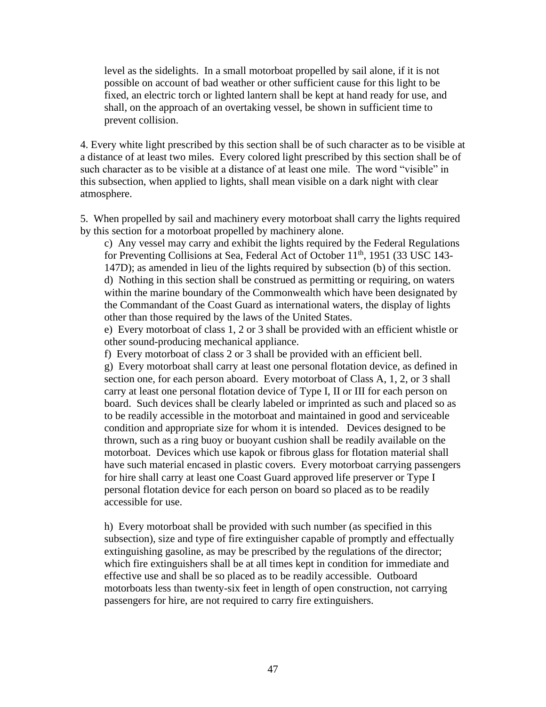level as the sidelights. In a small motorboat propelled by sail alone, if it is not possible on account of bad weather or other sufficient cause for this light to be fixed, an electric torch or lighted lantern shall be kept at hand ready for use, and shall, on the approach of an overtaking vessel, be shown in sufficient time to prevent collision.

4. Every white light prescribed by this section shall be of such character as to be visible at a distance of at least two miles. Every colored light prescribed by this section shall be of such character as to be visible at a distance of at least one mile. The word "visible" in this subsection, when applied to lights, shall mean visible on a dark night with clear atmosphere.

5. When propelled by sail and machinery every motorboat shall carry the lights required by this section for a motorboat propelled by machinery alone.

c) Any vessel may carry and exhibit the lights required by the Federal Regulations for Preventing Collisions at Sea, Federal Act of October 11<sup>th</sup>, 1951 (33 USC 143-147D); as amended in lieu of the lights required by subsection (b) of this section. d) Nothing in this section shall be construed as permitting or requiring, on waters within the marine boundary of the Commonwealth which have been designated by the Commandant of the Coast Guard as international waters, the display of lights other than those required by the laws of the United States.

e) Every motorboat of class 1, 2 or 3 shall be provided with an efficient whistle or other sound-producing mechanical appliance.

f) Every motorboat of class 2 or 3 shall be provided with an efficient bell. g) Every motorboat shall carry at least one personal flotation device, as defined in section one, for each person aboard. Every motorboat of Class A, 1, 2, or 3 shall carry at least one personal flotation device of Type I, II or III for each person on board. Such devices shall be clearly labeled or imprinted as such and placed so as to be readily accessible in the motorboat and maintained in good and serviceable condition and appropriate size for whom it is intended. Devices designed to be thrown, such as a ring buoy or buoyant cushion shall be readily available on the motorboat. Devices which use kapok or fibrous glass for flotation material shall have such material encased in plastic covers. Every motorboat carrying passengers for hire shall carry at least one Coast Guard approved life preserver or Type I personal flotation device for each person on board so placed as to be readily accessible for use.

h) Every motorboat shall be provided with such number (as specified in this subsection), size and type of fire extinguisher capable of promptly and effectually extinguishing gasoline, as may be prescribed by the regulations of the director; which fire extinguishers shall be at all times kept in condition for immediate and effective use and shall be so placed as to be readily accessible. Outboard motorboats less than twenty-six feet in length of open construction, not carrying passengers for hire, are not required to carry fire extinguishers.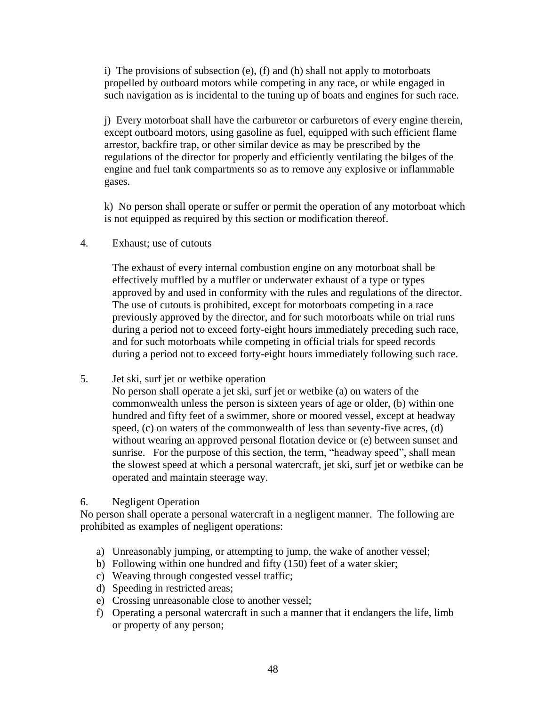i) The provisions of subsection (e), (f) and (h) shall not apply to motorboats propelled by outboard motors while competing in any race, or while engaged in such navigation as is incidental to the tuning up of boats and engines for such race.

j) Every motorboat shall have the carburetor or carburetors of every engine therein, except outboard motors, using gasoline as fuel, equipped with such efficient flame arrestor, backfire trap, or other similar device as may be prescribed by the regulations of the director for properly and efficiently ventilating the bilges of the engine and fuel tank compartments so as to remove any explosive or inflammable gases.

k) No person shall operate or suffer or permit the operation of any motorboat which is not equipped as required by this section or modification thereof.

4. Exhaust; use of cutouts

The exhaust of every internal combustion engine on any motorboat shall be effectively muffled by a muffler or underwater exhaust of a type or types approved by and used in conformity with the rules and regulations of the director. The use of cutouts is prohibited, except for motorboats competing in a race previously approved by the director, and for such motorboats while on trial runs during a period not to exceed forty-eight hours immediately preceding such race, and for such motorboats while competing in official trials for speed records during a period not to exceed forty-eight hours immediately following such race.

5. Jet ski, surf jet or wetbike operation

No person shall operate a jet ski, surf jet or wetbike (a) on waters of the commonwealth unless the person is sixteen years of age or older, (b) within one hundred and fifty feet of a swimmer, shore or moored vessel, except at headway speed, (c) on waters of the commonwealth of less than seventy-five acres, (d) without wearing an approved personal flotation device or (e) between sunset and sunrise. For the purpose of this section, the term, "headway speed", shall mean the slowest speed at which a personal watercraft, jet ski, surf jet or wetbike can be operated and maintain steerage way.

## 6. Negligent Operation

No person shall operate a personal watercraft in a negligent manner. The following are prohibited as examples of negligent operations:

- a) Unreasonably jumping, or attempting to jump, the wake of another vessel;
- b) Following within one hundred and fifty (150) feet of a water skier;
- c) Weaving through congested vessel traffic;
- d) Speeding in restricted areas;
- e) Crossing unreasonable close to another vessel;
- f) Operating a personal watercraft in such a manner that it endangers the life, limb or property of any person;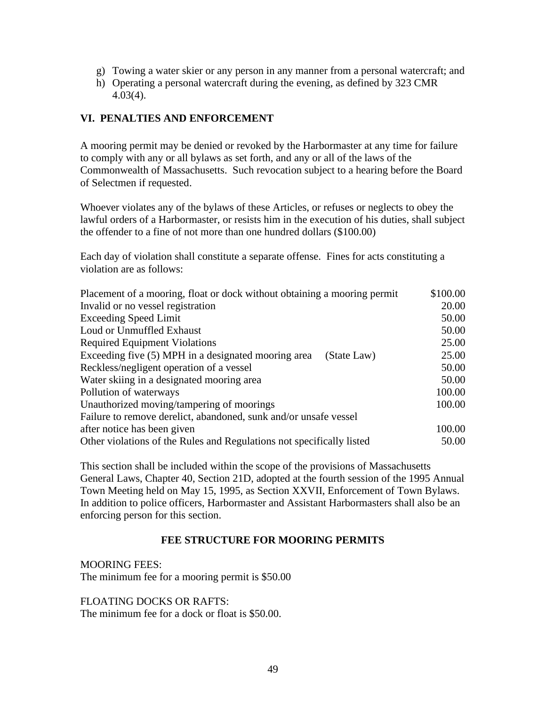- g) Towing a water skier or any person in any manner from a personal watercraft; and
- h) Operating a personal watercraft during the evening, as defined by 323 CMR 4.03(4).

## **VI. PENALTIES AND ENFORCEMENT**

A mooring permit may be denied or revoked by the Harbormaster at any time for failure to comply with any or all bylaws as set forth, and any or all of the laws of the Commonwealth of Massachusetts. Such revocation subject to a hearing before the Board of Selectmen if requested.

Whoever violates any of the bylaws of these Articles, or refuses or neglects to obey the lawful orders of a Harbormaster, or resists him in the execution of his duties, shall subject the offender to a fine of not more than one hundred dollars (\$100.00)

Each day of violation shall constitute a separate offense. Fines for acts constituting a violation are as follows:

| Placement of a mooring, float or dock without obtaining a mooring permit | \$100.00 |
|--------------------------------------------------------------------------|----------|
| Invalid or no vessel registration                                        | 20.00    |
| <b>Exceeding Speed Limit</b>                                             | 50.00    |
| Loud or Unmuffled Exhaust                                                | 50.00    |
| <b>Required Equipment Violations</b>                                     | 25.00    |
| Exceeding five (5) MPH in a designated mooring area<br>(State Law)       | 25.00    |
| Reckless/negligent operation of a vessel                                 | 50.00    |
| Water skiing in a designated mooring area                                | 50.00    |
| Pollution of waterways                                                   | 100.00   |
| Unauthorized moving/tampering of moorings                                | 100.00   |
| Failure to remove derelict, abandoned, sunk and/or unsafe vessel         |          |
| after notice has been given                                              | 100.00   |
| Other violations of the Rules and Regulations not specifically listed    | 50.00    |

This section shall be included within the scope of the provisions of Massachusetts General Laws, Chapter 40, Section 21D, adopted at the fourth session of the 1995 Annual Town Meeting held on May 15, 1995, as Section XXVII, Enforcement of Town Bylaws. In addition to police officers, Harbormaster and Assistant Harbormasters shall also be an enforcing person for this section.

## **FEE STRUCTURE FOR MOORING PERMITS**

MOORING FEES: The minimum fee for a mooring permit is \$50.00

FLOATING DOCKS OR RAFTS: The minimum fee for a dock or float is \$50.00.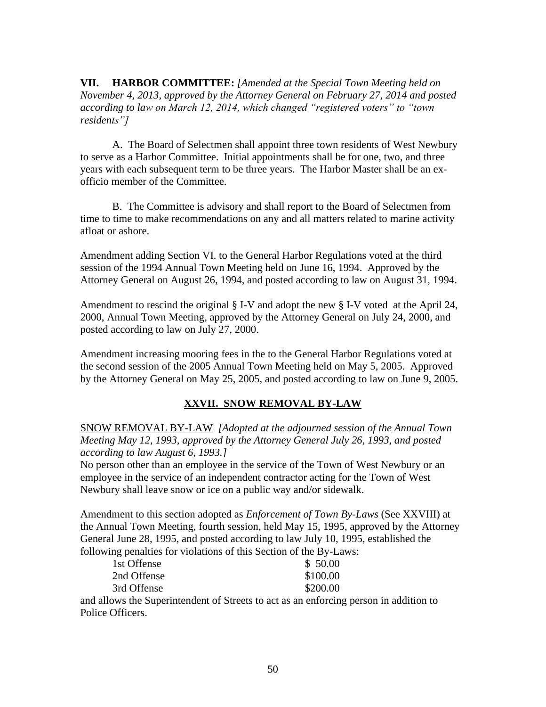**VII. HARBOR COMMITTEE:** *[Amended at the Special Town Meeting held on November 4, 2013, approved by the Attorney General on February 27, 2014 and posted according to law on March 12, 2014, which changed "registered voters" to "town residents"]*

A. The Board of Selectmen shall appoint three town residents of West Newbury to serve as a Harbor Committee. Initial appointments shall be for one, two, and three years with each subsequent term to be three years. The Harbor Master shall be an exofficio member of the Committee.

B. The Committee is advisory and shall report to the Board of Selectmen from time to time to make recommendations on any and all matters related to marine activity afloat or ashore.

Amendment adding Section VI. to the General Harbor Regulations voted at the third session of the 1994 Annual Town Meeting held on June 16, 1994. Approved by the Attorney General on August 26, 1994, and posted according to law on August 31, 1994.

Amendment to rescind the original § I-V and adopt the new § I-V voted at the April 24, 2000, Annual Town Meeting, approved by the Attorney General on July 24, 2000, and posted according to law on July 27, 2000.

Amendment increasing mooring fees in the to the General Harbor Regulations voted at the second session of the 2005 Annual Town Meeting held on May 5, 2005. Approved by the Attorney General on May 25, 2005, and posted according to law on June 9, 2005.

# **XXVII. SNOW REMOVAL BY-LAW**

SNOW REMOVAL BY-LAW *[Adopted at the adjourned session of the Annual Town Meeting May 12, 1993, approved by the Attorney General July 26, 1993, and posted according to law August 6, 1993.]*

No person other than an employee in the service of the Town of West Newbury or an employee in the service of an independent contractor acting for the Town of West Newbury shall leave snow or ice on a public way and/or sidewalk.

Amendment to this section adopted as *Enforcement of Town By-Laws* (See XXVIII) at the Annual Town Meeting, fourth session, held May 15, 1995, approved by the Attorney General June 28, 1995, and posted according to law July 10, 1995, established the following penalties for violations of this Section of the By-Laws:

| 1st Offense | \$ 50.00 |
|-------------|----------|
| 2nd Offense | \$100.00 |
| 3rd Offense | \$200.00 |
|             |          |

and allows the Superintendent of Streets to act as an enforcing person in addition to Police Officers.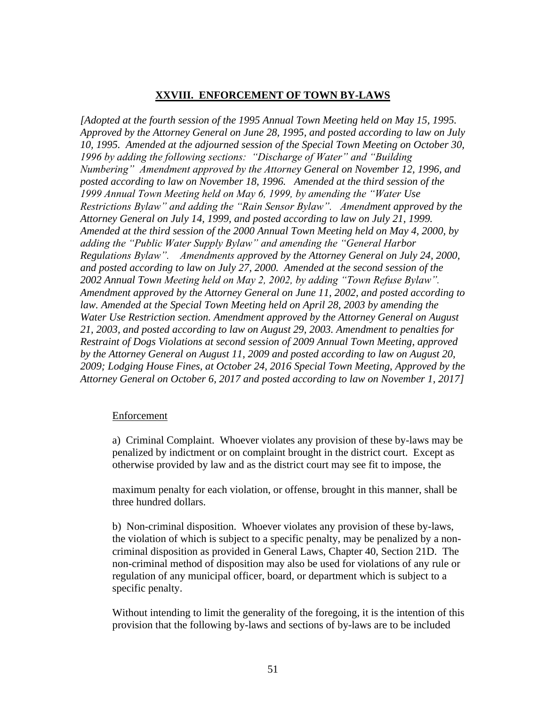## **XXVIII. ENFORCEMENT OF TOWN BY-LAWS**

*[Adopted at the fourth session of the 1995 Annual Town Meeting held on May 15, 1995. Approved by the Attorney General on June 28, 1995, and posted according to law on July 10, 1995. Amended at the adjourned session of the Special Town Meeting on October 30, 1996 by adding the following sections: "Discharge of Water" and "Building Numbering" Amendment approved by the Attorney General on November 12, 1996, and posted according to law on November 18, 1996. Amended at the third session of the 1999 Annual Town Meeting held on May 6, 1999, by amending the "Water Use Restrictions Bylaw" and adding the "Rain Sensor Bylaw". Amendment approved by the Attorney General on July 14, 1999, and posted according to law on July 21, 1999. Amended at the third session of the 2000 Annual Town Meeting held on May 4, 2000, by adding the "Public Water Supply Bylaw" and amending the "General Harbor Regulations Bylaw". Amendments approved by the Attorney General on July 24, 2000, and posted according to law on July 27, 2000. Amended at the second session of the 2002 Annual Town Meeting held on May 2, 2002, by adding "Town Refuse Bylaw". Amendment approved by the Attorney General on June 11, 2002, and posted according to*  law. Amended at the Special Town Meeting held on April 28, 2003 by amending the *Water Use Restriction section. Amendment approved by the Attorney General on August 21, 2003, and posted according to law on August 29, 2003. Amendment to penalties for Restraint of Dogs Violations at second session of 2009 Annual Town Meeting, approved by the Attorney General on August 11, 2009 and posted according to law on August 20, 2009; Lodging House Fines, at October 24, 2016 Special Town Meeting, Approved by the Attorney General on October 6, 2017 and posted according to law on November 1, 2017]*

#### Enforcement

a) Criminal Complaint. Whoever violates any provision of these by-laws may be penalized by indictment or on complaint brought in the district court. Except as otherwise provided by law and as the district court may see fit to impose, the

maximum penalty for each violation, or offense, brought in this manner, shall be three hundred dollars.

b) Non-criminal disposition. Whoever violates any provision of these by-laws, the violation of which is subject to a specific penalty, may be penalized by a noncriminal disposition as provided in General Laws, Chapter 40, Section 21D. The non-criminal method of disposition may also be used for violations of any rule or regulation of any municipal officer, board, or department which is subject to a specific penalty.

Without intending to limit the generality of the foregoing, it is the intention of this provision that the following by-laws and sections of by-laws are to be included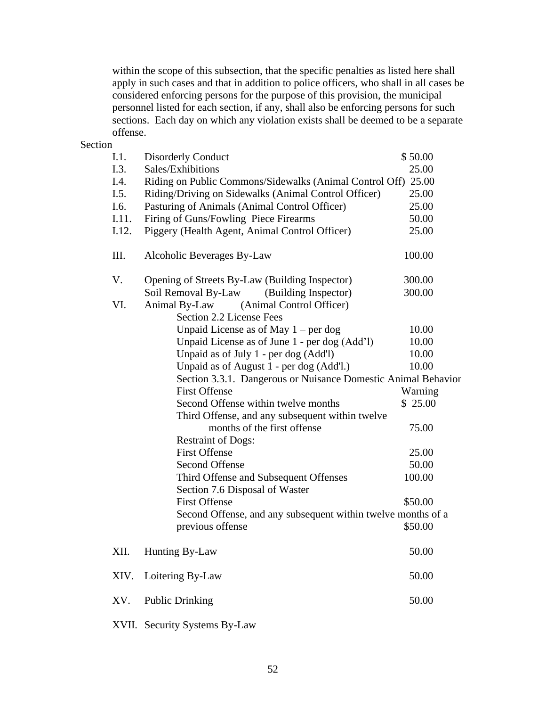within the scope of this subsection, that the specific penalties as listed here shall apply in such cases and that in addition to police officers, who shall in all cases be considered enforcing persons for the purpose of this provision, the municipal personnel listed for each section, if any, shall also be enforcing persons for such sections. Each day on which any violation exists shall be deemed to be a separate offense.

Section

| I.1.  | <b>Disorderly Conduct</b>                                             | \$50.00 |
|-------|-----------------------------------------------------------------------|---------|
| I.3.  | Sales/Exhibitions                                                     | 25.00   |
| I.4.  | Riding on Public Commons/Sidewalks (Animal Control Off) 25.00         |         |
| I.5.  | Riding/Driving on Sidewalks (Animal Control Officer)                  | 25.00   |
| I.6.  | Pasturing of Animals (Animal Control Officer)                         | 25.00   |
| I.11. | Firing of Guns/Fowling Piece Firearms                                 | 50.00   |
| I.12. | Piggery (Health Agent, Animal Control Officer)                        | 25.00   |
| III.  | Alcoholic Beverages By-Law                                            | 100.00  |
| V.    | Opening of Streets By-Law (Building Inspector)                        | 300.00  |
|       | Soil Removal By-Law<br>(Building Inspector)                           | 300.00  |
| VI.   | (Animal Control Officer)<br>Animal By-Law<br>Section 2.2 License Fees |         |
|       | Unpaid License as of May $1 - per dog$                                | 10.00   |
|       | Unpaid License as of June 1 - per dog (Add'l)                         | 10.00   |
|       | Unpaid as of July 1 - per dog (Add'l)                                 | 10.00   |
|       | Unpaid as of August 1 - per dog (Add'l.)                              | 10.00   |
|       | Section 3.3.1. Dangerous or Nuisance Domestic Animal Behavior         |         |
|       | <b>First Offense</b>                                                  | Warning |
|       | Second Offense within twelve months                                   | \$25.00 |
|       | Third Offense, and any subsequent within twelve                       |         |
|       | months of the first offense                                           | 75.00   |
|       | <b>Restraint of Dogs:</b>                                             |         |
|       | <b>First Offense</b>                                                  | 25.00   |
|       | <b>Second Offense</b>                                                 | 50.00   |
|       | Third Offense and Subsequent Offenses                                 | 100.00  |
|       | Section 7.6 Disposal of Waster                                        |         |
|       | <b>First Offense</b>                                                  | \$50.00 |
|       | Second Offense, and any subsequent within twelve months of a          |         |
|       | previous offense                                                      | \$50.00 |
| XII.  | Hunting By-Law                                                        | 50.00   |
| XIV.  | Loitering By-Law                                                      | 50.00   |
| XV.   | <b>Public Drinking</b>                                                | 50.00   |
|       |                                                                       |         |

XVII. Security Systems By-Law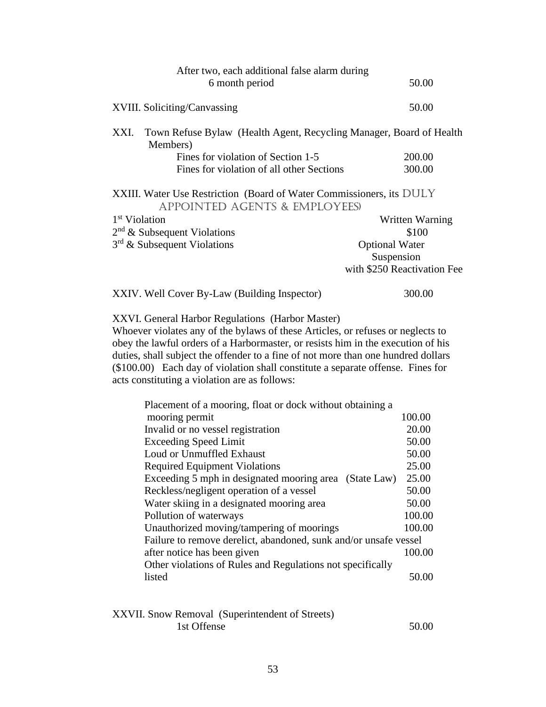| After two, each additional false alarm during                                                                    |                             |
|------------------------------------------------------------------------------------------------------------------|-----------------------------|
| 6 month period                                                                                                   | 50.00                       |
| XVIII. Soliciting/Canvassing                                                                                     | 50.00                       |
| XXI.<br>Town Refuse Bylaw (Health Agent, Recycling Manager, Board of Health<br>Members)                          |                             |
| Fines for violation of Section 1-5                                                                               | 200.00                      |
| Fines for violation of all other Sections                                                                        | 300.00                      |
| XXIII. Water Use Restriction (Board of Water Commissioners, its DULY<br><b>APPOINTED AGENTS &amp; EMPLOYEES)</b> |                             |
| 1 <sup>st</sup> Violation                                                                                        | Written Warning             |
| $2nd$ & Subsequent Violations                                                                                    | \$100                       |
| 3 <sup>rd</sup> & Subsequent Violations                                                                          | <b>Optional Water</b>       |
|                                                                                                                  | Suspension                  |
|                                                                                                                  | with \$250 Reactivation Fee |
| XXIV. Well Cover By-Law (Building Inspector)                                                                     | 300.00                      |

XXVI. General Harbor Regulations (Harbor Master)

Whoever violates any of the bylaws of these Articles, or refuses or neglects to obey the lawful orders of a Harbormaster, or resists him in the execution of his duties, shall subject the offender to a fine of not more than one hundred dollars (\$100.00) Each day of violation shall constitute a separate offense. Fines for acts constituting a violation are as follows:

| Placement of a mooring, float or dock without obtaining a        |        |
|------------------------------------------------------------------|--------|
| mooring permit                                                   | 100.00 |
| Invalid or no vessel registration                                | 20.00  |
| <b>Exceeding Speed Limit</b>                                     | 50.00  |
| Loud or Unmuffled Exhaust                                        | 50.00  |
| <b>Required Equipment Violations</b>                             | 25.00  |
| Exceeding 5 mph in designated mooring area (State Law)           | 25.00  |
| Reckless/negligent operation of a vessel                         | 50.00  |
| Water skiing in a designated mooring area                        | 50.00  |
| Pollution of waterways                                           | 100.00 |
| Unauthorized moving/tampering of moorings                        | 100.00 |
| Failure to remove derelict, abandoned, sunk and/or unsafe vessel |        |
| after notice has been given                                      | 100.00 |
| Other violations of Rules and Regulations not specifically       |        |
| listed                                                           | 50.00  |
|                                                                  |        |

| XXVII. Snow Removal (Superintendent of Streets) |       |
|-------------------------------------------------|-------|
| 1st Offense                                     | 50.00 |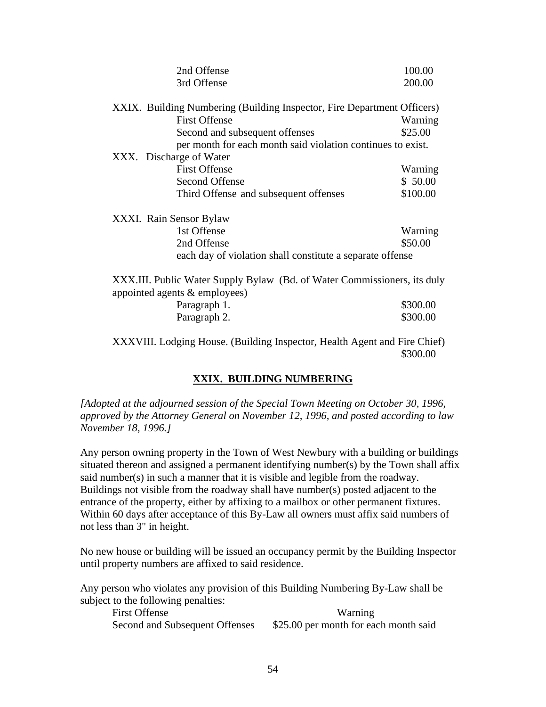| 2nd Offense                                                                                               | 100.00   |
|-----------------------------------------------------------------------------------------------------------|----------|
| 3rd Offense                                                                                               | 200.00   |
| XXIX. Building Numbering (Building Inspector, Fire Department Officers)                                   |          |
| <b>First Offense</b>                                                                                      | Warning  |
| Second and subsequent offenses                                                                            | \$25.00  |
| per month for each month said violation continues to exist.                                               |          |
| XXX. Discharge of Water                                                                                   |          |
| <b>First Offense</b>                                                                                      | Warning  |
| <b>Second Offense</b>                                                                                     | \$50.00  |
| Third Offense and subsequent offenses                                                                     | \$100.00 |
| XXXI. Rain Sensor Bylaw                                                                                   |          |
| 1st Offense                                                                                               | Warning  |
| 2nd Offense                                                                                               | \$50.00  |
| each day of violation shall constitute a separate offense                                                 |          |
| XXX.III. Public Water Supply Bylaw (Bd. of Water Commissioners, its duly<br>appointed agents & employees) |          |
| Paragraph 1.                                                                                              | \$300.00 |
| Paragraph 2.                                                                                              | \$300.00 |
|                                                                                                           |          |

XXXVIII. Lodging House. (Building Inspector, Health Agent and Fire Chief) \$300.00

## **XXIX. BUILDING NUMBERING**

*[Adopted at the adjourned session of the Special Town Meeting on October 30, 1996, approved by the Attorney General on November 12, 1996, and posted according to law November 18, 1996.]*

Any person owning property in the Town of West Newbury with a building or buildings situated thereon and assigned a permanent identifying number(s) by the Town shall affix said number(s) in such a manner that it is visible and legible from the roadway. Buildings not visible from the roadway shall have number(s) posted adjacent to the entrance of the property, either by affixing to a mailbox or other permanent fixtures. Within 60 days after acceptance of this By-Law all owners must affix said numbers of not less than 3" in height.

No new house or building will be issued an occupancy permit by the Building Inspector until property numbers are affixed to said residence.

Any person who violates any provision of this Building Numbering By-Law shall be subject to the following penalties:

First Offense Warning Second and Subsequent Offenses \$25.00 per month for each month said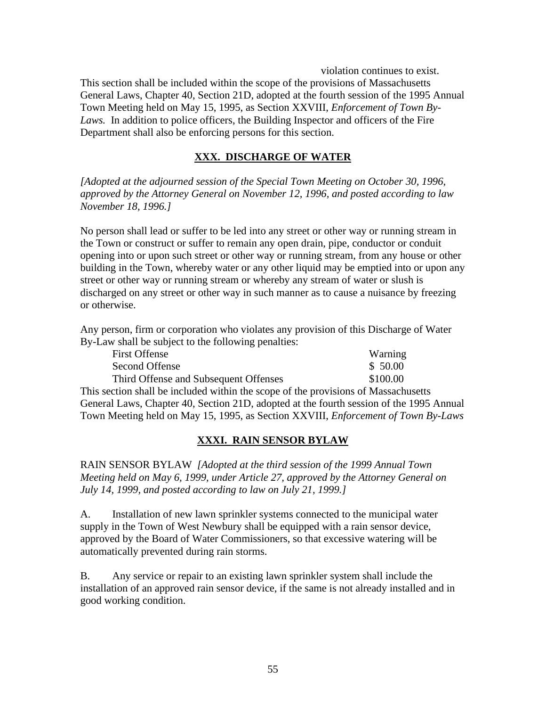violation continues to exist.

This section shall be included within the scope of the provisions of Massachusetts General Laws, Chapter 40, Section 21D, adopted at the fourth session of the 1995 Annual Town Meeting held on May 15, 1995, as Section XXVIII, *Enforcement of Town By-*Laws. In addition to police officers, the Building Inspector and officers of the Fire Department shall also be enforcing persons for this section.

# **XXX. DISCHARGE OF WATER**

*[Adopted at the adjourned session of the Special Town Meeting on October 30, 1996, approved by the Attorney General on November 12, 1996, and posted according to law November 18, 1996.]*

No person shall lead or suffer to be led into any street or other way or running stream in the Town or construct or suffer to remain any open drain, pipe, conductor or conduit opening into or upon such street or other way or running stream, from any house or other building in the Town, whereby water or any other liquid may be emptied into or upon any street or other way or running stream or whereby any stream of water or slush is discharged on any street or other way in such manner as to cause a nuisance by freezing or otherwise.

Any person, firm or corporation who violates any provision of this Discharge of Water By-Law shall be subject to the following penalties:

| <b>First Offense</b>                                                               | Warning  |
|------------------------------------------------------------------------------------|----------|
| Second Offense                                                                     | \$50.00  |
| Third Offense and Subsequent Offenses                                              | \$100.00 |
| This section shall be included within the scope of the provisions of Massachusetts |          |
|                                                                                    |          |

General Laws, Chapter 40, Section 21D, adopted at the fourth session of the 1995 Annual Town Meeting held on May 15, 1995, as Section XXVIII, *Enforcement of Town By-Laws*

# **XXXI. RAIN SENSOR BYLAW**

RAIN SENSOR BYLAW *[Adopted at the third session of the 1999 Annual Town Meeting held on May 6, 1999, under Article 27, approved by the Attorney General on July 14, 1999, and posted according to law on July 21, 1999.]*

A. Installation of new lawn sprinkler systems connected to the municipal water supply in the Town of West Newbury shall be equipped with a rain sensor device, approved by the Board of Water Commissioners, so that excessive watering will be automatically prevented during rain storms.

B. Any service or repair to an existing lawn sprinkler system shall include the installation of an approved rain sensor device, if the same is not already installed and in good working condition.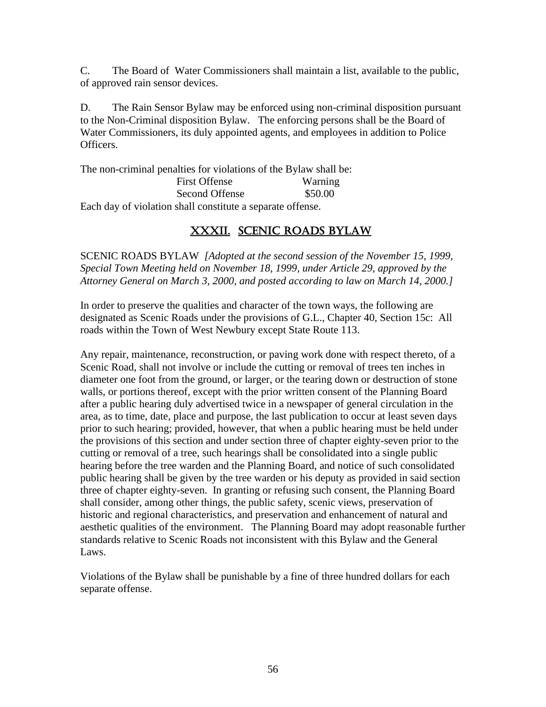C. The Board of Water Commissioners shall maintain a list, available to the public, of approved rain sensor devices.

D. The Rain Sensor Bylaw may be enforced using non-criminal disposition pursuant to the Non-Criminal disposition Bylaw. The enforcing persons shall be the Board of Water Commissioners, its duly appointed agents, and employees in addition to Police Officers.

The non-criminal penalties for violations of the Bylaw shall be:

| <b>First Offense</b>                                       | Warning |
|------------------------------------------------------------|---------|
| Second Offense                                             | \$50.00 |
| Each day of violation shall constitute a separate offense. |         |

# XXXII. SCENIC ROADS BYLAW

SCENIC ROADS BYLAW *[Adopted at the second session of the November 15, 1999, Special Town Meeting held on November 18, 1999, under Article 29, approved by the Attorney General on March 3, 2000, and posted according to law on March 14, 2000.]*

In order to preserve the qualities and character of the town ways, the following are designated as Scenic Roads under the provisions of G.L., Chapter 40, Section 15c: All roads within the Town of West Newbury except State Route 113.

Any repair, maintenance, reconstruction, or paving work done with respect thereto, of a Scenic Road, shall not involve or include the cutting or removal of trees ten inches in diameter one foot from the ground, or larger, or the tearing down or destruction of stone walls, or portions thereof, except with the prior written consent of the Planning Board after a public hearing duly advertised twice in a newspaper of general circulation in the area, as to time, date, place and purpose, the last publication to occur at least seven days prior to such hearing; provided, however, that when a public hearing must be held under the provisions of this section and under section three of chapter eighty-seven prior to the cutting or removal of a tree, such hearings shall be consolidated into a single public hearing before the tree warden and the Planning Board, and notice of such consolidated public hearing shall be given by the tree warden or his deputy as provided in said section three of chapter eighty-seven. In granting or refusing such consent, the Planning Board shall consider, among other things, the public safety, scenic views, preservation of historic and regional characteristics, and preservation and enhancement of natural and aesthetic qualities of the environment. The Planning Board may adopt reasonable further standards relative to Scenic Roads not inconsistent with this Bylaw and the General Laws.

Violations of the Bylaw shall be punishable by a fine of three hundred dollars for each separate offense.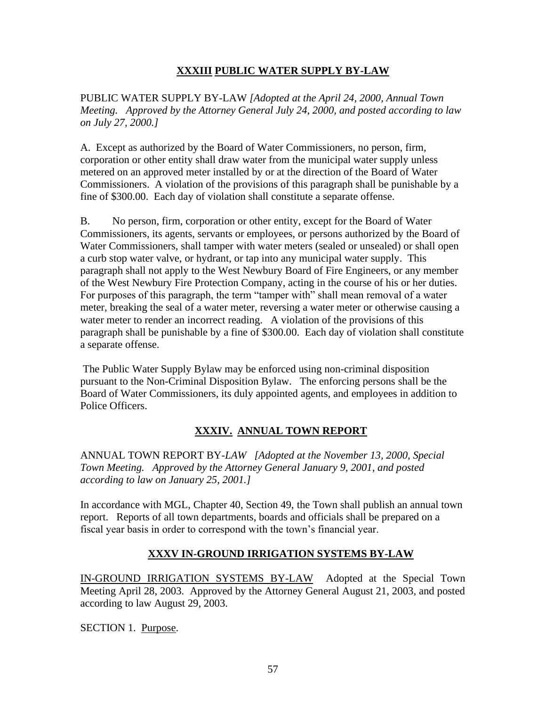# **XXXIII PUBLIC WATER SUPPLY BY-LAW**

PUBLIC WATER SUPPLY BY-LAW *[Adopted at the April 24, 2000, Annual Town Meeting. Approved by the Attorney General July 24, 2000, and posted according to law on July 27, 2000.]*

A. Except as authorized by the Board of Water Commissioners, no person, firm, corporation or other entity shall draw water from the municipal water supply unless metered on an approved meter installed by or at the direction of the Board of Water Commissioners. A violation of the provisions of this paragraph shall be punishable by a fine of \$300.00. Each day of violation shall constitute a separate offense.

B. No person, firm, corporation or other entity, except for the Board of Water Commissioners, its agents, servants or employees, or persons authorized by the Board of Water Commissioners, shall tamper with water meters (sealed or unsealed) or shall open a curb stop water valve, or hydrant, or tap into any municipal water supply. This paragraph shall not apply to the West Newbury Board of Fire Engineers, or any member of the West Newbury Fire Protection Company, acting in the course of his or her duties. For purposes of this paragraph, the term "tamper with" shall mean removal of a water meter, breaking the seal of a water meter, reversing a water meter or otherwise causing a water meter to render an incorrect reading. A violation of the provisions of this paragraph shall be punishable by a fine of \$300.00. Each day of violation shall constitute a separate offense.

The Public Water Supply Bylaw may be enforced using non-criminal disposition pursuant to the Non-Criminal Disposition Bylaw. The enforcing persons shall be the Board of Water Commissioners, its duly appointed agents, and employees in addition to Police Officers.

# **XXXIV. ANNUAL TOWN REPORT**

ANNUAL TOWN REPORT BY-*LAW [Adopted at the November 13, 2000, Special Town Meeting. Approved by the Attorney General January 9, 2001, and posted according to law on January 25, 2001.]*

In accordance with MGL, Chapter 40, Section 49, the Town shall publish an annual town report. Reports of all town departments, boards and officials shall be prepared on a fiscal year basis in order to correspond with the town's financial year.

# **XXXV IN-GROUND IRRIGATION SYSTEMS BY-LAW**

IN-GROUND IRRIGATION SYSTEMS BY-LAW Adopted at the Special Town Meeting April 28, 2003. Approved by the Attorney General August 21, 2003, and posted according to law August 29, 2003.

SECTION 1. Purpose.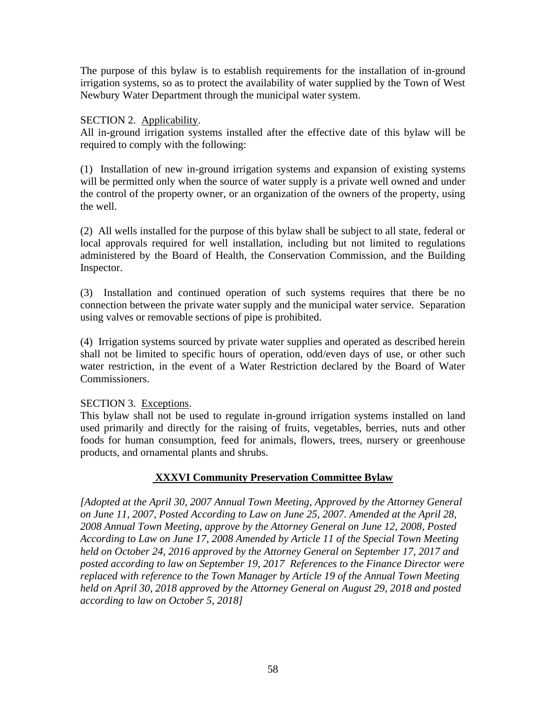The purpose of this bylaw is to establish requirements for the installation of in-ground irrigation systems, so as to protect the availability of water supplied by the Town of West Newbury Water Department through the municipal water system.

## SECTION 2. Applicability.

All in-ground irrigation systems installed after the effective date of this bylaw will be required to comply with the following:

(1) Installation of new in-ground irrigation systems and expansion of existing systems will be permitted only when the source of water supply is a private well owned and under the control of the property owner, or an organization of the owners of the property, using the well.

(2) All wells installed for the purpose of this bylaw shall be subject to all state, federal or local approvals required for well installation, including but not limited to regulations administered by the Board of Health, the Conservation Commission, and the Building Inspector.

(3) Installation and continued operation of such systems requires that there be no connection between the private water supply and the municipal water service. Separation using valves or removable sections of pipe is prohibited.

(4) Irrigation systems sourced by private water supplies and operated as described herein shall not be limited to specific hours of operation, odd/even days of use, or other such water restriction, in the event of a Water Restriction declared by the Board of Water Commissioners.

# SECTION 3. Exceptions.

This bylaw shall not be used to regulate in-ground irrigation systems installed on land used primarily and directly for the raising of fruits, vegetables, berries, nuts and other foods for human consumption, feed for animals, flowers, trees, nursery or greenhouse products, and ornamental plants and shrubs.

# **XXXVI Community Preservation Committee Bylaw**

*[Adopted at the April 30, 2007 Annual Town Meeting, Approved by the Attorney General on June 11, 2007, Posted According to Law on June 25, 2007. Amended at the April 28, 2008 Annual Town Meeting, approve by the Attorney General on June 12, 2008, Posted According to Law on June 17, 2008 Amended by Article 11 of the Special Town Meeting held on October 24, 2016 approved by the Attorney General on September 17, 2017 and posted according to law on September 19, 2017 References to the Finance Director were replaced with reference to the Town Manager by Article 19 of the Annual Town Meeting held on April 30, 2018 approved by the Attorney General on August 29, 2018 and posted according to law on October 5, 2018]*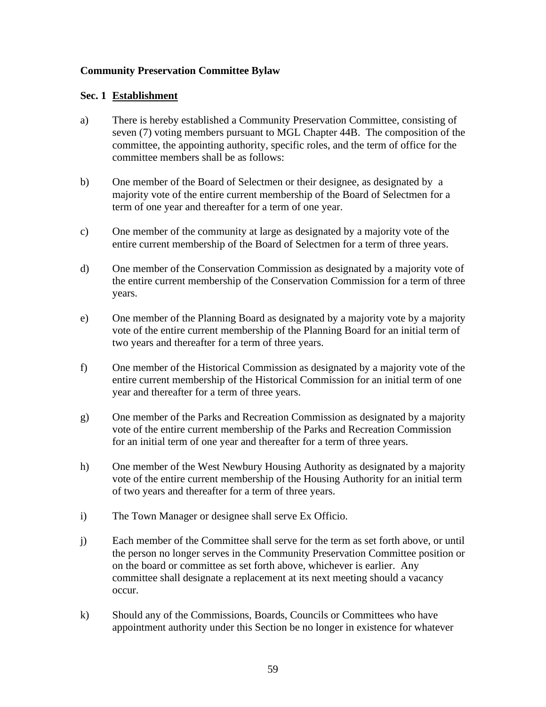## **Community Preservation Committee Bylaw**

## **Sec. 1 Establishment**

- a) There is hereby established a Community Preservation Committee, consisting of seven (7) voting members pursuant to MGL Chapter 44B. The composition of the committee, the appointing authority, specific roles, and the term of office for the committee members shall be as follows:
- b) One member of the Board of Selectmen or their designee, as designated by a majority vote of the entire current membership of the Board of Selectmen for a term of one year and thereafter for a term of one year.
- c) One member of the community at large as designated by a majority vote of the entire current membership of the Board of Selectmen for a term of three years.
- d) One member of the Conservation Commission as designated by a majority vote of the entire current membership of the Conservation Commission for a term of three years.
- e) One member of the Planning Board as designated by a majority vote by a majority vote of the entire current membership of the Planning Board for an initial term of two years and thereafter for a term of three years.
- f) One member of the Historical Commission as designated by a majority vote of the entire current membership of the Historical Commission for an initial term of one year and thereafter for a term of three years.
- g) One member of the Parks and Recreation Commission as designated by a majority vote of the entire current membership of the Parks and Recreation Commission for an initial term of one year and thereafter for a term of three years.
- h) One member of the West Newbury Housing Authority as designated by a majority vote of the entire current membership of the Housing Authority for an initial term of two years and thereafter for a term of three years.
- i) The Town Manager or designee shall serve Ex Officio.
- j) Each member of the Committee shall serve for the term as set forth above, or until the person no longer serves in the Community Preservation Committee position or on the board or committee as set forth above, whichever is earlier. Any committee shall designate a replacement at its next meeting should a vacancy occur.
- k) Should any of the Commissions, Boards, Councils or Committees who have appointment authority under this Section be no longer in existence for whatever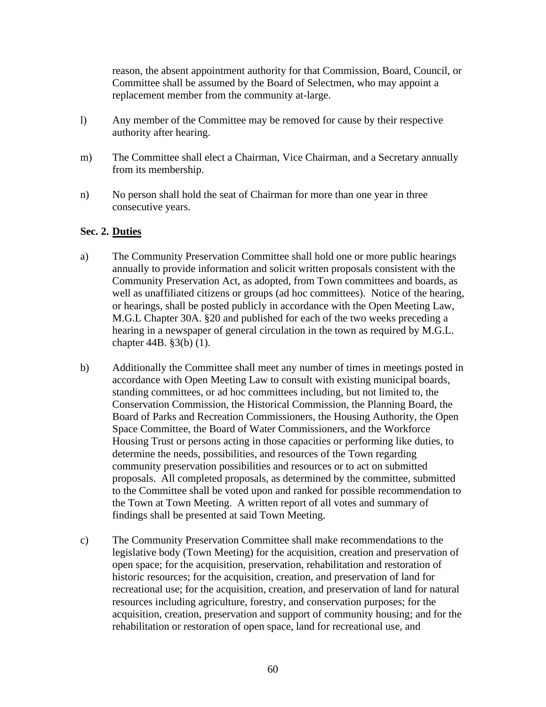reason, the absent appointment authority for that Commission, Board, Council, or Committee shall be assumed by the Board of Selectmen, who may appoint a replacement member from the community at-large.

- l) Any member of the Committee may be removed for cause by their respective authority after hearing.
- m) The Committee shall elect a Chairman, Vice Chairman, and a Secretary annually from its membership.
- n) No person shall hold the seat of Chairman for more than one year in three consecutive years.

## **Sec. 2. Duties**

- a) The Community Preservation Committee shall hold one or more public hearings annually to provide information and solicit written proposals consistent with the Community Preservation Act, as adopted, from Town committees and boards, as well as unaffiliated citizens or groups (ad hoc committees). Notice of the hearing, or hearings, shall be posted publicly in accordance with the Open Meeting Law, M.G.L Chapter 30A. §20 and published for each of the two weeks preceding a hearing in a newspaper of general circulation in the town as required by M.G.L. chapter 44B. §3(b) (1).
- b) Additionally the Committee shall meet any number of times in meetings posted in accordance with Open Meeting Law to consult with existing municipal boards, standing committees, or ad hoc committees including, but not limited to, the Conservation Commission, the Historical Commission, the Planning Board, the Board of Parks and Recreation Commissioners, the Housing Authority, the Open Space Committee, the Board of Water Commissioners, and the Workforce Housing Trust or persons acting in those capacities or performing like duties, to determine the needs, possibilities, and resources of the Town regarding community preservation possibilities and resources or to act on submitted proposals. All completed proposals, as determined by the committee, submitted to the Committee shall be voted upon and ranked for possible recommendation to the Town at Town Meeting. A written report of all votes and summary of findings shall be presented at said Town Meeting.
- c) The Community Preservation Committee shall make recommendations to the legislative body (Town Meeting) for the acquisition, creation and preservation of open space; for the acquisition, preservation, rehabilitation and restoration of historic resources; for the acquisition, creation, and preservation of land for recreational use; for the acquisition, creation, and preservation of land for natural resources including agriculture, forestry, and conservation purposes; for the acquisition, creation, preservation and support of community housing; and for the rehabilitation or restoration of open space, land for recreational use, and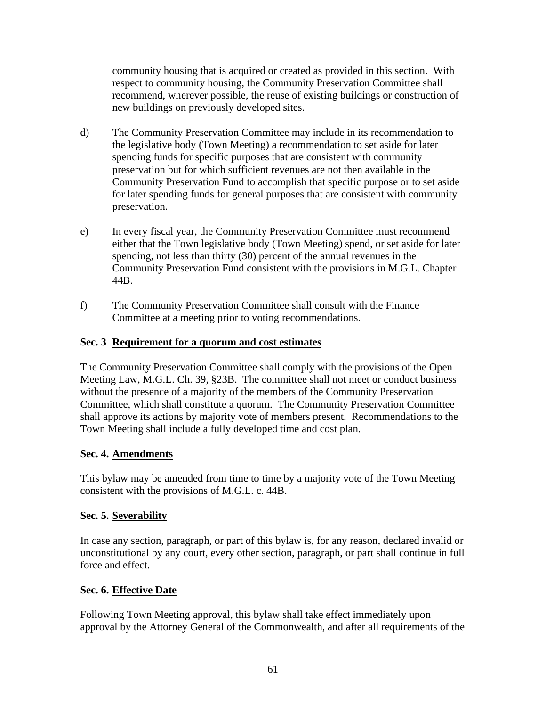community housing that is acquired or created as provided in this section. With respect to community housing, the Community Preservation Committee shall recommend, wherever possible, the reuse of existing buildings or construction of new buildings on previously developed sites.

- d) The Community Preservation Committee may include in its recommendation to the legislative body (Town Meeting) a recommendation to set aside for later spending funds for specific purposes that are consistent with community preservation but for which sufficient revenues are not then available in the Community Preservation Fund to accomplish that specific purpose or to set aside for later spending funds for general purposes that are consistent with community preservation.
- e) In every fiscal year, the Community Preservation Committee must recommend either that the Town legislative body (Town Meeting) spend, or set aside for later spending, not less than thirty (30) percent of the annual revenues in the Community Preservation Fund consistent with the provisions in M.G.L. Chapter 44B.
- f) The Community Preservation Committee shall consult with the Finance Committee at a meeting prior to voting recommendations.

# **Sec. 3 Requirement for a quorum and cost estimates**

The Community Preservation Committee shall comply with the provisions of the Open Meeting Law, M.G.L. Ch. 39, §23B. The committee shall not meet or conduct business without the presence of a majority of the members of the Community Preservation Committee, which shall constitute a quorum. The Community Preservation Committee shall approve its actions by majority vote of members present. Recommendations to the Town Meeting shall include a fully developed time and cost plan.

# **Sec. 4. Amendments**

This bylaw may be amended from time to time by a majority vote of the Town Meeting consistent with the provisions of M.G.L. c. 44B.

# **Sec. 5. Severability**

In case any section, paragraph, or part of this bylaw is, for any reason, declared invalid or unconstitutional by any court, every other section, paragraph, or part shall continue in full force and effect.

# **Sec. 6. Effective Date**

Following Town Meeting approval, this bylaw shall take effect immediately upon approval by the Attorney General of the Commonwealth, and after all requirements of the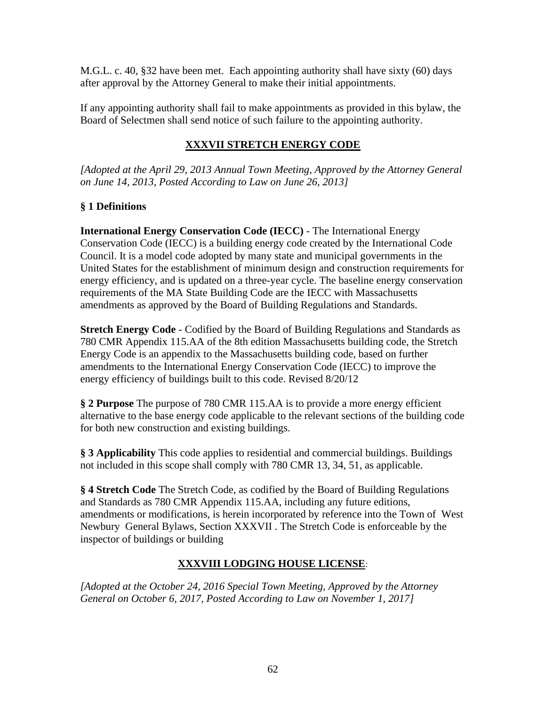M.G.L. c. 40, §32 have been met. Each appointing authority shall have sixty (60) days after approval by the Attorney General to make their initial appointments.

If any appointing authority shall fail to make appointments as provided in this bylaw, the Board of Selectmen shall send notice of such failure to the appointing authority.

# **XXXVII STRETCH ENERGY CODE**

*[Adopted at the April 29, 2013 Annual Town Meeting, Approved by the Attorney General on June 14, 2013, Posted According to Law on June 26, 2013]*

# **§ 1 Definitions**

**International Energy Conservation Code (IECC)** - The International Energy Conservation Code (IECC) is a building energy code created by the International Code Council. It is a model code adopted by many state and municipal governments in the United States for the establishment of minimum design and construction requirements for energy efficiency, and is updated on a three-year cycle. The baseline energy conservation requirements of the MA State Building Code are the IECC with Massachusetts amendments as approved by the Board of Building Regulations and Standards.

**Stretch Energy Code** - Codified by the Board of Building Regulations and Standards as 780 CMR Appendix 115.AA of the 8th edition Massachusetts building code, the Stretch Energy Code is an appendix to the Massachusetts building code, based on further amendments to the International Energy Conservation Code (IECC) to improve the energy efficiency of buildings built to this code. Revised 8/20/12

**§ 2 Purpose** The purpose of 780 CMR 115.AA is to provide a more energy efficient alternative to the base energy code applicable to the relevant sections of the building code for both new construction and existing buildings.

**§ 3 Applicability** This code applies to residential and commercial buildings. Buildings not included in this scope shall comply with 780 CMR 13, 34, 51, as applicable.

**§ 4 Stretch Code** The Stretch Code, as codified by the Board of Building Regulations and Standards as 780 CMR Appendix 115.AA, including any future editions, amendments or modifications, is herein incorporated by reference into the Town of West Newbury General Bylaws, Section XXXVII . The Stretch Code is enforceable by the inspector of buildings or building

# **XXXVIII LODGING HOUSE LICENSE**:

*[Adopted at the October 24, 2016 Special Town Meeting, Approved by the Attorney General on October 6, 2017, Posted According to Law on November 1, 2017]*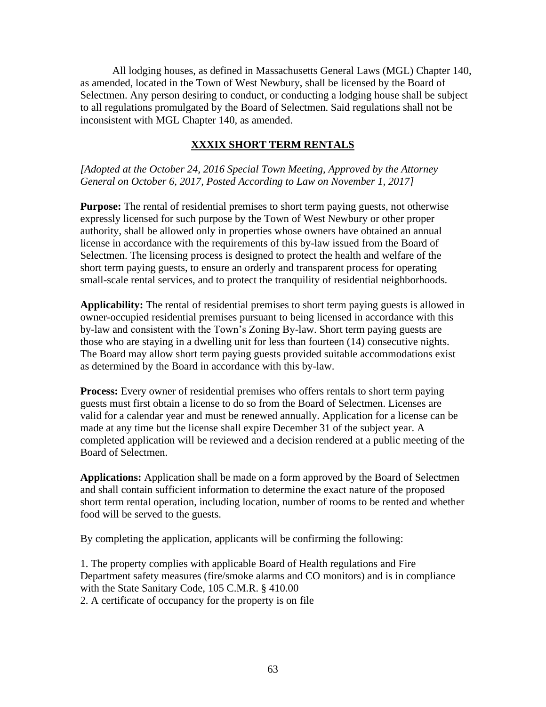All lodging houses, as defined in Massachusetts General Laws (MGL) Chapter 140, as amended, located in the Town of West Newbury, shall be licensed by the Board of Selectmen. Any person desiring to conduct, or conducting a lodging house shall be subject to all regulations promulgated by the Board of Selectmen. Said regulations shall not be inconsistent with MGL Chapter 140, as amended.

## **XXXIX SHORT TERM RENTALS**

*[Adopted at the October 24, 2016 Special Town Meeting, Approved by the Attorney General on October 6, 2017, Posted According to Law on November 1, 2017]*

**Purpose:** The rental of residential premises to short term paying guests, not otherwise expressly licensed for such purpose by the Town of West Newbury or other proper authority, shall be allowed only in properties whose owners have obtained an annual license in accordance with the requirements of this by-law issued from the Board of Selectmen. The licensing process is designed to protect the health and welfare of the short term paying guests, to ensure an orderly and transparent process for operating small-scale rental services, and to protect the tranquility of residential neighborhoods.

**Applicability:** The rental of residential premises to short term paying guests is allowed in owner-occupied residential premises pursuant to being licensed in accordance with this by-law and consistent with the Town's Zoning By-law. Short term paying guests are those who are staying in a dwelling unit for less than fourteen (14) consecutive nights. The Board may allow short term paying guests provided suitable accommodations exist as determined by the Board in accordance with this by-law.

**Process:** Every owner of residential premises who offers rentals to short term paying guests must first obtain a license to do so from the Board of Selectmen. Licenses are valid for a calendar year and must be renewed annually. Application for a license can be made at any time but the license shall expire December 31 of the subject year. A completed application will be reviewed and a decision rendered at a public meeting of the Board of Selectmen.

**Applications:** Application shall be made on a form approved by the Board of Selectmen and shall contain sufficient information to determine the exact nature of the proposed short term rental operation, including location, number of rooms to be rented and whether food will be served to the guests.

By completing the application, applicants will be confirming the following:

1. The property complies with applicable Board of Health regulations and Fire Department safety measures (fire/smoke alarms and CO monitors) and is in compliance with the State Sanitary Code, 105 C.M.R. § 410.00 2. A certificate of occupancy for the property is on file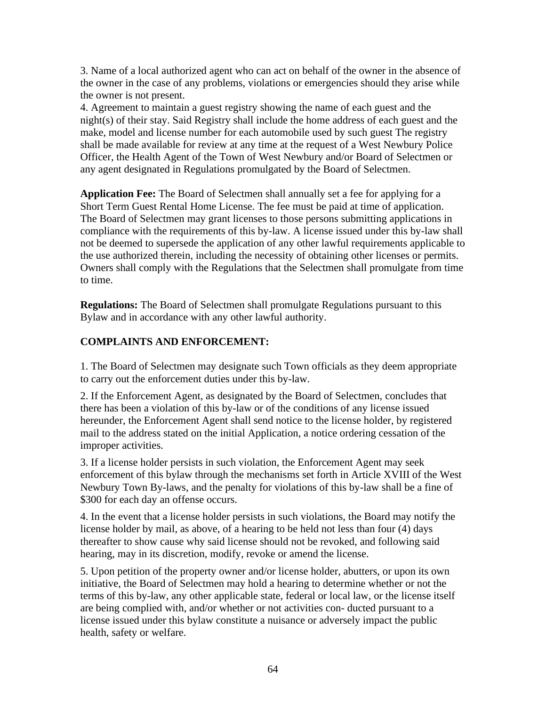3. Name of a local authorized agent who can act on behalf of the owner in the absence of the owner in the case of any problems, violations or emergencies should they arise while the owner is not present.

4. Agreement to maintain a guest registry showing the name of each guest and the night(s) of their stay. Said Registry shall include the home address of each guest and the make, model and license number for each automobile used by such guest The registry shall be made available for review at any time at the request of a West Newbury Police Officer, the Health Agent of the Town of West Newbury and/or Board of Selectmen or any agent designated in Regulations promulgated by the Board of Selectmen.

**Application Fee:** The Board of Selectmen shall annually set a fee for applying for a Short Term Guest Rental Home License. The fee must be paid at time of application. The Board of Selectmen may grant licenses to those persons submitting applications in compliance with the requirements of this by-law. A license issued under this by-law shall not be deemed to supersede the application of any other lawful requirements applicable to the use authorized therein, including the necessity of obtaining other licenses or permits. Owners shall comply with the Regulations that the Selectmen shall promulgate from time to time.

**Regulations:** The Board of Selectmen shall promulgate Regulations pursuant to this Bylaw and in accordance with any other lawful authority.

# **COMPLAINTS AND ENFORCEMENT:**

1. The Board of Selectmen may designate such Town officials as they deem appropriate to carry out the enforcement duties under this by-law.

2. If the Enforcement Agent, as designated by the Board of Selectmen, concludes that there has been a violation of this by-law or of the conditions of any license issued hereunder, the Enforcement Agent shall send notice to the license holder, by registered mail to the address stated on the initial Application, a notice ordering cessation of the improper activities.

3. If a license holder persists in such violation, the Enforcement Agent may seek enforcement of this bylaw through the mechanisms set forth in Article XVIII of the West Newbury Town By-laws, and the penalty for violations of this by-law shall be a fine of \$300 for each day an offense occurs.

4. In the event that a license holder persists in such violations, the Board may notify the license holder by mail, as above, of a hearing to be held not less than four (4) days thereafter to show cause why said license should not be revoked, and following said hearing, may in its discretion, modify, revoke or amend the license.

5. Upon petition of the property owner and/or license holder, abutters, or upon its own initiative, the Board of Selectmen may hold a hearing to determine whether or not the terms of this by-law, any other applicable state, federal or local law, or the license itself are being complied with, and/or whether or not activities con- ducted pursuant to a license issued under this bylaw constitute a nuisance or adversely impact the public health, safety or welfare.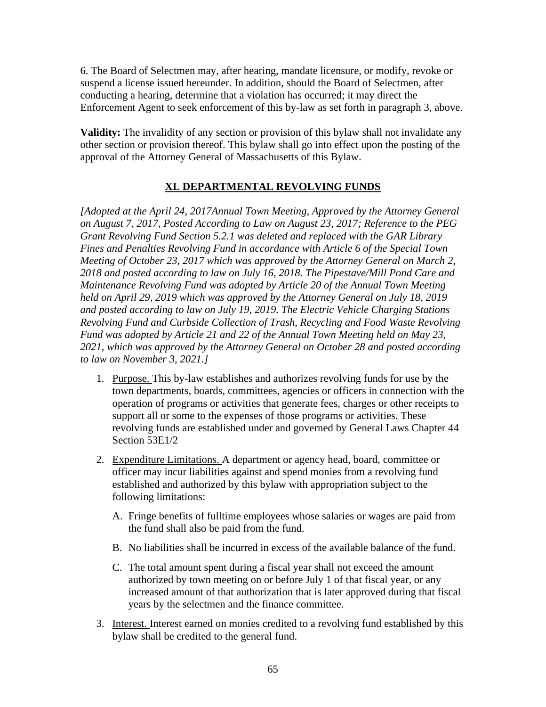6. The Board of Selectmen may, after hearing, mandate licensure, or modify, revoke or suspend a license issued hereunder. In addition, should the Board of Selectmen, after conducting a hearing, determine that a violation has occurred; it may direct the Enforcement Agent to seek enforcement of this by-law as set forth in paragraph 3, above.

**Validity:** The invalidity of any section or provision of this bylaw shall not invalidate any other section or provision thereof. This bylaw shall go into effect upon the posting of the approval of the Attorney General of Massachusetts of this Bylaw.

# **XL DEPARTMENTAL REVOLVING FUNDS**

*[Adopted at the April 24, 2017Annual Town Meeting, Approved by the Attorney General on August 7, 2017, Posted According to Law on August 23, 2017; Reference to the PEG Grant Revolving Fund Section 5.2.1 was deleted and replaced with the GAR Library Fines and Penalties Revolving Fund in accordance with Article 6 of the Special Town Meeting of October 23, 2017 which was approved by the Attorney General on March 2, 2018 and posted according to law on July 16, 2018. The Pipestave/Mill Pond Care and Maintenance Revolving Fund was adopted by Article 20 of the Annual Town Meeting held on April 29, 2019 which was approved by the Attorney General on July 18, 2019 and posted according to law on July 19, 2019. The Electric Vehicle Charging Stations Revolving Fund and Curbside Collection of Trash, Recycling and Food Waste Revolving Fund was adopted by Article 21 and 22 of the Annual Town Meeting held on May 23, 2021, which was approved by the Attorney General on October 28 and posted according to law on November 3, 2021.]*

- 1. Purpose. This by-law establishes and authorizes revolving funds for use by the town departments, boards, committees, agencies or officers in connection with the operation of programs or activities that generate fees, charges or other receipts to support all or some to the expenses of those programs or activities. These revolving funds are established under and governed by General Laws Chapter 44 Section 53E1/2
- 2. Expenditure Limitations. A department or agency head, board, committee or officer may incur liabilities against and spend monies from a revolving fund established and authorized by this bylaw with appropriation subject to the following limitations:
	- A. Fringe benefits of fulltime employees whose salaries or wages are paid from the fund shall also be paid from the fund.
	- B. No liabilities shall be incurred in excess of the available balance of the fund.
	- C. The total amount spent during a fiscal year shall not exceed the amount authorized by town meeting on or before July 1 of that fiscal year, or any increased amount of that authorization that is later approved during that fiscal years by the selectmen and the finance committee.
- 3. Interest. Interest earned on monies credited to a revolving fund established by this bylaw shall be credited to the general fund.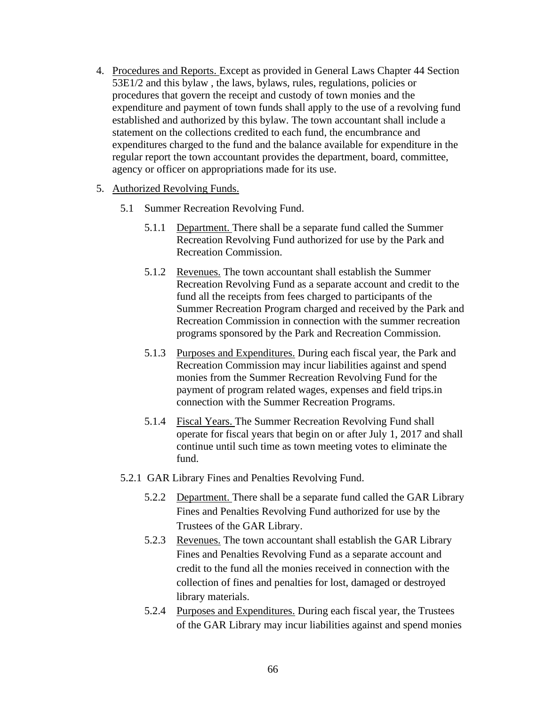- 4. Procedures and Reports. Except as provided in General Laws Chapter 44 Section 53E1/2 and this bylaw , the laws, bylaws, rules, regulations, policies or procedures that govern the receipt and custody of town monies and the expenditure and payment of town funds shall apply to the use of a revolving fund established and authorized by this bylaw. The town accountant shall include a statement on the collections credited to each fund, the encumbrance and expenditures charged to the fund and the balance available for expenditure in the regular report the town accountant provides the department, board, committee, agency or officer on appropriations made for its use.
- 5. Authorized Revolving Funds.
	- 5.1 Summer Recreation Revolving Fund.
		- 5.1.1 Department. There shall be a separate fund called the Summer Recreation Revolving Fund authorized for use by the Park and Recreation Commission.
		- 5.1.2 Revenues. The town accountant shall establish the Summer Recreation Revolving Fund as a separate account and credit to the fund all the receipts from fees charged to participants of the Summer Recreation Program charged and received by the Park and Recreation Commission in connection with the summer recreation programs sponsored by the Park and Recreation Commission.
		- 5.1.3 Purposes and Expenditures. During each fiscal year, the Park and Recreation Commission may incur liabilities against and spend monies from the Summer Recreation Revolving Fund for the payment of program related wages, expenses and field trips.in connection with the Summer Recreation Programs.
		- 5.1.4 Fiscal Years. The Summer Recreation Revolving Fund shall operate for fiscal years that begin on or after July 1, 2017 and shall continue until such time as town meeting votes to eliminate the fund.
	- 5.2.1 GAR Library Fines and Penalties Revolving Fund.
		- 5.2.2 Department. There shall be a separate fund called the GAR Library Fines and Penalties Revolving Fund authorized for use by the Trustees of the GAR Library.
		- 5.2.3 Revenues. The town accountant shall establish the GAR Library Fines and Penalties Revolving Fund as a separate account and credit to the fund all the monies received in connection with the collection of fines and penalties for lost, damaged or destroyed library materials.
		- 5.2.4 Purposes and Expenditures. During each fiscal year, the Trustees of the GAR Library may incur liabilities against and spend monies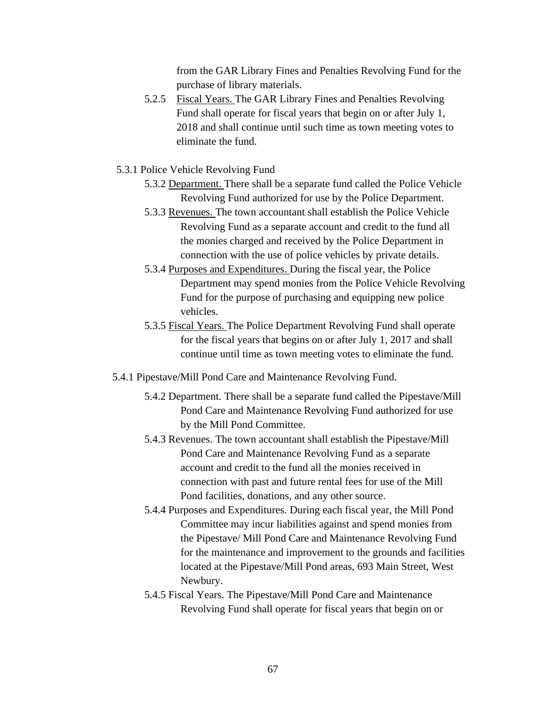from the GAR Library Fines and Penalties Revolving Fund for the purchase of library materials.

- 5.2.5 Fiscal Years. The GAR Library Fines and Penalties Revolving Fund shall operate for fiscal years that begin on or after July 1, 2018 and shall continue until such time as town meeting votes to eliminate the fund.
- 5.3.1 Police Vehicle Revolving Fund
	- 5.3.2 Department. There shall be a separate fund called the Police Vehicle Revolving Fund authorized for use by the Police Department.
	- 5.3.3 Revenues. The town accountant shall establish the Police Vehicle Revolving Fund as a separate account and credit to the fund all the monies charged and received by the Police Department in connection with the use of police vehicles by private details.
	- 5.3.4 Purposes and Expenditures. During the fiscal year, the Police Department may spend monies from the Police Vehicle Revolving Fund for the purpose of purchasing and equipping new police vehicles.
	- 5.3.5 Fiscal Years. The Police Department Revolving Fund shall operate for the fiscal years that begins on or after July 1, 2017 and shall continue until time as town meeting votes to eliminate the fund.
- 5.4.1 Pipestave/Mill Pond Care and Maintenance Revolving Fund.
	- 5.4.2 Department. There shall be a separate fund called the Pipestave/Mill Pond Care and Maintenance Revolving Fund authorized for use by the Mill Pond Committee.
	- 5.4.3 Revenues. The town accountant shall establish the Pipestave/Mill Pond Care and Maintenance Revolving Fund as a separate account and credit to the fund all the monies received in connection with past and future rental fees for use of the Mill Pond facilities, donations, and any other source.
	- 5.4.4 Purposes and Expenditures. During each fiscal year, the Mill Pond Committee may incur liabilities against and spend monies from the Pipestave/ Mill Pond Care and Maintenance Revolving Fund for the maintenance and improvement to the grounds and facilities located at the Pipestave/Mill Pond areas, 693 Main Street, West Newbury.
	- 5.4.5 Fiscal Years. The Pipestave/Mill Pond Care and Maintenance Revolving Fund shall operate for fiscal years that begin on or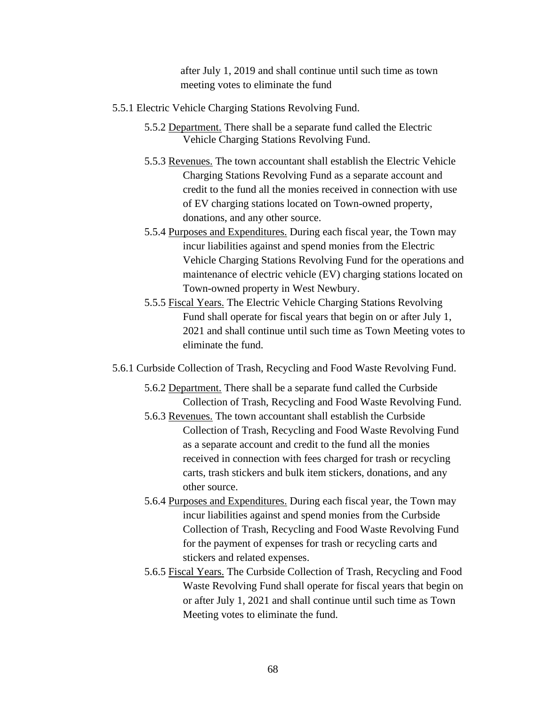after July 1, 2019 and shall continue until such time as town meeting votes to eliminate the fund

- 5.5.1 Electric Vehicle Charging Stations Revolving Fund.
	- 5.5.2 Department. There shall be a separate fund called the Electric Vehicle Charging Stations Revolving Fund.
	- 5.5.3 Revenues. The town accountant shall establish the Electric Vehicle Charging Stations Revolving Fund as a separate account and credit to the fund all the monies received in connection with use of EV charging stations located on Town-owned property, donations, and any other source.
	- 5.5.4 Purposes and Expenditures. During each fiscal year, the Town may incur liabilities against and spend monies from the Electric Vehicle Charging Stations Revolving Fund for the operations and maintenance of electric vehicle (EV) charging stations located on Town-owned property in West Newbury.
	- 5.5.5 Fiscal Years. The Electric Vehicle Charging Stations Revolving Fund shall operate for fiscal years that begin on or after July 1, 2021 and shall continue until such time as Town Meeting votes to eliminate the fund.
- 5.6.1 Curbside Collection of Trash, Recycling and Food Waste Revolving Fund.
	- 5.6.2 Department. There shall be a separate fund called the Curbside Collection of Trash, Recycling and Food Waste Revolving Fund.
	- 5.6.3 Revenues. The town accountant shall establish the Curbside Collection of Trash, Recycling and Food Waste Revolving Fund as a separate account and credit to the fund all the monies received in connection with fees charged for trash or recycling carts, trash stickers and bulk item stickers, donations, and any other source.
	- 5.6.4 Purposes and Expenditures. During each fiscal year, the Town may incur liabilities against and spend monies from the Curbside Collection of Trash, Recycling and Food Waste Revolving Fund for the payment of expenses for trash or recycling carts and stickers and related expenses.
	- 5.6.5 Fiscal Years. The Curbside Collection of Trash, Recycling and Food Waste Revolving Fund shall operate for fiscal years that begin on or after July 1, 2021 and shall continue until such time as Town Meeting votes to eliminate the fund.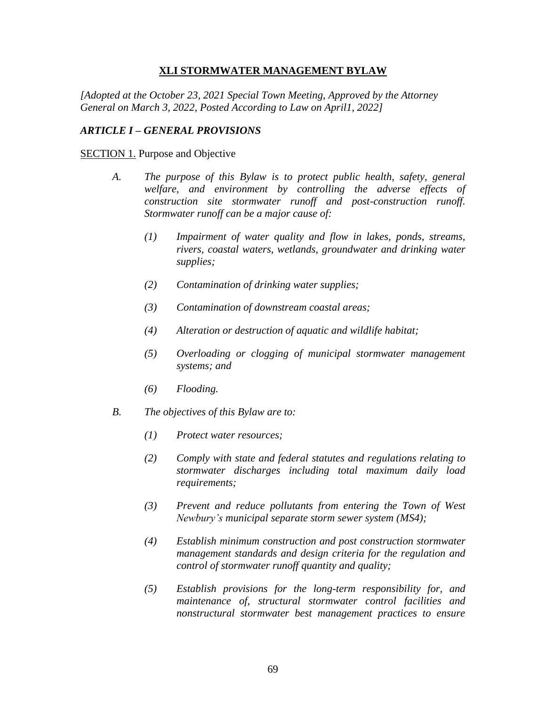## **XLI STORMWATER MANAGEMENT BYLAW**

*[Adopted at the October 23, 2021 Special Town Meeting, Approved by the Attorney General on March 3, 2022, Posted According to Law on April1, 2022]*

## *ARTICLE I – GENERAL PROVISIONS*

**SECTION 1. Purpose and Objective** 

- *A. The purpose of this Bylaw is to protect public health, safety, general welfare, and environment by controlling the adverse effects of construction site stormwater runoff and post-construction runoff. Stormwater runoff can be a major cause of:*
	- *(1) Impairment of water quality and flow in lakes, ponds, streams, rivers, coastal waters, wetlands, groundwater and drinking water supplies;*
	- *(2) Contamination of drinking water supplies;*
	- *(3) Contamination of downstream coastal areas;*
	- *(4) Alteration or destruction of aquatic and wildlife habitat;*
	- *(5) Overloading or clogging of municipal stormwater management systems; and*
	- *(6) Flooding.*
- *B. The objectives of this Bylaw are to:*
	- *(1) Protect water resources;*
	- *(2) Comply with state and federal statutes and regulations relating to stormwater discharges including total maximum daily load requirements;*
	- *(3) Prevent and reduce pollutants from entering the Town of West Newbury's municipal separate storm sewer system (MS4);*
	- *(4) Establish minimum construction and post construction stormwater management standards and design criteria for the regulation and control of stormwater runoff quantity and quality;*
	- *(5) Establish provisions for the long-term responsibility for, and maintenance of, structural stormwater control facilities and nonstructural stormwater best management practices to ensure*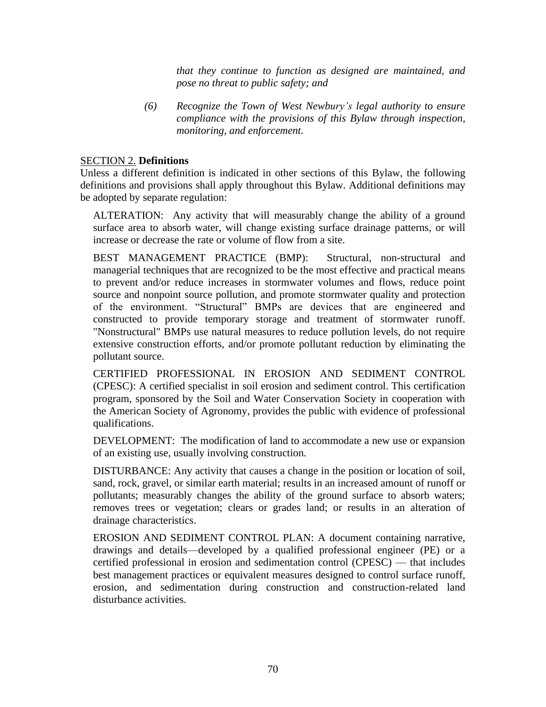*that they continue to function as designed are maintained, and pose no threat to public safety; and*

*(6) Recognize the Town of West Newbury's legal authority to ensure compliance with the provisions of this Bylaw through inspection, monitoring, and enforcement.*

## SECTION 2. **Definitions**

Unless a different definition is indicated in other sections of this Bylaw, the following definitions and provisions shall apply throughout this Bylaw. Additional definitions may be adopted by separate regulation:

ALTERATION: Any activity that will measurably change the ability of a ground surface area to absorb water, will change existing surface drainage patterns, or will increase or decrease the rate or volume of flow from a site.

BEST MANAGEMENT PRACTICE (BMP): Structural, non-structural and managerial techniques that are recognized to be the most effective and practical means to prevent and/or reduce increases in stormwater volumes and flows, reduce point source and nonpoint source pollution, and promote stormwater quality and protection of the environment. "Structural" BMPs are devices that are engineered and constructed to provide temporary storage and treatment of stormwater runoff. "Nonstructural" BMPs use natural measures to reduce pollution levels, do not require extensive construction efforts, and/or promote pollutant reduction by eliminating the pollutant source.

CERTIFIED PROFESSIONAL IN EROSION AND SEDIMENT CONTROL (CPESC): A certified specialist in soil erosion and sediment control. This certification program, sponsored by the Soil and Water Conservation Society in cooperation with the American Society of Agronomy, provides the public with evidence of professional qualifications.

DEVELOPMENT: The modification of land to accommodate a new use or expansion of an existing use, usually involving construction.

DISTURBANCE: Any activity that causes a change in the position or location of soil, sand, rock, gravel, or similar earth material; results in an increased amount of runoff or pollutants; measurably changes the ability of the ground surface to absorb waters; removes trees or vegetation; clears or grades land; or results in an alteration of drainage characteristics.

EROSION AND SEDIMENT CONTROL PLAN: A document containing narrative, drawings and details—developed by a qualified professional engineer (PE) or a certified professional in erosion and sedimentation control (CPESC) — that includes best management practices or equivalent measures designed to control surface runoff, erosion, and sedimentation during construction and construction-related land disturbance activities.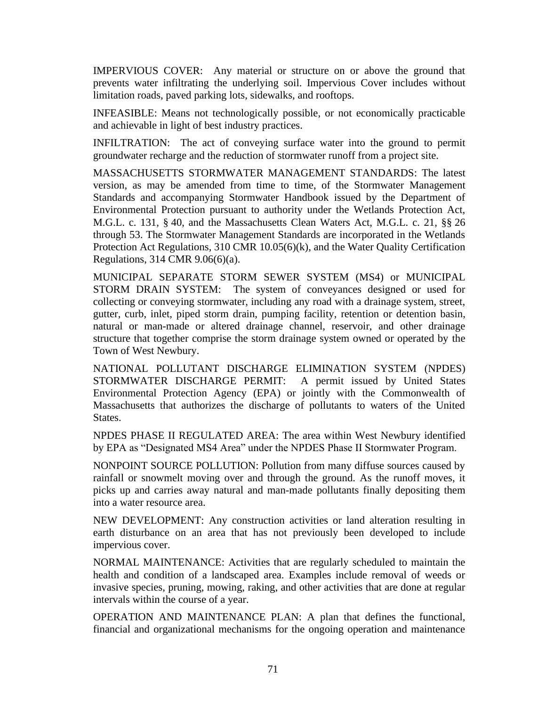IMPERVIOUS COVER: Any material or structure on or above the ground that prevents water infiltrating the underlying soil. Impervious Cover includes without limitation roads, paved parking lots, sidewalks, and rooftops.

INFEASIBLE: Means not technologically possible, or not economically practicable and achievable in light of best industry practices.

INFILTRATION: The act of conveying surface water into the ground to permit groundwater recharge and the reduction of stormwater runoff from a project site.

MASSACHUSETTS STORMWATER MANAGEMENT STANDARDS: The latest version, as may be amended from time to time, of the Stormwater Management Standards and accompanying Stormwater Handbook issued by the Department of Environmental Protection pursuant to authority under the Wetlands Protection Act, M.G.L. c. 131, § 40, and the Massachusetts Clean Waters Act, M.G.L. c. 21, §§ 26 through 53. The Stormwater Management Standards are incorporated in the Wetlands Protection Act Regulations, 310 CMR 10.05(6)(k), and the Water Quality Certification Regulations, 314 CMR 9.06(6)(a).

MUNICIPAL SEPARATE STORM SEWER SYSTEM (MS4) or MUNICIPAL STORM DRAIN SYSTEM: The system of conveyances designed or used for collecting or conveying stormwater, including any road with a drainage system, street, gutter, curb, inlet, piped storm drain, pumping facility, retention or detention basin, natural or man-made or altered drainage channel, reservoir, and other drainage structure that together comprise the storm drainage system owned or operated by the Town of West Newbury.

NATIONAL POLLUTANT DISCHARGE ELIMINATION SYSTEM (NPDES) STORMWATER DISCHARGE PERMIT: A permit issued by United States Environmental Protection Agency (EPA) or jointly with the Commonwealth of Massachusetts that authorizes the discharge of pollutants to waters of the United States.

NPDES PHASE II REGULATED AREA: The area within West Newbury identified by EPA as "Designated MS4 Area" under the NPDES Phase II Stormwater Program.

NONPOINT SOURCE POLLUTION: Pollution from many diffuse sources caused by rainfall or snowmelt moving over and through the ground. As the runoff moves, it picks up and carries away natural and man-made pollutants finally depositing them into a water resource area.

NEW DEVELOPMENT: Any construction activities or land alteration resulting in earth disturbance on an area that has not previously been developed to include impervious cover.

NORMAL MAINTENANCE: Activities that are regularly scheduled to maintain the health and condition of a landscaped area. Examples include removal of weeds or invasive species, pruning, mowing, raking, and other activities that are done at regular intervals within the course of a year.

OPERATION AND MAINTENANCE PLAN: A plan that defines the functional, financial and organizational mechanisms for the ongoing operation and maintenance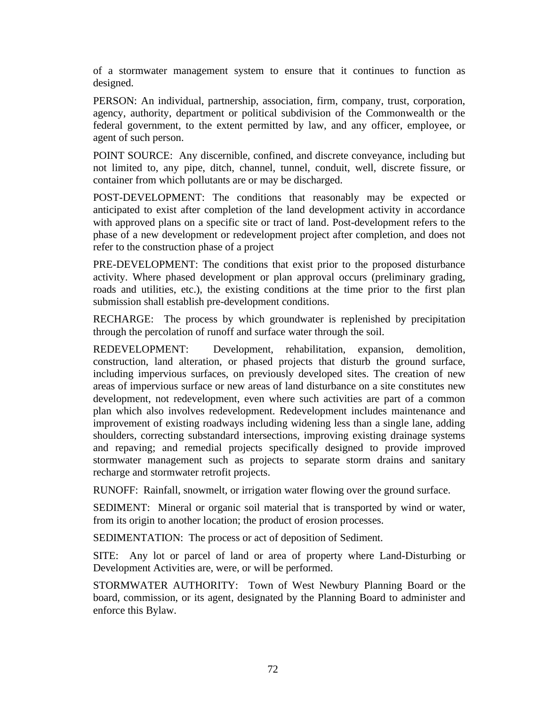of a stormwater management system to ensure that it continues to function as designed.

PERSON: An individual, partnership, association, firm, company, trust, corporation, agency, authority, department or political subdivision of the Commonwealth or the federal government, to the extent permitted by law, and any officer, employee, or agent of such person.

POINT SOURCE: Any discernible, confined, and discrete conveyance, including but not limited to, any pipe, ditch, channel, tunnel, conduit, well, discrete fissure, or container from which pollutants are or may be discharged.

POST-DEVELOPMENT: The conditions that reasonably may be expected or anticipated to exist after completion of the land development activity in accordance with approved plans on a specific site or tract of land. Post-development refers to the phase of a new development or redevelopment project after completion, and does not refer to the construction phase of a project

PRE-DEVELOPMENT: The conditions that exist prior to the proposed disturbance activity. Where phased development or plan approval occurs (preliminary grading, roads and utilities, etc.), the existing conditions at the time prior to the first plan submission shall establish pre-development conditions.

RECHARGE: The process by which groundwater is replenished by precipitation through the percolation of runoff and surface water through the soil.

REDEVELOPMENT: Development, rehabilitation, expansion, demolition, construction, land alteration, or phased projects that disturb the ground surface, including impervious surfaces, on previously developed sites. The creation of new areas of impervious surface or new areas of land disturbance on a site constitutes new development*,* not redevelopment, even where such activities are part of a common plan which also involves redevelopment. Redevelopment includes maintenance and improvement of existing roadways including widening less than a single lane, adding shoulders, correcting substandard intersections, improving existing drainage systems and repaving; and remedial projects specifically designed to provide improved stormwater management such as projects to separate storm drains and sanitary recharge and stormwater retrofit projects.

RUNOFF: Rainfall, snowmelt, or irrigation water flowing over the ground surface.

SEDIMENT: Mineral or organic soil material that is transported by wind or water, from its origin to another location; the product of erosion processes.

SEDIMENTATION: The process or act of deposition of Sediment.

SITE: Any lot or parcel of land or area of property where Land-Disturbing or Development Activities are, were, or will be performed.

STORMWATER AUTHORITY: Town of West Newbury Planning Board or the board, commission, or its agent, designated by the Planning Board to administer and enforce this Bylaw.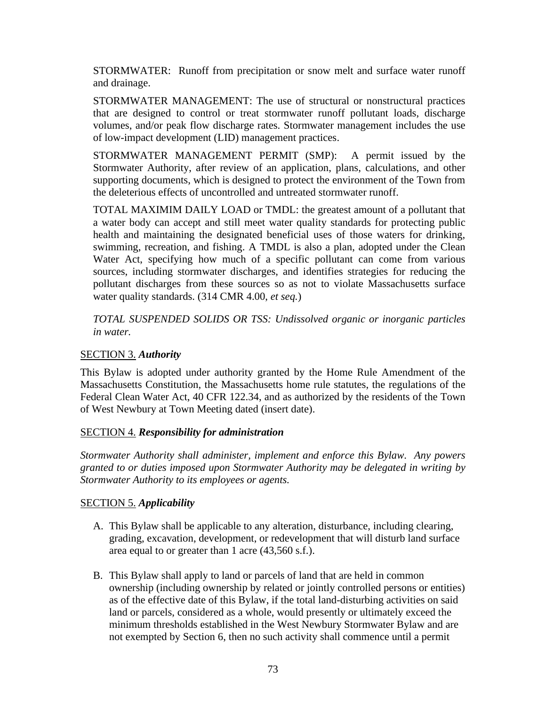STORMWATER: Runoff from precipitation or snow melt and surface water runoff and drainage.

STORMWATER MANAGEMENT: The use of structural or nonstructural practices that are designed to control or treat stormwater runoff pollutant loads, discharge volumes, and/or peak flow discharge rates. Stormwater management includes the use of low-impact development (LID) management practices.

STORMWATER MANAGEMENT PERMIT (SMP): A permit issued by the Stormwater Authority, after review of an application, plans, calculations, and other supporting documents, which is designed to protect the environment of the Town from the deleterious effects of uncontrolled and untreated stormwater runoff.

TOTAL MAXIMIM DAILY LOAD or TMDL: the greatest amount of a pollutant that a water body can accept and still meet water quality standards for protecting public health and maintaining the designated beneficial uses of those waters for drinking, swimming, recreation, and fishing. A TMDL is also a plan, adopted under the Clean Water Act, specifying how much of a specific pollutant can come from various sources, including stormwater discharges, and identifies strategies for reducing the pollutant discharges from these sources so as not to violate Massachusetts surface water quality standards. (314 CMR 4.00, *et seq.*)

*TOTAL SUSPENDED SOLIDS OR TSS: Undissolved organic or inorganic particles in water.*

### SECTION 3. *Authority*

This Bylaw is adopted under authority granted by the Home Rule Amendment of the Massachusetts Constitution, the Massachusetts home rule statutes, the regulations of the Federal Clean Water Act, 40 CFR 122.34, and as authorized by the residents of the Town of West Newbury at Town Meeting dated (insert date).

#### SECTION 4. *Responsibility for administration*

*Stormwater Authority shall administer, implement and enforce this Bylaw. Any powers granted to or duties imposed upon Stormwater Authority may be delegated in writing by Stormwater Authority to its employees or agents.*

#### SECTION 5. *Applicability*

- A. This Bylaw shall be applicable to any alteration, disturbance, including clearing, grading, excavation, development, or redevelopment that will disturb land surface area equal to or greater than 1 acre (43,560 s.f.).
- B. This Bylaw shall apply to land or parcels of land that are held in common ownership (including ownership by related or jointly controlled persons or entities) as of the effective date of this Bylaw, if the total land-disturbing activities on said land or parcels, considered as a whole, would presently or ultimately exceed the minimum thresholds established in the West Newbury Stormwater Bylaw and are not exempted by Section 6, then no such activity shall commence until a permit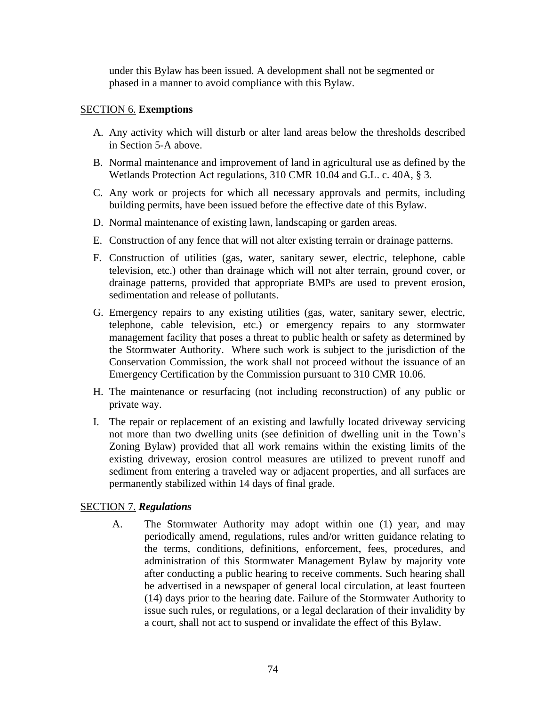under this Bylaw has been issued. A development shall not be segmented or phased in a manner to avoid compliance with this Bylaw.

#### SECTION 6. **Exemptions**

- A. Any activity which will disturb or alter land areas below the thresholds described in Section 5-A above.
- B. Normal maintenance and improvement of land in agricultural use as defined by the Wetlands Protection Act regulations, 310 CMR 10.04 and G.L. c. 40A, § 3.
- C. Any work or projects for which all necessary approvals and permits, including building permits, have been issued before the effective date of this Bylaw.
- D. Normal maintenance of existing lawn, landscaping or garden areas.
- E. Construction of any fence that will not alter existing terrain or drainage patterns.
- F. Construction of utilities (gas, water, sanitary sewer, electric, telephone, cable television, etc.) other than drainage which will not alter terrain, ground cover, or drainage patterns, provided that appropriate BMPs are used to prevent erosion, sedimentation and release of pollutants.
- G. Emergency repairs to any existing utilities (gas, water, sanitary sewer, electric, telephone, cable television, etc.) or emergency repairs to any stormwater management facility that poses a threat to public health or safety as determined by the Stormwater Authority. Where such work is subject to the jurisdiction of the Conservation Commission, the work shall not proceed without the issuance of an Emergency Certification by the Commission pursuant to 310 CMR 10.06.
- H. The maintenance or resurfacing (not including reconstruction) of any public or private way.
- I. The repair or replacement of an existing and lawfully located driveway servicing not more than two dwelling units (see definition of dwelling unit in the Town's Zoning Bylaw) provided that all work remains within the existing limits of the existing driveway, erosion control measures are utilized to prevent runoff and sediment from entering a traveled way or adjacent properties, and all surfaces are permanently stabilized within 14 days of final grade.

#### SECTION 7. *Regulations*

A. The Stormwater Authority may adopt within one (1) year, and may periodically amend, regulations, rules and/or written guidance relating to the terms, conditions, definitions, enforcement, fees, procedures, and administration of this Stormwater Management Bylaw by majority vote after conducting a public hearing to receive comments. Such hearing shall be advertised in a newspaper of general local circulation, at least fourteen (14) days prior to the hearing date. Failure of the Stormwater Authority to issue such rules, or regulations, or a legal declaration of their invalidity by a court, shall not act to suspend or invalidate the effect of this Bylaw.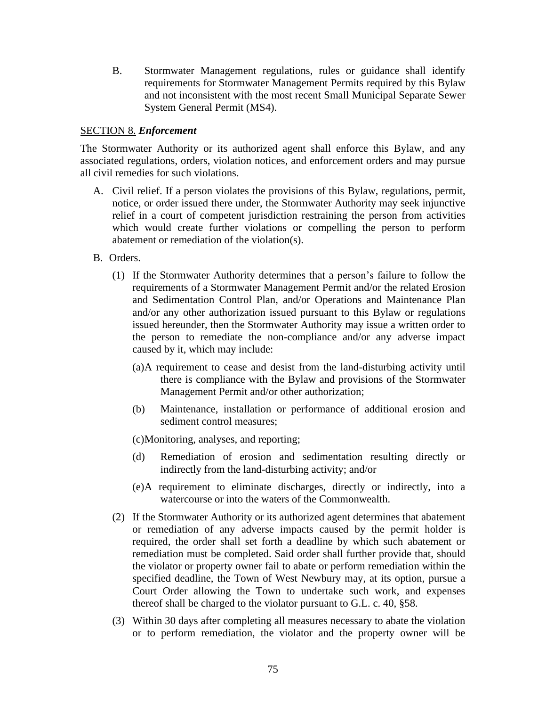B. Stormwater Management regulations, rules or guidance shall identify requirements for Stormwater Management Permits required by this Bylaw and not inconsistent with the most recent Small Municipal Separate Sewer System General Permit (MS4).

#### SECTION 8. *Enforcement*

The Stormwater Authority or its authorized agent shall enforce this Bylaw, and any associated regulations, orders, violation notices, and enforcement orders and may pursue all civil remedies for such violations.

- A. Civil relief. If a person violates the provisions of this Bylaw, regulations, permit, notice, or order issued there under, the Stormwater Authority may seek injunctive relief in a court of competent jurisdiction restraining the person from activities which would create further violations or compelling the person to perform abatement or remediation of the violation(s).
- B. Orders.
	- (1) If the Stormwater Authority determines that a person's failure to follow the requirements of a Stormwater Management Permit and/or the related Erosion and Sedimentation Control Plan, and/or Operations and Maintenance Plan and/or any other authorization issued pursuant to this Bylaw or regulations issued hereunder, then the Stormwater Authority may issue a written order to the person to remediate the non-compliance and/or any adverse impact caused by it, which may include:
		- (a)A requirement to cease and desist from the land-disturbing activity until there is compliance with the Bylaw and provisions of the Stormwater Management Permit and/or other authorization;
		- (b) Maintenance, installation or performance of additional erosion and sediment control measures;

(c)Monitoring, analyses, and reporting;

- (d) Remediation of erosion and sedimentation resulting directly or indirectly from the land-disturbing activity; and/or
- (e)A requirement to eliminate discharges, directly or indirectly, into a watercourse or into the waters of the Commonwealth.
- (2) If the Stormwater Authority or its authorized agent determines that abatement or remediation of any adverse impacts caused by the permit holder is required, the order shall set forth a deadline by which such abatement or remediation must be completed. Said order shall further provide that, should the violator or property owner fail to abate or perform remediation within the specified deadline, the Town of West Newbury may, at its option, pursue a Court Order allowing the Town to undertake such work, and expenses thereof shall be charged to the violator pursuant to G.L. c. 40, §58.
- (3) Within 30 days after completing all measures necessary to abate the violation or to perform remediation, the violator and the property owner will be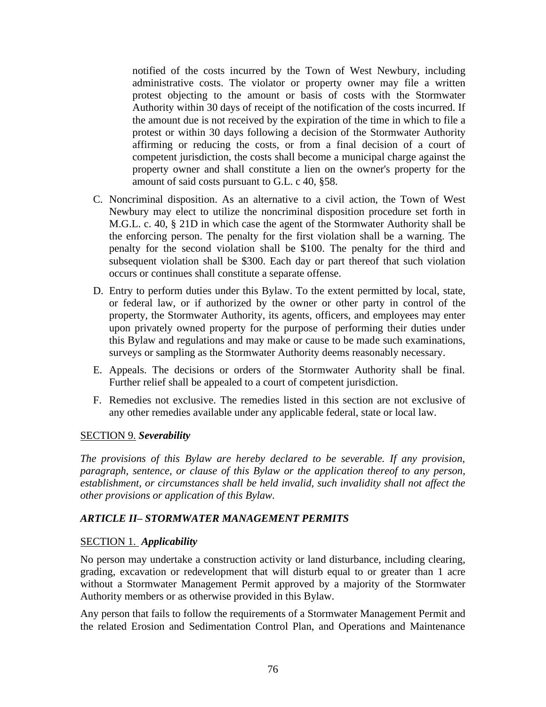notified of the costs incurred by the Town of West Newbury, including administrative costs. The violator or property owner may file a written protest objecting to the amount or basis of costs with the Stormwater Authority within 30 days of receipt of the notification of the costs incurred. If the amount due is not received by the expiration of the time in which to file a protest or within 30 days following a decision of the Stormwater Authority affirming or reducing the costs, or from a final decision of a court of competent jurisdiction, the costs shall become a municipal charge against the property owner and shall constitute a lien on the owner's property for the amount of said costs pursuant to G.L. c 40, §58.

- C. Noncriminal disposition. As an alternative to a civil action, the Town of West Newbury may elect to utilize the noncriminal disposition procedure set forth in M.G.L. c. 40, § 21D in which case the agent of the Stormwater Authority shall be the enforcing person. The penalty for the first violation shall be a warning. The penalty for the second violation shall be \$100. The penalty for the third and subsequent violation shall be \$300. Each day or part thereof that such violation occurs or continues shall constitute a separate offense.
- D. Entry to perform duties under this Bylaw. To the extent permitted by local, state, or federal law, or if authorized by the owner or other party in control of the property, the Stormwater Authority, its agents, officers, and employees may enter upon privately owned property for the purpose of performing their duties under this Bylaw and regulations and may make or cause to be made such examinations, surveys or sampling as the Stormwater Authority deems reasonably necessary.
- E. Appeals. The decisions or orders of the Stormwater Authority shall be final. Further relief shall be appealed to a court of competent jurisdiction.
- F. Remedies not exclusive. The remedies listed in this section are not exclusive of any other remedies available under any applicable federal, state or local law.

#### SECTION 9. *Severability*

*The provisions of this Bylaw are hereby declared to be severable. If any provision, paragraph, sentence, or clause of this Bylaw or the application thereof to any person, establishment, or circumstances shall be held invalid, such invalidity shall not affect the other provisions or application of this Bylaw.*

## *ARTICLE II– STORMWATER MANAGEMENT PERMITS*

#### SECTION 1. *Applicability*

No person may undertake a construction activity or land disturbance, including clearing, grading, excavation or redevelopment that will disturb equal to or greater than 1 acre without a Stormwater Management Permit approved by a majority of the Stormwater Authority members or as otherwise provided in this Bylaw.

Any person that fails to follow the requirements of a Stormwater Management Permit and the related Erosion and Sedimentation Control Plan, and Operations and Maintenance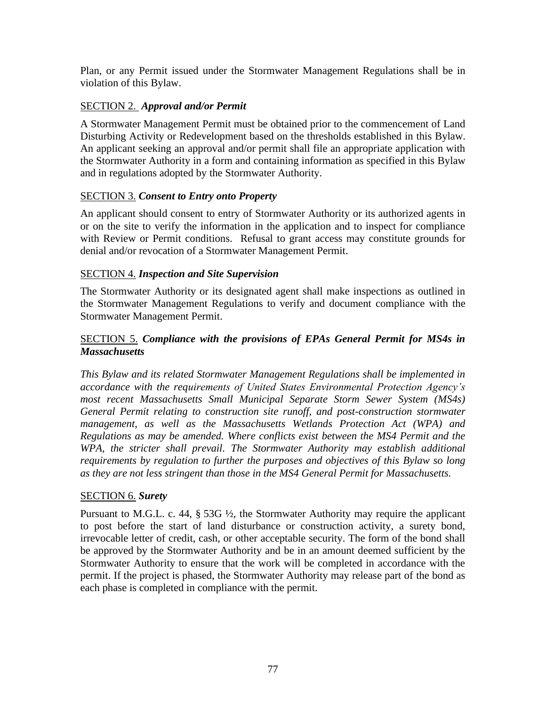Plan, or any Permit issued under the Stormwater Management Regulations shall be in violation of this Bylaw.

# SECTION 2. *Approval and/or Permit*

A Stormwater Management Permit must be obtained prior to the commencement of Land Disturbing Activity or Redevelopment based on the thresholds established in this Bylaw. An applicant seeking an approval and/or permit shall file an appropriate application with the Stormwater Authority in a form and containing information as specified in this Bylaw and in regulations adopted by the Stormwater Authority.

## SECTION 3. *Consent to Entry onto Property*

An applicant should consent to entry of Stormwater Authority or its authorized agents in or on the site to verify the information in the application and to inspect for compliance with Review or Permit conditions. Refusal to grant access may constitute grounds for denial and/or revocation of a Stormwater Management Permit.

## SECTION 4. *Inspection and Site Supervision*

The Stormwater Authority or its designated agent shall make inspections as outlined in the Stormwater Management Regulations to verify and document compliance with the Stormwater Management Permit.

# SECTION 5. *Compliance with the provisions of EPAs General Permit for MS4s in Massachusetts*

*This Bylaw and its related Stormwater Management Regulations shall be implemented in accordance with the requirements of United States Environmental Protection Agency's most recent Massachusetts Small Municipal Separate Storm Sewer System (MS4s) General Permit relating to construction site runoff, and post-construction stormwater management, as well as the Massachusetts Wetlands Protection Act (WPA) and Regulations as may be amended. Where conflicts exist between the MS4 Permit and the WPA, the stricter shall prevail. The Stormwater Authority may establish additional requirements by regulation to further the purposes and objectives of this Bylaw so long as they are not less stringent than those in the MS4 General Permit for Massachusetts.*

## SECTION 6. *Surety*

Pursuant to M.G.L. c. 44, § 53G ½, the Stormwater Authority may require the applicant to post before the start of land disturbance or construction activity, a surety bond, irrevocable letter of credit, cash, or other acceptable security. The form of the bond shall be approved by the Stormwater Authority and be in an amount deemed sufficient by the Stormwater Authority to ensure that the work will be completed in accordance with the permit. If the project is phased, the Stormwater Authority may release part of the bond as each phase is completed in compliance with the permit.